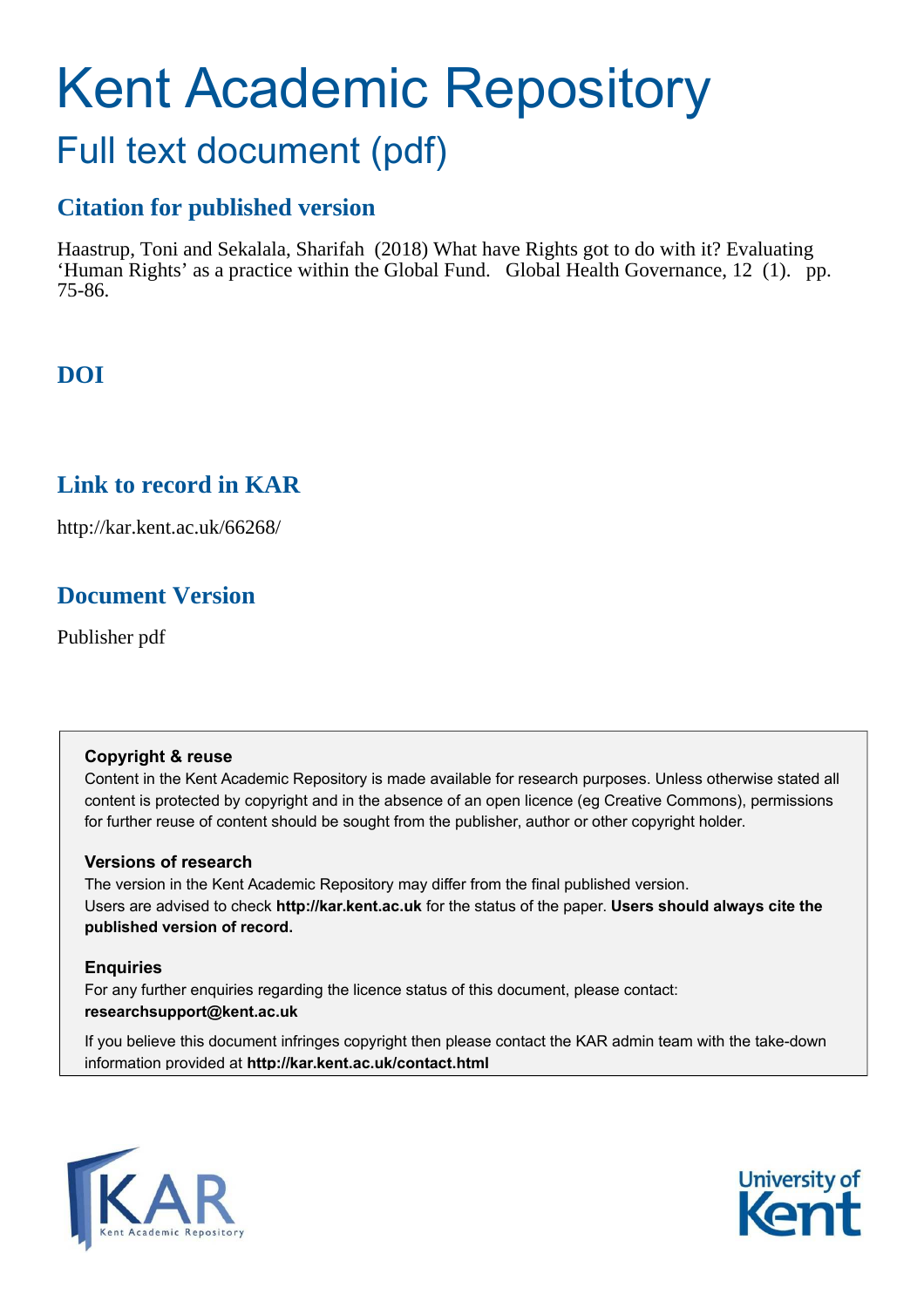# Kent Academic Repository

# Full text document (pdf)

# **Citation for published version**

Haastrup, Toni and Sekalala, Sharifah (2018) What have Rights got to do with it? Evaluating 'Human Rights' as a practice within the Global Fund. Global Health Governance, 12 (1). pp. 75-86.

# **DOI**

# **Link to record in KAR**

http://kar.kent.ac.uk/66268/

# **Document Version**

Publisher pdf

## **Copyright & reuse**

Content in the Kent Academic Repository is made available for research purposes. Unless otherwise stated all content is protected by copyright and in the absence of an open licence (eg Creative Commons), permissions for further reuse of content should be sought from the publisher, author or other copyright holder.

## **Versions of research**

The version in the Kent Academic Repository may differ from the final published version. Users are advised to check **http://kar.kent.ac.uk** for the status of the paper. **Users should always cite the published version of record.**

## **Enquiries**

For any further enquiries regarding the licence status of this document, please contact: **researchsupport@kent.ac.uk**

If you believe this document infringes copyright then please contact the KAR admin team with the take-down information provided at **http://kar.kent.ac.uk/contact.html**



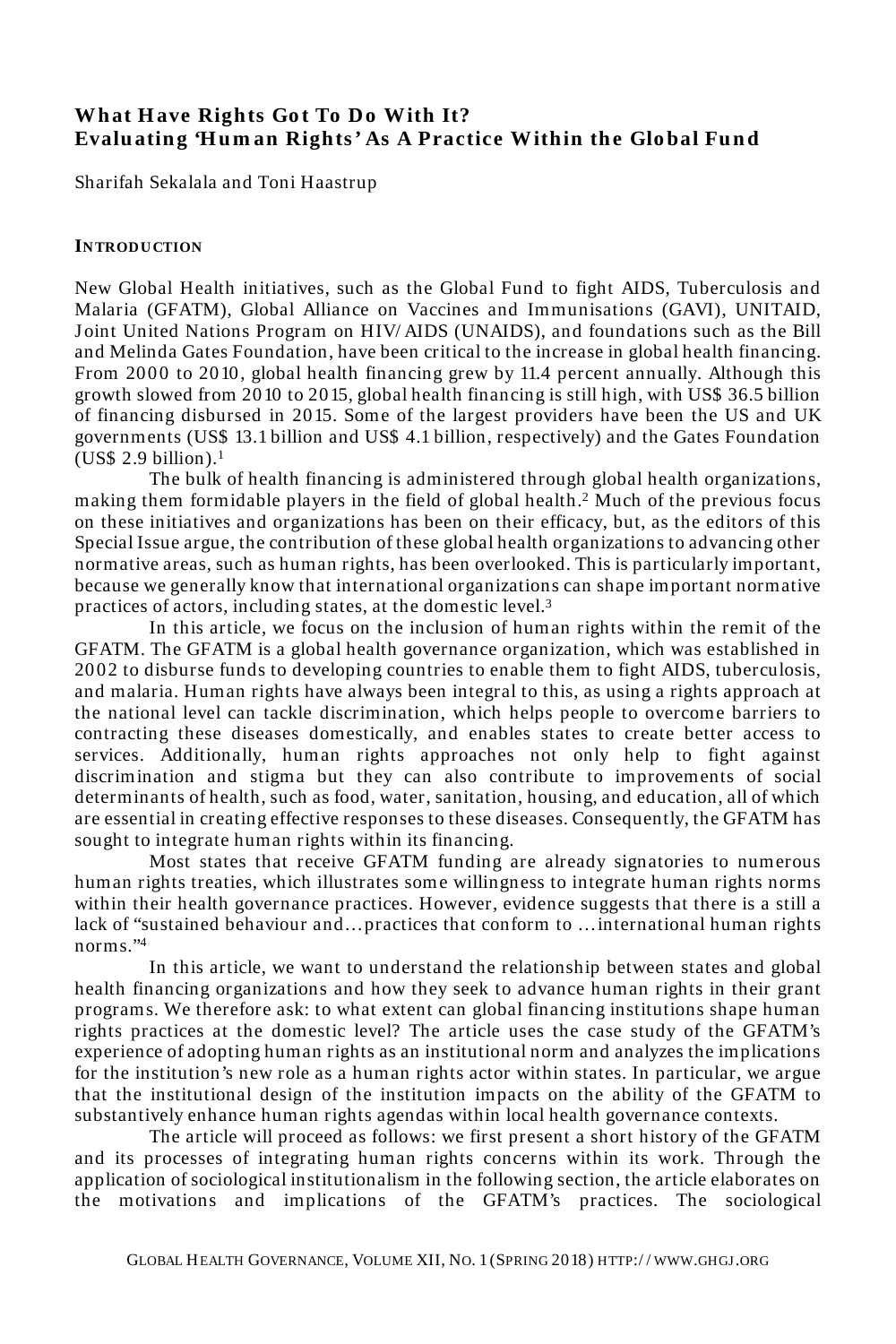## **What Have Rights Got To Do With It? Evaluating 'Human Rights' As A Practice Within the Global Fund**

Sharifah Sekalala and Toni Haastrup

#### **INTRODUCTION**

New Global Health initiatives, such as the Global Fund to fight AIDS, Tuberculosis and Malaria (GFATM), Global Alliance on Vaccines and Immunisations (GAVI), UNITAID, J oint United Nations Program on HIV/ AIDS (UNAIDS), and foundations such as the Bill and Melinda Gates Foundation, have been critical to the increase in global health financing. From 2000 to 2010, global health financing grew by 11.4 percent annually. Although this growth slowed from 2010 to 2015, global health financing is still high, with US\$ 36.5 billion of financing disbursed in 2015. Some of the largest providers have been the US and UK governments (US\$ 13.1 billion and US\$ 4.1 billion, respectively) and the Gates Foundation  $(US\$  2.9 billion).<sup>1</sup>

The bulk of health financing is administered through global health organizations, making them formidable players in the field of global health.<sup>2</sup> Much of the previous focus on these initiatives and organizations has been on their efficacy, but, as the editors of this Special Issue argue, the contribution of these global health organizations to advancing other normative areas, such as human rights, has been overlooked. This is particularly important, because we generally know that international organizations can shape important normative practices of actors, including states, at the domestic level.<sup>3</sup>

In this article, we focus on the inclusion of human rights within the remit of the GFATM. The GFATM is a global health governance organization, which was established in 2002 to disburse funds to developing countries to enable them to fight AIDS, tuberculosis, and malaria. Human rights have always been integral to this, as using a rights approach at the national level can tackle discrimination, which helps people to overcome barriers to contracting these diseases domestically, and enables states to create better access to services. Additionally, human rights approaches not only help to fight against discrimination and stigma but they can also contribute to improvements of social determinants of health, such as food, water, sanitation, housing, and education, all of which are essential in creating effective responses to these diseases. Consequently, the GFATM has sought to integrate human rights within its financing.

Most states that receive GFATM funding are already signatories to numerous human rights treaties, which illustrates some willingness to integrate human rights norms within their health governance practices. However, evidence suggests that there is a still a lack of "sustained behaviour and… practices that conform to … international human rights norms."<sup>4</sup>

In this article, we want to understand the relationship between states and global health financing organizations and how they seek to advance human rights in their grant programs. We therefore ask: to what extent can global financing institutions shape human rights practices at the domestic level? The article uses the case study of the GFATM's experience of adopting human rights as an institutional norm and analyzes the implications for the institution's new role as a human rights actor within states. In particular, we argue that the institutional design of the institution impacts on the ability of the GFATM to substantively enhance human rights agendas within local health governance contexts.

The article will proceed as follows: we first present a short history of the GFATM and its processes of integrating human rights concerns within its work. Through the application of sociological institutionalism in the following section, the article elaborates on the motivations and implications of the GFATM's practices. The sociological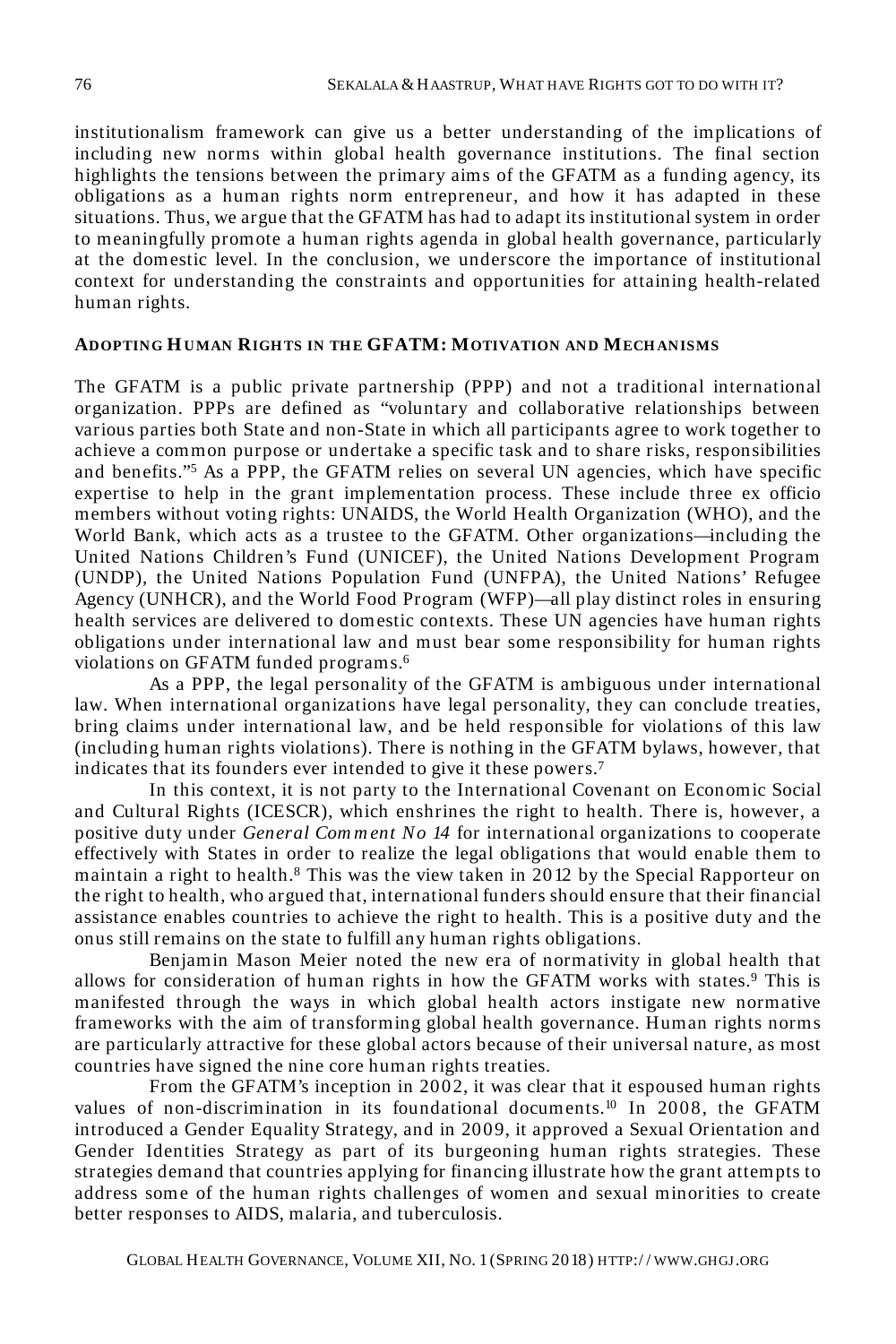institutionalism framework can give us a better understanding of the implications of including new norms within global health governance institutions. The final section highlights the tensions between the primary aims of the GFATM as a funding agency, its obligations as a human rights norm entrepreneur, and how it has adapted in these situations. Thus, we argue that the GFATM has had to adapt its institutional system in order to meaningfully promote a human rights agenda in global health governance, particularly at the domestic level. In the conclusion, we underscore the importance of institutional context for understanding the constraints and opportunities for attaining health-related human rights.

#### **ADOPTING HUMAN RIGH TS IN TH E GFATM: MOTIVATION AND MECH ANISMS**

The GFATM is a public private partnership (PPP) and not a traditional international organization. PPPs are defined as "voluntary and collaborative relationships between various parties both State and non-State in which all participants agree to work together to achieve a common purpose or undertake a specific task and to share risks, responsibilities and benefits."<sup>5</sup> As a PPP, the GFATM relies on several UN agencies, which have specific expertise to help in the grant implementation process. These include three ex officio members without voting rights: UNAIDS, the World Health Organization (WHO), and the World Bank, which acts as a trustee to the GFATM. Other organizations—including the United Nations Children's Fund (UNICEF), the United Nations Development Program (UNDP), the United Nations Population Fund (UNFPA), the United Nations' Refugee Agency (UNHCR), and the World Food Program (WFP)—all play distinct roles in ensuring health services are delivered to domestic contexts. These UN agencies have human rights obligations under international law and must bear some responsibility for human rights violations on GFATM funded programs.<sup>6</sup>

As a PPP, the legal personality of the GFATM is ambiguous under international law. When international organizations have legal personality, they can conclude treaties, bring claims under international law, and be held responsible for violations of this law (including human rights violations). There is nothing in the GFATM bylaws, however, that indicates that its founders ever intended to give it these powers.<sup>7</sup>

In this context, it is not party to the International Covenant on Economic Social and Cultural Rights (ICESCR), which enshrines the right to health. There is, however, a positive duty under *General Com m ent No 14* for international organizations to cooperate effectively with States in order to realize the legal obligations that would enable them to maintain a right to health.<sup>8</sup> This was the view taken in 2012 by the Special Rapporteur on the right to health, who argued that, international funders should ensure that their financial assistance enables countries to achieve the right to health. This is a positive duty and the onus still remains on the state to fulfill any human rights obligations.

Benjamin Mason Meier noted the new era of normativity in global health that allows for consideration of human rights in how the GFATM works with states.<sup>9</sup> This is manifested through the ways in which global health actors instigate new normative frameworks with the aim of transforming global health governance. Human rights norms are particularly attractive for these global actors because of their universal nature, as most countries have signed the nine core human rights treaties.

From the GFATM's inception in 2002, it was clear that it espoused human rights values of non-discrimination in its foundational documents.<sup>10</sup> In 2008, the GFATM introduced a Gender Equality Strategy, and in 2009, it approved a Sexual Orientation and Gender Identities Strategy as part of its burgeoning human rights strategies. These strategies demand that countries applying for financing illustrate how the grant attempts to address some of the human rights challenges of women and sexual minorities to create better responses to AIDS, malaria, and tuberculosis.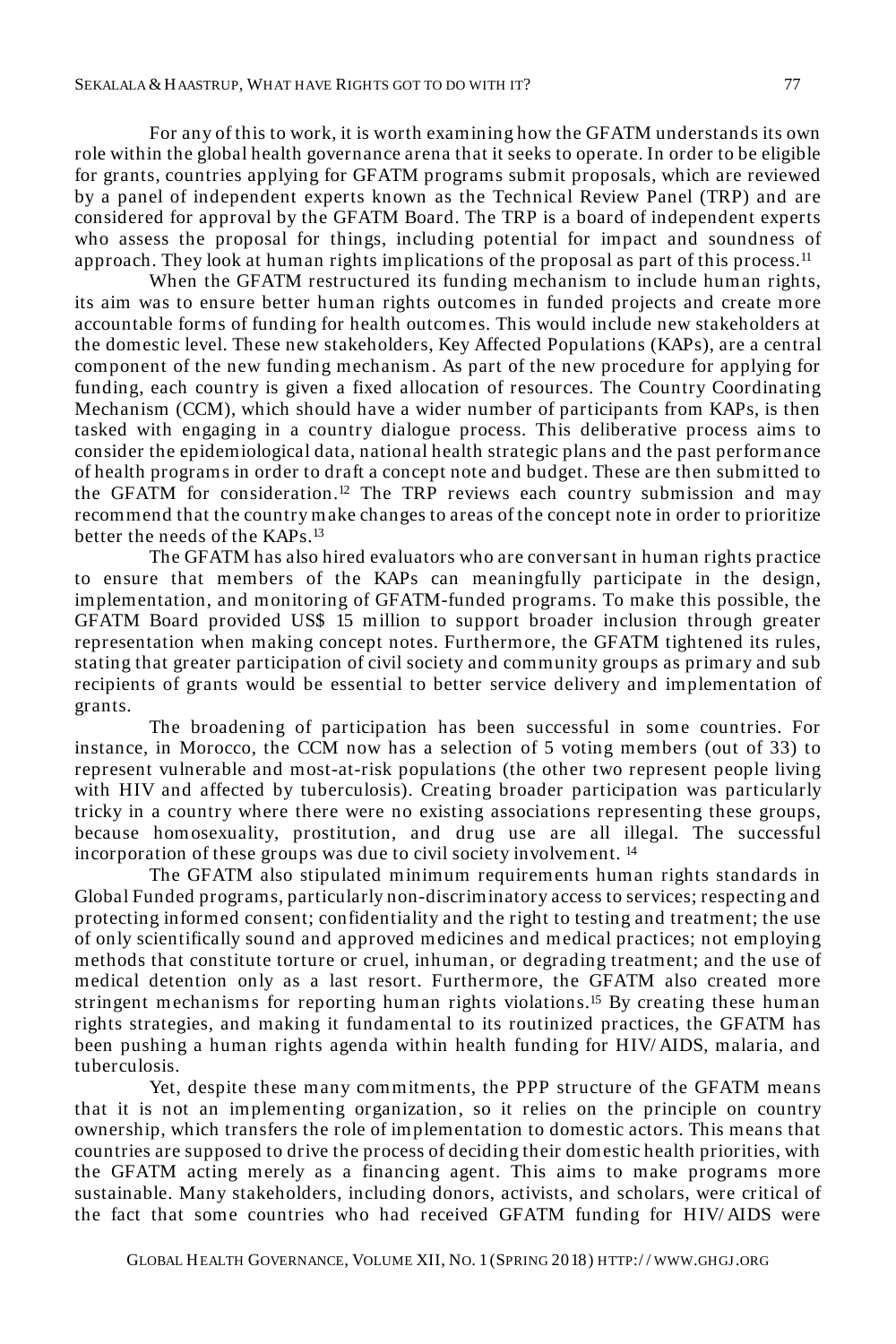For any of this to work, it is worth examining how the GFATM understands its own role within the global health governance arena that it seeks to operate. In order to be eligible for grants, countries applying for GFATM programs submit proposals, which are reviewed by a panel of independent experts known as the Technical Review Panel (TRP) and are considered for approval by the GFATM Board. The TRP is a board of independent experts who assess the proposal for things, including potential for impact and soundness of approach. They look at human rights implications of the proposal as part of this process.<sup>11</sup>

When the GFATM restructured its funding mechanism to include human rights, its aim was to ensure better human rights outcomes in funded projects and create more accountable forms of funding for health outcomes. This would include new stakeholders at the domestic level. These new stakeholders, Key Affected Populations (KAPs), are a central component of the new funding mechanism. As part of the new procedure for applying for funding, each country is given a fixed allocation of resources. The Country Coordinating Mechanism (CCM), which should have a wider number of participants from KAPs, is then tasked with engaging in a country dialogue process. This deliberative process aims to consider the epidemiological data, national health strategic plans and the past performance of health programs in order to draft a concept note and budget. These are then submitted to the GFATM for consideration.<sup>12</sup> The TRP reviews each country submission and may recommend that the country make changes to areas of the concept note in order to prioritize better the needs of the KAPs.<sup>13</sup>

The GFATM has also hired evaluators who are conversant in human rights practice to ensure that members of the KAPs can meaningfully participate in the design, implementation, and monitoring of GFATM-funded programs. To make this possible, the GFATM Board provided US\$ 15 million to support broader inclusion through greater representation when making concept notes. Furthermore, the GFATM tightened its rules, stating that greater participation of civil society and community groups as primary and sub recipients of grants would be essential to better service delivery and implementation of grants.

The broadening of participation has been successful in some countries. For instance, in Morocco, the CCM now has a selection of 5 voting members (out of 33) to represent vulnerable and most-at-risk populations (the other two represent people living with HIV and affected by tuberculosis). Creating broader participation was particularly tricky in a country where there were no existing associations representing these groups, because homosexuality, prostitution, and drug use are all illegal. The successful incorporation of these groups was due to civil society involvement. <sup>14</sup>

The GFATM also stipulated minimum requirements human rights standards in Global Funded programs, particularly non-discriminatory access to services; respecting and protecting informed consent; confidentiality and the right to testing and treatment; the use of only scientifically sound and approved medicines and medical practices; not employing methods that constitute torture or cruel, inhuman, or degrading treatment; and the use of medical detention only as a last resort. Furthermore, the GFATM also created more stringent mechanisms for reporting human rights violations.<sup>15</sup> By creating these human rights strategies, and making it fundamental to its routinized practices, the GFATM has been pushing a human rights agenda within health funding for HIV/ AIDS, malaria, and tuberculosis.

Yet, despite these many commitments, the PPP structure of the GFATM means that it is not an implementing organization, so it relies on the principle on country ownership, which transfers the role of implementation to domestic actors. This means that countries are supposed to drive the process of deciding their domestic health priorities, with the GFATM acting merely as a financing agent. This aims to make programs more sustainable. Many stakeholders, including donors, activists, and scholars, were critical of the fact that some countries who had received GFATM funding for HIV/ AIDS were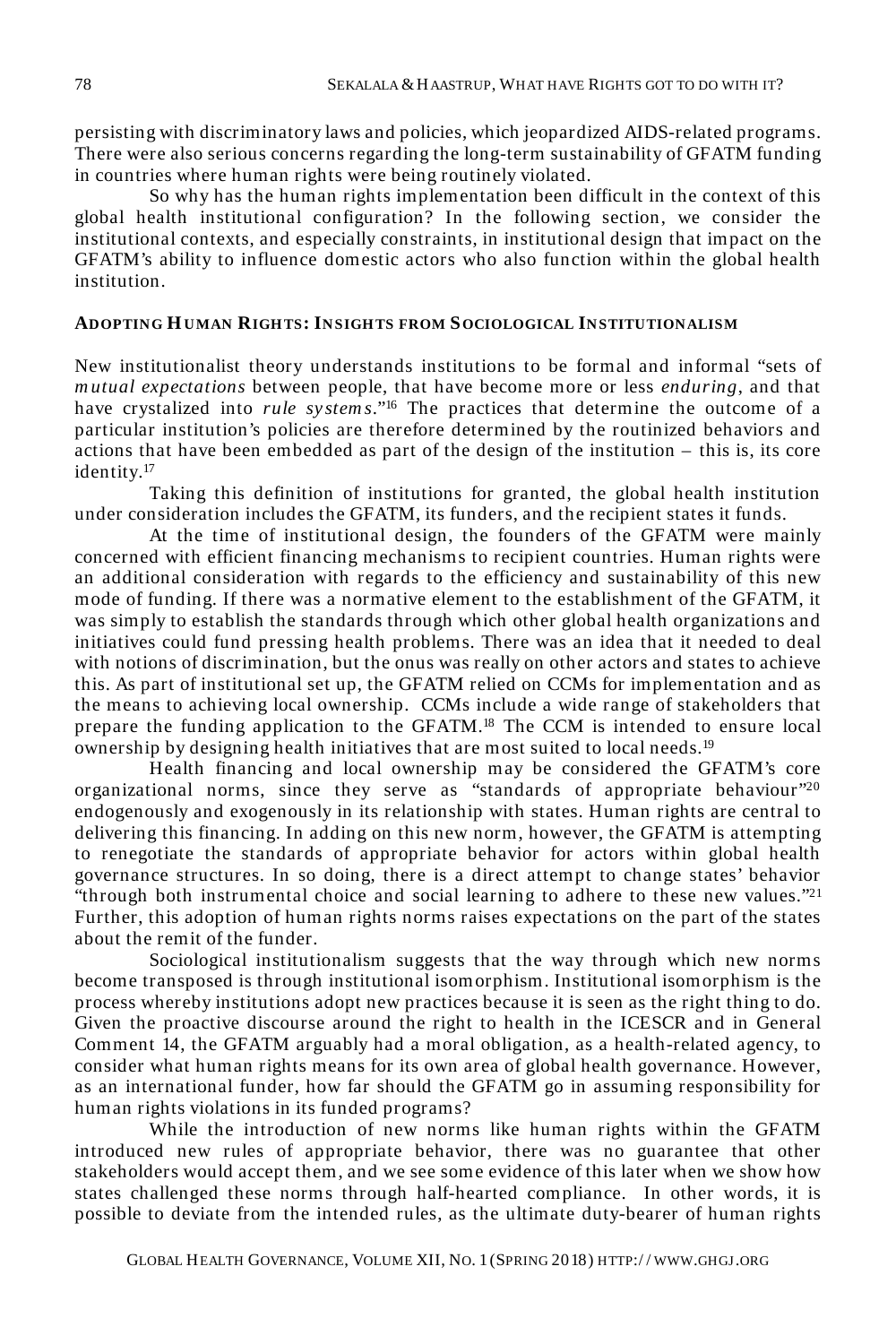persisting with discriminatory laws and policies, which jeopardized AIDS-related programs. There were also serious concerns regarding the long-term sustainability of GFATM funding in countries where human rights were being routinely violated.

So why has the human rights implementation been difficult in the context of this global health institutional configuration? In the following section, we consider the institutional contexts, and especially constraints, in institutional design that impact on the GFATM's ability to influence domestic actors who also function within the global health institution.

#### **ADOPTING HUMAN RIGH TS: INSIGH TS FROM SOCIOLOGICAL INSTITUTIONALISM**

New institutionalist theory understands institutions to be formal and informal "sets of *m utual expectations* between people, that have become more or less *enduring*, and that have crystalized into *rule sy stem s*."<sup>16</sup> The practices that determine the outcome of a particular institution's policies are therefore determined by the routinized behaviors and actions that have been embedded as part of the design of the institution – this is, its core identity.<sup>17</sup>

Taking this definition of institutions for granted, the global health institution under consideration includes the GFATM, its funders, and the recipient states it funds.

At the time of institutional design, the founders of the GFATM were mainly concerned with efficient financing mechanisms to recipient countries. Human rights were an additional consideration with regards to the efficiency and sustainability of this new mode of funding. If there was a normative element to the establishment of the GFATM, it was simply to establish the standards through which other global health organizations and initiatives could fund pressing health problems. There was an idea that it needed to deal with notions of discrimination, but the onus was really on other actors and states to achieve this. As part of institutional set up, the GFATM relied on CCMs for implementation and as the means to achieving local ownership. CCMs include a wide range of stakeholders that prepare the funding application to the GFATM.<sup>18</sup> The CCM is intended to ensure local ownership by designing health initiatives that are most suited to local needs.<sup>19</sup>

Health financing and local ownership may be considered the GFATM's core organizational norms, since they serve as "standards of appropriate behaviour"<sup>20</sup> endogenously and exogenously in its relationship with states. Human rights are central to delivering this financing. In adding on this new norm, however, the GFATM is attempting to renegotiate the standards of appropriate behavior for actors within global health governance structures. In so doing, there is a direct attempt to change states' behavior "through both instrumental choice and social learning to adhere to these new values." $2<sup>1</sup>$ Further, this adoption of human rights norms raises expectations on the part of the states about the remit of the funder.

Sociological institutionalism suggests that the way through which new norms become transposed is through institutional isomorphism. Institutional isomorphism is the process whereby institutions adopt new practices because it is seen as the right thing to do. Given the proactive discourse around the right to health in the ICESCR and in General Comment 14, the GFATM arguably had a moral obligation, as a health-related agency, to consider what human rights means for its own area of global health governance. However, as an international funder, how far should the GFATM go in assuming responsibility for human rights violations in its funded programs?

While the introduction of new norms like human rights within the GFATM introduced new rules of appropriate behavior, there was no guarantee that other stakeholders would accept them, and we see some evidence of this later when we show how states challenged these norms through half-hearted compliance. In other words, it is possible to deviate from the intended rules, as the ultimate duty-bearer of human rights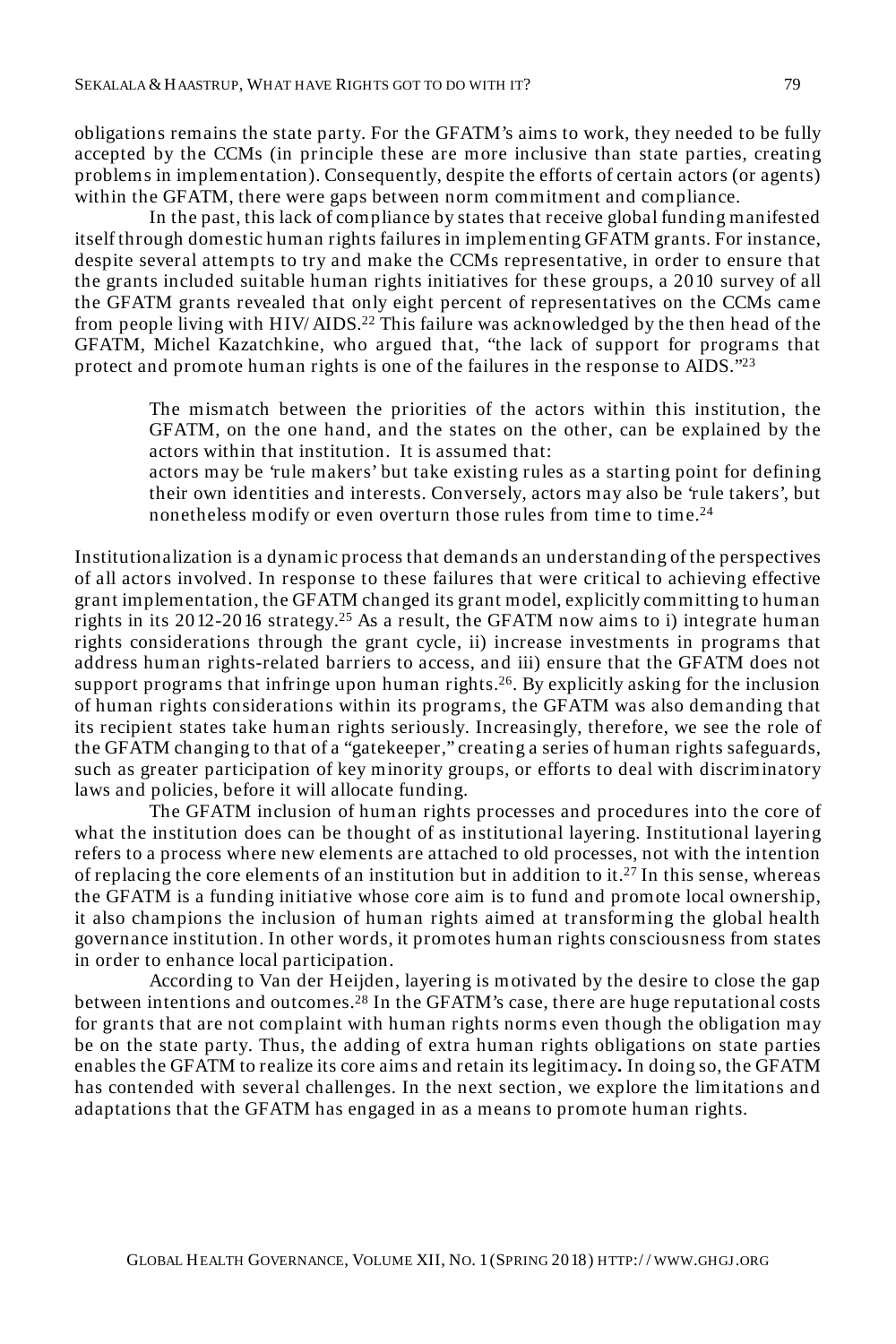obligations remains the state party. For the GFATM's aims to work, they needed to be fully accepted by the CCMs (in principle these are more inclusive than state parties, creating problems in implementation). Consequently, despite the efforts of certain actors (or agents) within the GFATM, there were gaps between norm commitment and compliance.

In the past, this lack of compliance by states that receive global funding manifested itself through domestic human rights failures in implementing GFATM grants. For instance, despite several attempts to try and make the CCMs representative, in order to ensure that the grants included suitable human rights initiatives for these groups, a 2010 survey of all the GFATM grants revealed that only eight percent of representatives on the CCMs came from people living with HIV/ AIDS.<sup>22</sup> This failure was acknowledged by the then head of the GFATM, Michel Kazatchkine, who argued that, "the lack of support for programs that protect and promote human rights is one of the failures in the response to AIDS."<sup>23</sup>

The mismatch between the priorities of the actors within this institution, the GFATM, on the one hand, and the states on the other, can be explained by the actors within that institution. It is assumed that:

actors may be 'rule makers' but take existing rules as a starting point for defining their own identities and interests. Conversely, actors may also be 'rule takers', but nonetheless modify or even overturn those rules from time to time.<sup>24</sup>

Institutionalization is a dynamic process that demands an understanding of the perspectives of all actors involved. In response to these failures that were critical to achieving effective grant implementation, the GFATM changed its grant model, explicitly committing to human rights in its  $2012-2016$  strategy.<sup>25</sup> As a result, the GFATM now aims to i) integrate human rights considerations through the grant cycle, ii) increase investments in programs that address human rights-related barriers to access, and iii) ensure that the GFATM does not support programs that infringe upon human rights.<sup>26</sup>. By explicitly asking for the inclusion of human rights considerations within its programs, the GFATM was also demanding that its recipient states take human rights seriously. Increasingly, therefore, we see the role of the GFATM changing to that of a "gatekeeper," creating a series of human rights safeguards, such as greater participation of key minority groups, or efforts to deal with discriminatory laws and policies, before it will allocate funding.

The GFATM inclusion of human rights processes and procedures into the core of what the institution does can be thought of as institutional layering. Institutional layering refers to a process where new elements are attached to old processes, not with the intention of replacing the core elements of an institution but in addition to it.<sup>27</sup> In this sense, whereas the GFATM is a funding initiative whose core aim is to fund and promote local ownership, it also champions the inclusion of human rights aimed at transforming the global health governance institution. In other words, it promotes human rights consciousness from states in order to enhance local participation.

According to Van der Heijden, layering is motivated by the desire to close the gap between intentions and outcomes.<sup>28</sup> In the GFATM's case, there are huge reputational costs for grants that are not complaint with human rights norms even though the obligation may be on the state party. Thus, the adding of extra human rights obligations on state parties enables the GFATM to realize its core aims and retain its legitimacy**.** In doing so, the GFATM has contended with several challenges. In the next section, we explore the limitations and adaptations that the GFATM has engaged in as a means to promote human rights.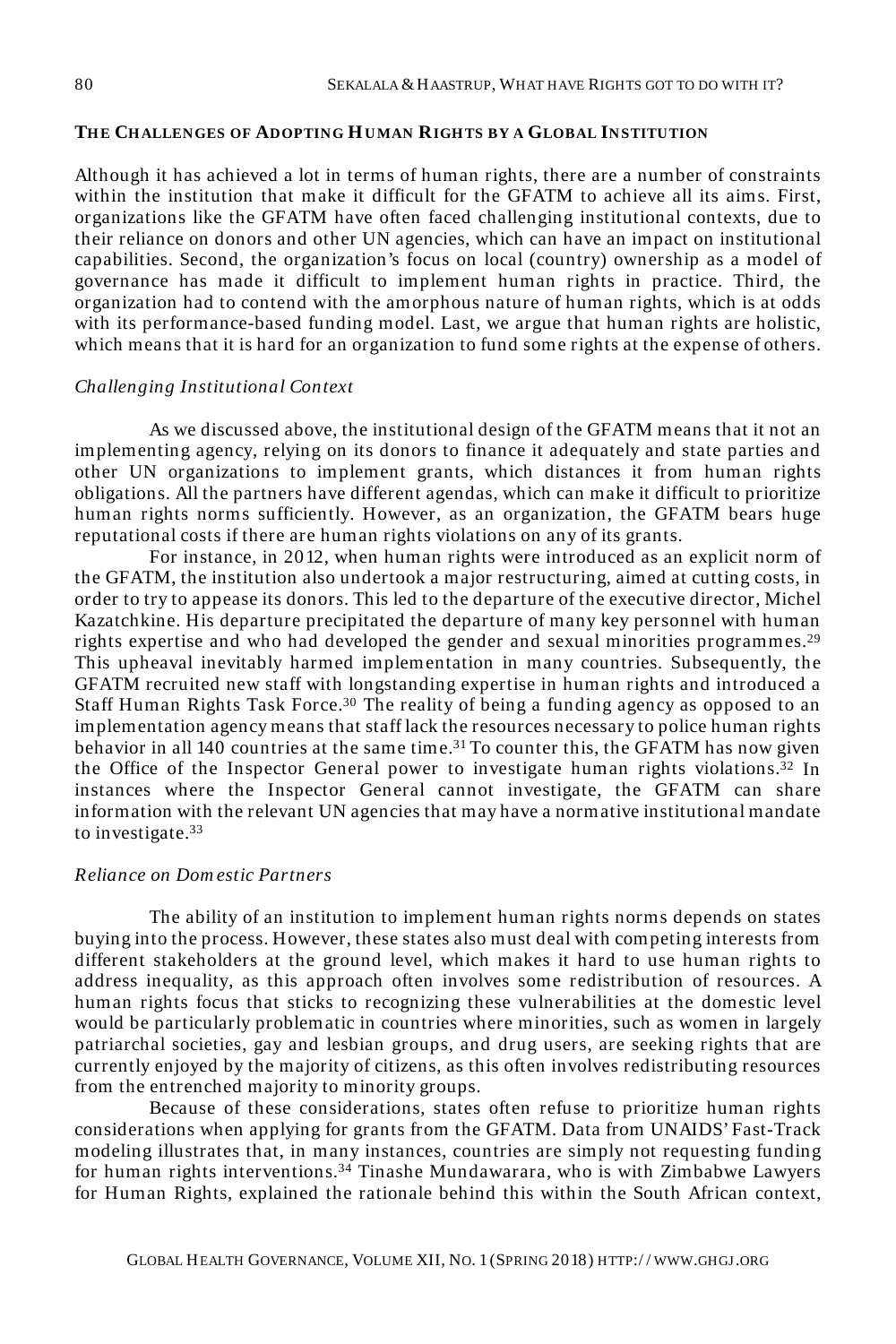#### **TH E CH ALLENGES OF ADOPTING HUMAN RIGH TS BY A GLOBAL INSTITUTION**

Although it has achieved a lot in terms of human rights, there are a number of constraints within the institution that make it difficult for the GFATM to achieve all its aims. First, organizations like the GFATM have often faced challenging institutional contexts, due to their reliance on donors and other UN agencies, which can have an impact on institutional capabilities. Second, the organization's focus on local (country) ownership as a model of governance has made it difficult to implement human rights in practice. Third, the organization had to contend with the amorphous nature of human rights, which is at odds with its performance-based funding model. Last, we argue that human rights are holistic, which means that it is hard for an organization to fund some rights at the expense of others.

#### *Challenging Institutional Context*

As we discussed above, the institutional design of the GFATM means that it not an implementing agency, relying on its donors to finance it adequately and state parties and other UN organizations to implement grants, which distances it from human rights obligations. All the partners have different agendas, which can make it difficult to prioritize human rights norms sufficiently. However, as an organization, the GFATM bears huge reputational costs if there are human rights violations on any of its grants.

For instance, in 2012, when human rights were introduced as an explicit norm of the GFATM, the institution also undertook a major restructuring, aimed at cutting costs, in order to try to appease its donors. This led to the departure of the executive director, Michel Kazatchkine. His departure precipitated the departure of many key personnel with human rights expertise and who had developed the gender and sexual minorities programmes.<sup>29</sup> This upheaval inevitably harmed implementation in many countries. Subsequently, the GFATM recruited new staff with longstanding expertise in human rights and introduced a Staff Human Rights Task Force.<sup>30</sup> The reality of being a funding agency as opposed to an implementation agency means that staff lack the resources necessary to police human rights behavior in all 140 countries at the same time.<sup>31</sup> To counter this, the GFATM has now given the Office of the Inspector General power to investigate human rights violations.<sup>32</sup> In instances where the Inspector General cannot investigate, the GFATM can share information with the relevant UN agencies that may have a normative institutional mandate to investigate.<sup>33</sup>

#### *Reliance on Dom estic Partners*

The ability of an institution to implement human rights norms depends on states buying into the process. However, these states also must deal with competing interests from different stakeholders at the ground level, which makes it hard to use human rights to address inequality, as this approach often involves some redistribution of resources. A human rights focus that sticks to recognizing these vulnerabilities at the domestic level would be particularly problematic in countries where minorities, such as women in largely patriarchal societies, gay and lesbian groups, and drug users, are seeking rights that are currently enjoyed by the majority of citizens, as this often involves redistributing resources from the entrenched majority to minority groups.

Because of these considerations, states often refuse to prioritize human rights considerations when applying for grants from the GFATM. Data from UNAIDS' Fast-Track modeling illustrates that, in many instances, countries are simply not requesting funding for human rights interventions.<sup>34</sup> Tinashe Mundawarara, who is with Zimbabwe Lawyers for Human Rights, explained the rationale behind this within the South African context,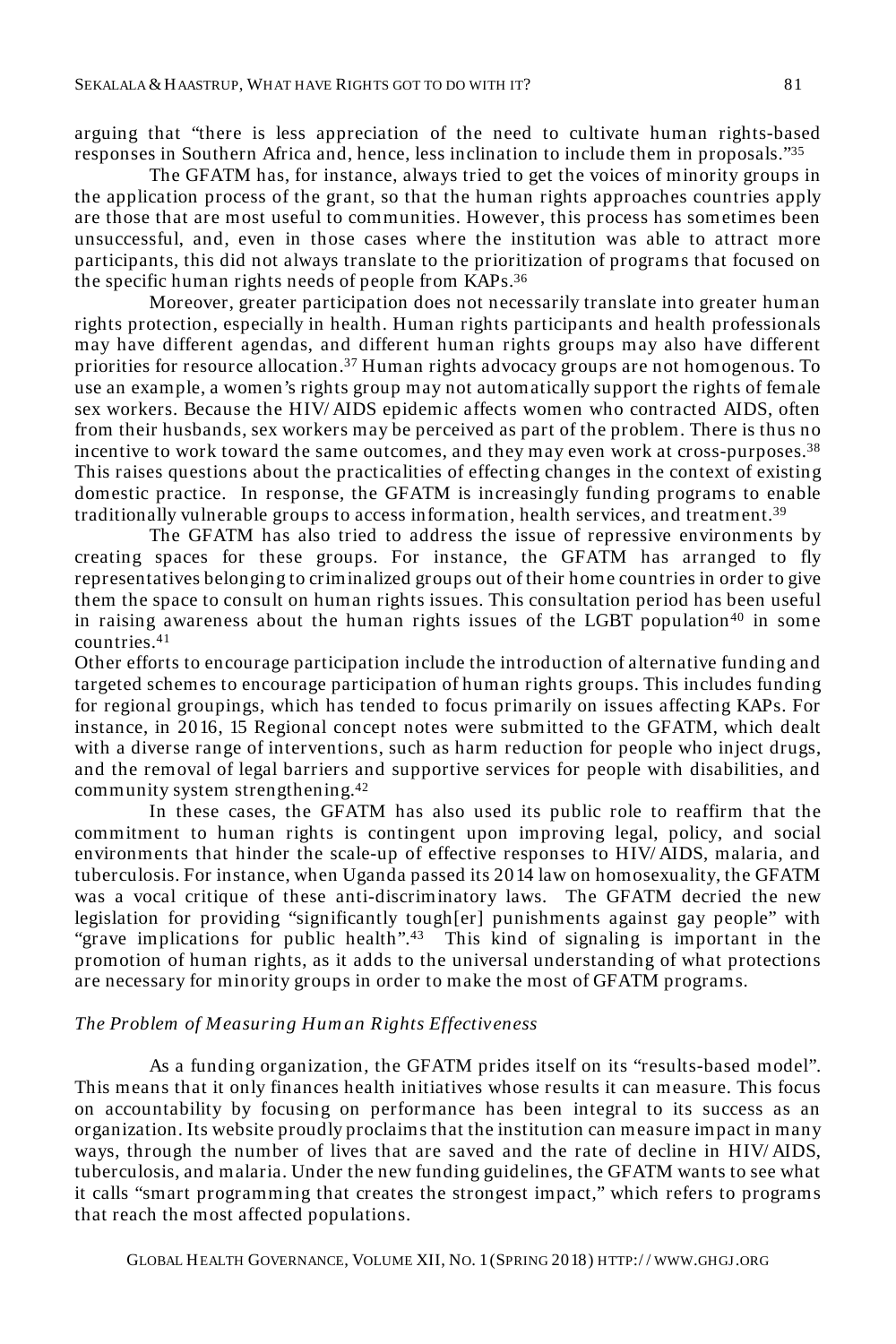arguing that "there is less appreciation of the need to cultivate human rights-based responses in Southern Africa and, hence, less inclination to include them in proposals."<sup>35</sup>

The GFATM has, for instance, always tried to get the voices of minority groups in the application process of the grant, so that the human rights approaches countries apply are those that are most useful to communities. However, this process has sometimes been unsuccessful, and, even in those cases where the institution was able to attract more participants, this did not always translate to the prioritization of programs that focused on the specific human rights needs of people from KAPs. 36

Moreover, greater participation does not necessarily translate into greater human rights protection, especially in health. Human rights participants and health professionals may have different agendas, and different human rights groups may also have different priorities for resource allocation.<sup>37</sup> Human rights advocacy groups are not homogenous. To use an example, a women's rights group may not automatically support the rights of female sex workers. Because the HIV/ AIDS epidemic affects women who contracted AIDS, often from their husbands, sex workers may be perceived as part of the problem. There is thus no incentive to work toward the same outcomes, and they may even work at cross-purposes.<sup>38</sup> This raises questions about the practicalities of effecting changes in the context of existing domestic practice. In response, the GFATM is increasingly funding programs to enable traditionally vulnerable groups to access information, health services, and treatment.<sup>39</sup>

The GFATM has also tried to address the issue of repressive environments by creating spaces for these groups. For instance, the GFATM has arranged to fly representatives belonging to criminalized groups out of their home countries in order to give them the space to consult on human rights issues. This consultation period has been useful in raising awareness about the human rights issues of the LGBT population<sup>40</sup> in some countries.<sup>41</sup>

Other efforts to encourage participation include the introduction of alternative funding and targeted schemes to encourage participation of human rights groups. This includes funding for regional groupings, which has tended to focus primarily on issues affecting KAPs. For instance, in 2016, 15 Regional concept notes were submitted to the GFATM, which dealt with a diverse range of interventions, such as harm reduction for people who inject drugs, and the removal of legal barriers and supportive services for people with disabilities, and community system strengthening.<sup>42</sup>

In these cases, the GFATM has also used its public role to reaffirm that the commitment to human rights is contingent upon improving legal, policy, and social environments that hinder the scale-up of effective responses to HIV/ AIDS, malaria, and tuberculosis. For instance, when Uganda passed its 2014 law on homosexuality, the GFATM was a vocal critique of these anti-discriminatory laws. The GFATM decried the new legislation for providing "significantly tough[er] punishments against gay people" with "grave implications for public health".<sup>43</sup> This kind of signaling is important in the promotion of human rights, as it adds to the universal understanding of what protections are necessary for minority groups in order to make the most of GFATM programs.

#### *The Problem of Measuring Hum an Rights Effectiveness*

As a funding organization, the GFATM prides itself on its "results-based model". This means that it only finances health initiatives whose results it can measure. This focus on accountability by focusing on performance has been integral to its success as an organization. Its website proudly proclaims that the institution can measure impact in many ways, through the number of lives that are saved and the rate of decline in HIV/ AIDS, tuberculosis, and malaria. Under the new funding guidelines, the GFATM wants to see what it calls "smart programming that creates the strongest impact," which refers to programs that reach the most affected populations.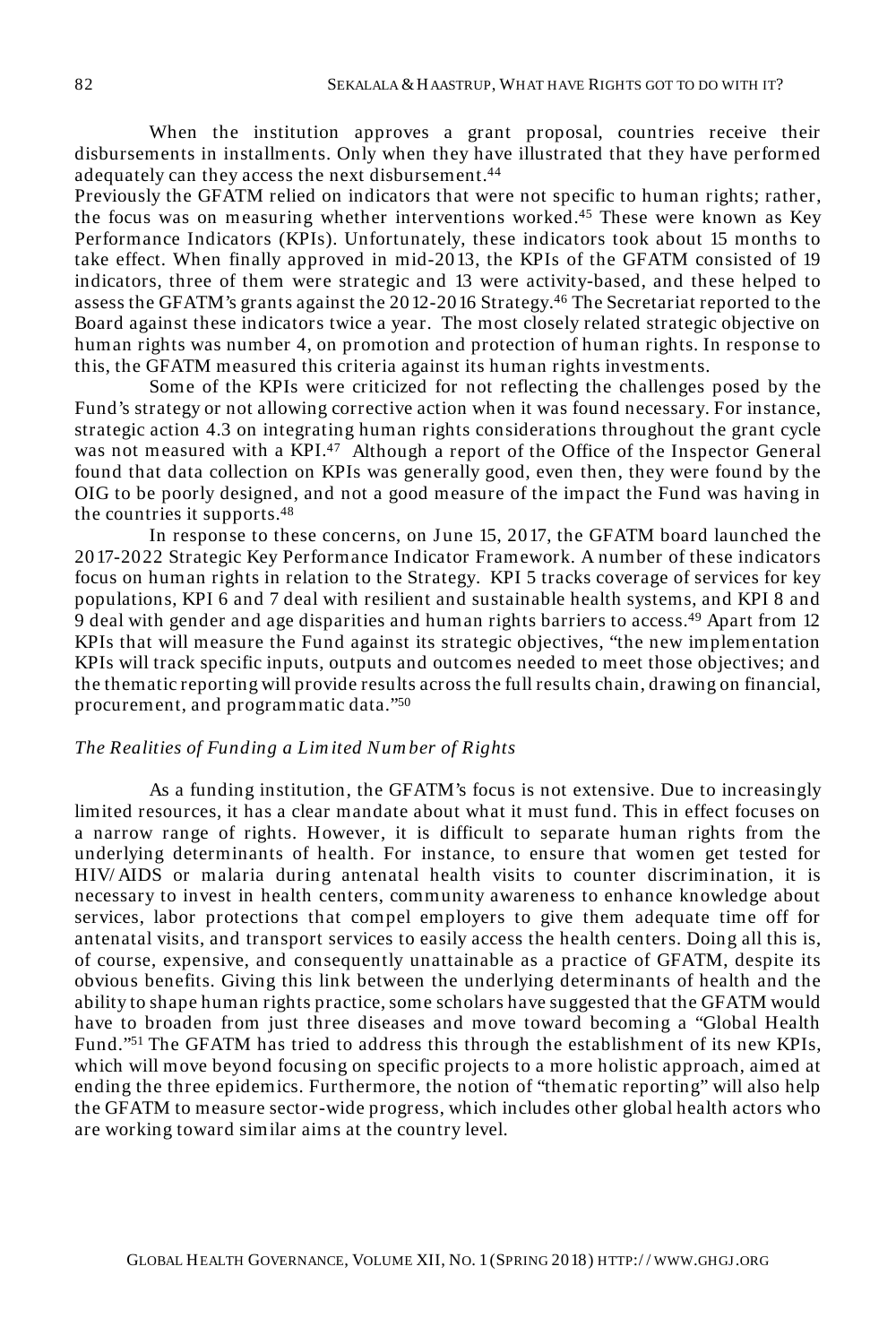When the institution approves a grant proposal, countries receive their disbursements in installments. Only when they have illustrated that they have performed adequately can they access the next disbursement.<sup>44</sup>

Previously the GFATM relied on indicators that were not specific to human rights; rather, the focus was on measuring whether interventions worked.<sup>45</sup> These were known as Key Performance Indicators (KPIs). Unfortunately, these indicators took about 15 months to take effect. When finally approved in mid-2013, the KPIs of the GFATM consisted of 19 indicators, three of them were strategic and 13 were activity-based, and these helped to assess the GFATM's grants against the 2012-2016 Strategy.<sup>46</sup> The Secretariat reported to the Board against these indicators twice a year. The most closely related strategic objective on human rights was number 4, on promotion and protection of human rights. In response to this, the GFATM measured this criteria against its human rights investments.

Some of the KPIs were criticized for not reflecting the challenges posed by the Fund's strategy or not allowing corrective action when it was found necessary. For instance, strategic action 4.3 on integrating human rights considerations throughout the grant cycle was not measured with a KPI.<sup>47</sup> Although a report of the Office of the Inspector General found that data collection on KPIs was generally good, even then, they were found by the OIG to be poorly designed, and not a good measure of the impact the Fund was having in the countries it supports.<sup>48</sup>

In response to these concerns, on June 15, 2017, the GFATM board launched the 2017-2022 Strategic Key Performance Indicator Framework. A number of these indicators focus on human rights in relation to the Strategy. KPI 5 tracks coverage of services for key populations, KPI 6 and 7 deal with resilient and sustainable health systems, and KPI 8 and 9 deal with gender and age disparities and human rights barriers to access.<sup>49</sup> Apart from 12 KPIs that will measure the Fund against its strategic objectives, "the new implementation KPIs will track specific inputs, outputs and outcomes needed to meet those objectives; and the thematic reporting will provide results across the full results chain, drawing on financial, procurement, and programmatic data."<sup>50</sup>

#### *The Realities of Funding a Lim ited Num ber of Rights*

As a funding institution, the GFATM's focus is not extensive. Due to increasingly limited resources, it has a clear mandate about what it must fund. This in effect focuses on a narrow range of rights. However, it is difficult to separate human rights from the underlying determinants of health. For instance, to ensure that women get tested for HIV/ AIDS or malaria during antenatal health visits to counter discrimination, it is necessary to invest in health centers, community awareness to enhance knowledge about services, labor protections that compel employers to give them adequate time off for antenatal visits, and transport services to easily access the health centers. Doing all this is, of course, expensive, and consequently unattainable as a practice of GFATM, despite its obvious benefits. Giving this link between the underlying determinants of health and the ability to shape human rights practice, some scholars have suggested that the GFATM would have to broaden from just three diseases and move toward becoming a "Global Health Fund."<sup>51</sup> The GFATM has tried to address this through the establishment of its new KPIs, which will move beyond focusing on specific projects to a more holistic approach, aimed at ending the three epidemics. Furthermore, the notion of "thematic reporting" will also help the GFATM to measure sector-wide progress, which includes other global health actors who are working toward similar aims at the country level.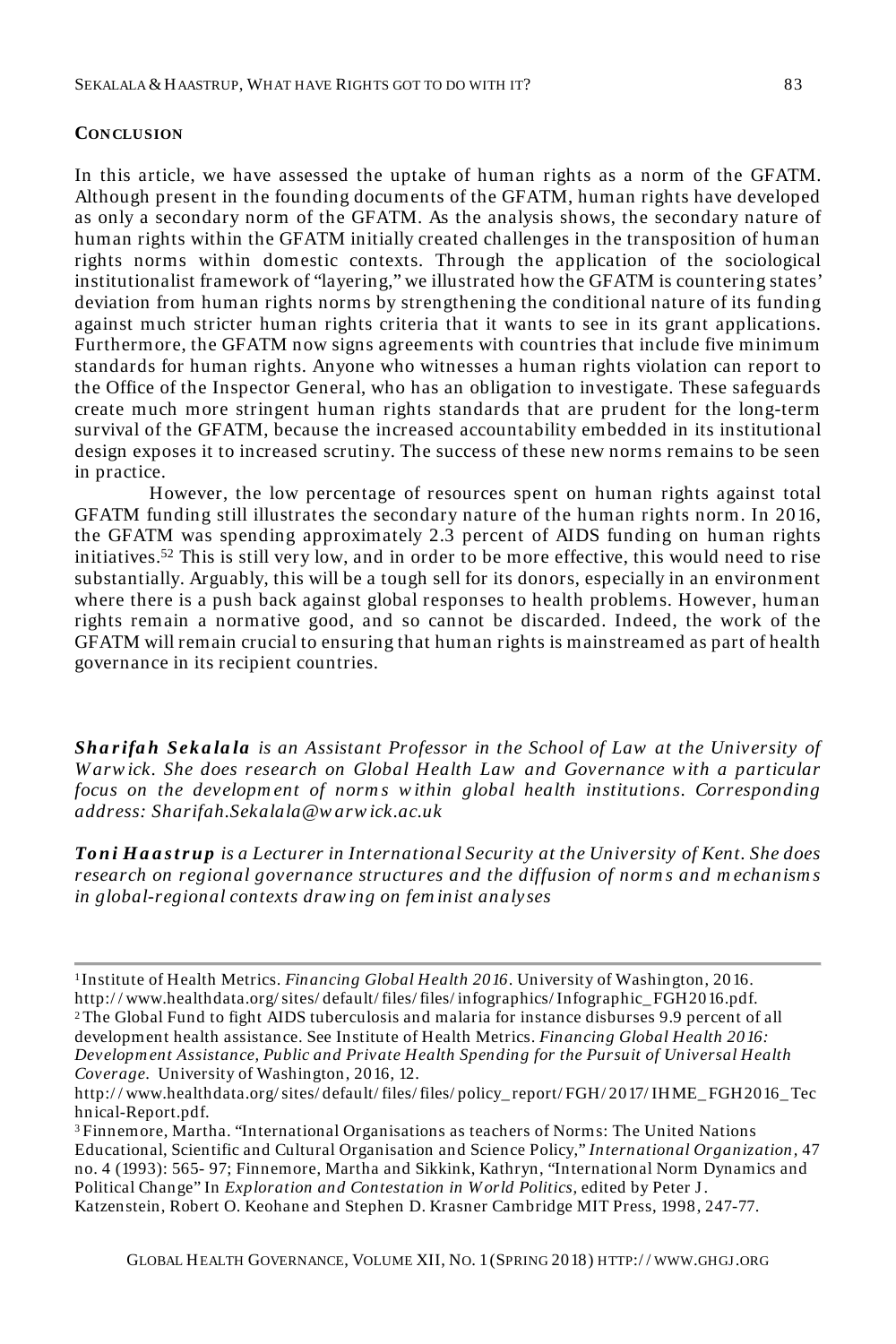#### **CONCLUSION**

In this article, we have assessed the uptake of human rights as a norm of the GFATM. Although present in the founding documents of the GFATM, human rights have developed as only a secondary norm of the GFATM. As the analysis shows, the secondary nature of human rights within the GFATM initially created challenges in the transposition of human rights norms within domestic contexts. Through the application of the sociological institutionalist framework of "layering," we illustrated how the GFATM is countering states' deviation from human rights norms by strengthening the conditional nature of its funding against much stricter human rights criteria that it wants to see in its grant applications. Furthermore, the GFATM now signs agreements with countries that include five minimum standards for human rights. Anyone who witnesses a human rights violation can report to the Office of the Inspector General, who has an obligation to investigate. These safeguards create much more stringent human rights standards that are prudent for the long-term survival of the GFATM, because the increased accountability embedded in its institutional design exposes it to increased scrutiny. The success of these new norms remains to be seen in practice.

However, the low percentage of resources spent on human rights against total GFATM funding still illustrates the secondary nature of the human rights norm. In 2016, the GFATM was spending approximately 2.3 percent of AIDS funding on human rights initiatives.<sup>52</sup> This is still very low, and in order to be more effective, this would need to rise substantially. Arguably, this will be a tough sell for its donors, especially in an environment where there is a push back against global responses to health problems. However, human rights remain a normative good, and so cannot be discarded. Indeed, the work of the GFATM will remain crucial to ensuring that human rights is mainstreamed as part of health governance in its recipient countries.

*Sha r ifa h Seka la la is an Assistant Professor in the School of Law at the University of W arw ick. She does research on Global Health Law and Governance w ith a particular*  focus on the development of norms within global health institutions. Corresponding *address: Sharifah.Sekalala@w arw ick.ac.uk*

*To n i H a a s t r up is a Lecturer in International Security at the University of Kent. She does research on regional governance structures and the diffusion of norm s and m echanism s in global-regional contexts draw ing on fem inist analyses*

<sup>3</sup>Finnemore, Martha. "International Organisations as teachers of Norms: The United Nations Educational, Scientific and Cultural Organisation and Science Policy," *International Organization,* 47 no. 4 (1993): 565- 97; Finnemore, Martha and Sikkink, Kathryn, "International Norm Dynamics and Political Change" In *Exploration and Contestation in W orld Politics,* edited by Peter J . Katzenstein, Robert O. Keohane and Stephen D. Krasner Cambridge MIT Press, 1998, 247-77.

<sup>1</sup>Institute of Health Metrics. *Financing Global Health 2016*. University of Washington, 2016. http:/ / www.healthdata.org/ sites/ default/ files/ files/ infographics/ Infographic\_ FGH2016.pdf. <sup>2</sup>The Global Fund to fight AIDS tuberculosis and malaria for instance disburses 9.9 percent of all development health assistance. See Institute of Health Metrics. *Financing Global Health 2016: Developm ent Assistance, Public and Private Health Spending for the Pursuit of Universal Health Coverage*. University of Washington, 2016, 12.

http:/ / www.healthdata.org/ sites/ default/ files/ files/ policy\_ report/ FGH/ 2017/ IHME\_ FGH2016\_ Tec hnical-Report.pdf.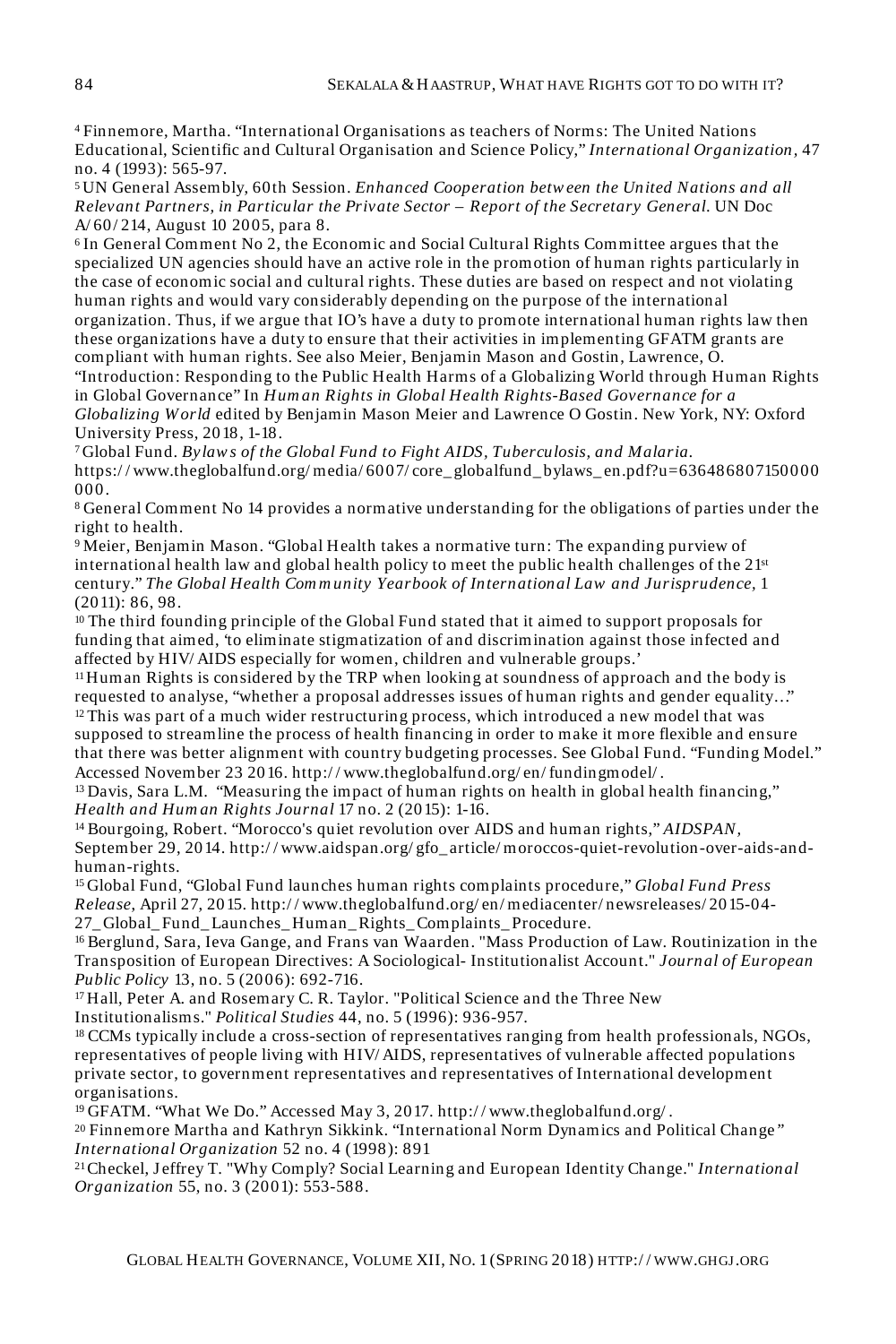<sup>4</sup>Finnemore, Martha. "International Organisations as teachers of Norms: The United Nations Educational, Scientific and Cultural Organisation and Science Policy," *International Organization,* 47 no. 4 (1993): 565-97.

<sup>5</sup>UN General Assembly, 60th Session. *Enhanced Cooperation betw een the United Nations and all Relevant Partners, in Particular the Private Sector – Report of the Secretary General*. UN Doc A/ 60/ 214, August 10 2005, para 8.

<sup>6</sup>In General Comment No 2, the Economic and Social Cultural Rights Committee argues that the specialized UN agencies should have an active role in the promotion of human rights particularly in the case of economic social and cultural rights. These duties are based on respect and not violating human rights and would vary considerably depending on the purpose of the international organization. Thus, if we argue that IO's have a duty to promote international human rights law then these organizations have a duty to ensure that their activities in implementing GFATM grants are compliant with human rights. See also Meier, Benjamin Mason and Gostin, Lawrence, O. "Introduction: Responding to the Public Health Harms of a Globalizing World through Human Rights in Global Governance" In *Hum an Rights in Global Health Rights-Based Governance for a* 

*Globalizing W orld* edited by Benjamin Mason Meier and Lawrence O Gostin. New York, NY: Oxford University Press, 2018, 1-18.

<sup>7</sup>Global Fund. *Bylaw s of the Global Fund to Fight AIDS, Tuberculosis, and Malaria.* https:/ / www.theglobalfund.org/ media/ 6007/ core\_ globalfund\_ bylaws\_ en.pdf?u=636486807150000 000.

<sup>8</sup>General Comment No 14 provides a normative understanding for the obligations of parties under the right to health.

<sup>9</sup>Meier, Benjamin Mason. "Global Health takes a normative turn: The expanding purview of international health law and global health policy to meet the public health challenges of the 21st century." *The Global Health Com m unity Yearbook of International Law and Jurisprudence,* 1 (2011): 86, 98.

<sup>10</sup>The third founding principle of the Global Fund stated that it aimed to support proposals for funding that aimed, 'to eliminate stigmatization of and discrimination against those infected and affected by HIV/ AIDS especially for women, children and vulnerable groups.'

 $11$ Human Rights is considered by the TRP when looking at soundness of approach and the body is requested to analyse, "whether a proposal addresses issues of human rights and gender equality…" <sup>12</sup>This was part of a much wider restructuring process, which introduced a new model that was supposed to streamline the process of health financing in order to make it more flexible and ensure that there was better alignment with country budgeting processes. See Global Fund. "Funding Model."

Accessed November 23 2016. http:/ / www.theglobalfund.org/ en/ fundingmodel/ .

<sup>13</sup>Davis, Sara L.M. "Measuring the impact of human rights on health in global health financing," *Health and Hum an Rights Journal* 17 no. 2 (2015): 1-16.

<sup>14</sup>Bourgoing, Robert. "Morocco's quiet revolution over AIDS and human rights," *AIDSPAN,*  September 29, 2014. http:/ / www.aidspan.org/ gfo\_ article/ moroccos-quiet-revolution-over-aids-andhuman-rights.

<sup>15</sup>Global Fund, "Global Fund launches human rights complaints procedure," *Global Fund Press Release*, April 27, 2015. http:/ / www.theglobalfund.org/ en/ mediacenter/ newsreleases/ 2015-04- 27\_ Global\_ Fund\_ Launches\_ Human\_ Rights\_ Complaints\_ Procedure.

16 Berglund, Sara, Ieva Gange, and Frans van Waarden. "Mass Production of Law. Routinization in the Transposition of European Directives: A Sociological- Institutionalist Account." *Journal of European Public Policy* 13, no. 5 (2006): 692-716.

<sup>17</sup>Hall, Peter A. and Rosemary C. R. Taylor. "Political Science and the Three New Institutionalisms." *Political Studies* 44, no. 5 (1996): 936-957.

<sup>18</sup>CCMs typically include a cross-section of representatives ranging from health professionals, NGOs, representatives of people living with HIV/ AIDS, representatives of vulnerable affected populations private sector, to government representatives and representatives of International development organisations.

<sup>19</sup>GFATM. "What We Do." Accessed May 3, 2017. http:/ / www.theglobalfund.org/ .

<sup>20</sup>Finnemore Martha and Kathryn Sikkink. "International Norm Dynamics and Political Change*" International Organization* 52 no. 4 (1998): 891

<sup>21</sup>Checkel, J effrey T. "Why Comply? Social Learning and European Identity Change." *International Organization* 55, no. 3 (2001): 553-588.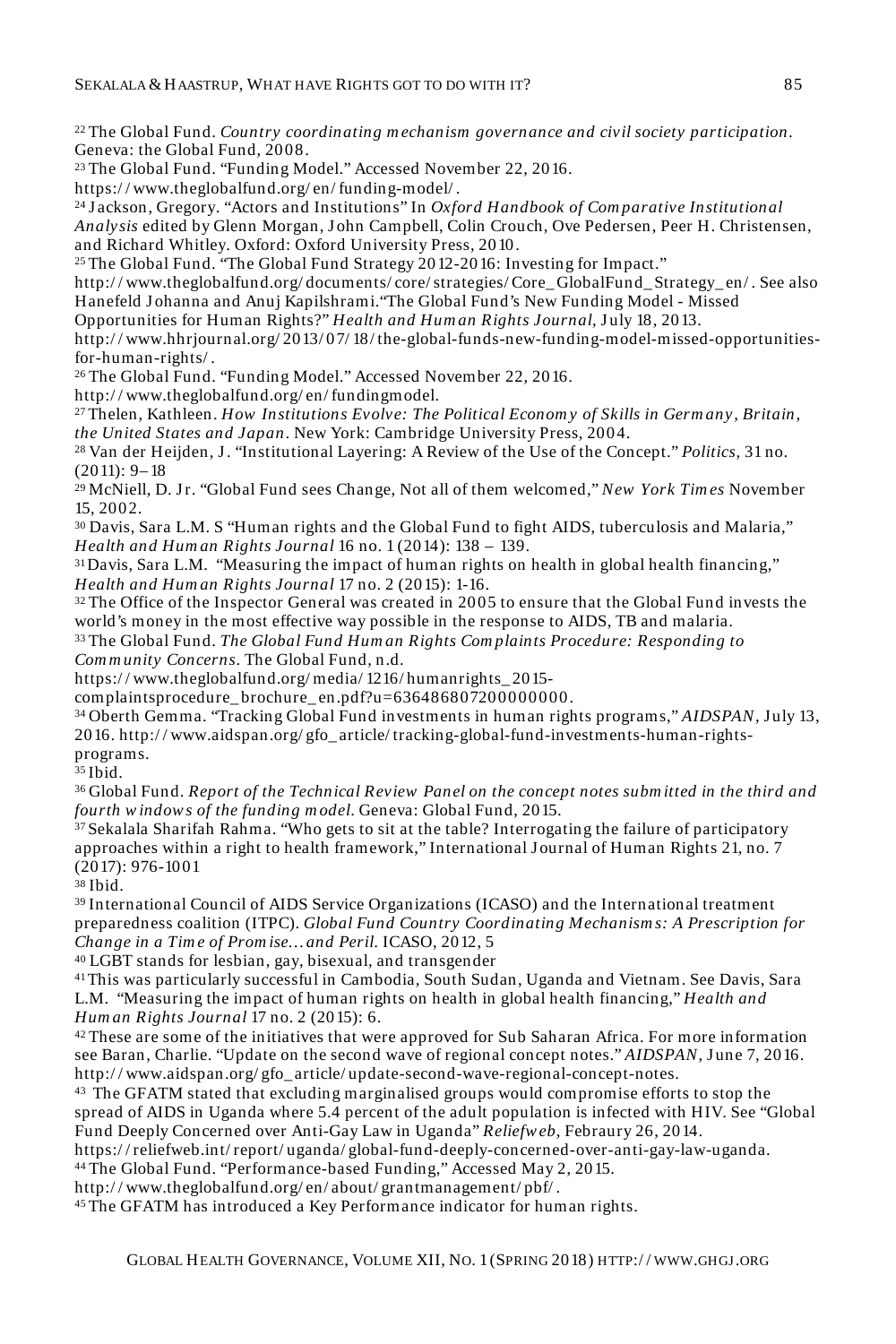<sup>22</sup> The Global Fund. *Country coordinating m echanism governance and civil society participation.*  Geneva: the Global Fund, 2008.

<sup>23</sup>The Global Fund. "Funding Model." Accessed November 22, 2016.

https:/ / www.theglobalfund.org/ en/ funding-model/ .

<sup>24</sup>J ackson, Gregory. "Actors and Institutions" In *Oxford Handbook of Com parative Institutional Analysis* edited by Glenn Morgan, J ohn Campbell, Colin Crouch, Ove Pedersen, Peer H. Christensen, and Richard Whitley. Oxford: Oxford University Press, 2010.

<sup>25</sup> The Global Fund. "The Global Fund Strategy 2012-2016: Investing for Impact."

http://www.theglobalfund.org/documents/core/strategies/Core\_ GlobalFund\_Strategy\_en/. See also Hanefeld J ohanna and Anuj Kapilshrami."The Global Fund's New Funding Model - Missed

Opportunities for Human Rights?" *Health and Hum an Rights Journal*, July 18, 2013.

http:/ / www.hhrjournal.org/ 2013/ 07/ 18/ the-global-funds-new-funding-model-missed-opportunitiesfor-human-rights/ .

<sup>26</sup>The Global Fund. "Funding Model." Accessed November 22, 2016.

http:/ / www.theglobalfund.org/ en/ fundingmodel.

<sup>27</sup>Thelen, Kathleen. *How Institutions Evolve: The Political Econom y of Skills in Germ any, Britain, the United States and Japan*. New York: Cambridge University Press, 2004.

<sup>28</sup>Van der Heijden, J . "Institutional Layering: A Review of the Use of the Concept." *Politics*, 31 no. (2011): 9– 18

<sup>29</sup> McNiell, D. Jr. "Global Fund sees Change, Not all of them welcomed," *New York Times* November 15, 2002.

<sup>30</sup>Davis, Sara L.M. S "Human rights and the Global Fund to fight AIDS, tuberculosis and Malaria," *Health and Hum an Rights Journal* 16 no. 1 (2014): 138 – 139.

<sup>31</sup>Davis, Sara L.M. "Measuring the impact of human rights on health in global health financing," *Health and Hum an Rights Journal* 17 no. 2 (2015): 1-16.

<sup>32</sup>The Office of the Inspector General was created in 2005 to ensure that the Global Fund invests the world's money in the most effective way possible in the response to AIDS, TB and malaria.

<sup>33</sup>The Global Fund. *The Global Fund Hum an Rights Com plaints Procedure: Responding to Com m unity Concerns*. The Global Fund, n.d.

https:/ / www.theglobalfund.org/ media/ 1216/ humanrights\_ 2015-

complaintsprocedure\_ brochure\_ en.pdf?u=636486807200000000.

<sup>34</sup>Oberth Gemma. "Tracking Global Fund investments in human rights programs," *AIDSPAN*, July 13, 2016. http:/ / www.aidspan.org/ gfo\_ article/ tracking-global-fund-investments-human-rightsprograms.

 $35$  Ibid.

<sup>36</sup>Global Fund. *Report of the Technical Review Panel on the concept notes subm itted in the third and fourth w indow s of the funding m odel*. Geneva: Global Fund, 2015.

<sup>37</sup>Sekalala Sharifah Rahma. "Who gets to sit at the table? Interrogating the failure of participatory approaches within a right to health framework," International J ournal of Human Rights 21, no. 7 (2017): 976-1001

<sup>38</sup>Ibid.

<sup>39</sup>International Council of AIDS Service Organizations (ICASO) and the International treatment preparedness coalition (ITPC). *Global Fund Country Coordinating Mechanism s: A Prescription for Change in a Tim e of Prom ise… and Peril.* ICASO, 2012, 5

<sup>40</sup>LGBT stands for lesbian, gay, bisexual, and transgender

<sup>41</sup>This was particularly successful in Cambodia, South Sudan, Uganda and Vietnam. See Davis, Sara L.M. "Measuring the impact of human rights on health in global health financing," *Health and Hum an Rights Journal* 17 no. 2 (2015): 6.

<sup>42</sup> These are some of the initiatives that were approved for Sub Saharan Africa. For more information see Baran, Charlie. "Update on the second wave of regional concept notes." *AIDSPAN*, June 7, 2016. http:/ / www.aidspan.org/ gfo\_ article/ update-second-wave-regional-concept-notes.

<sup>43</sup>The GFATM stated that excluding marginalised groups would compromise efforts to stop the spread of AIDS in Uganda where 5.4 percent of the adult population is infected with HIV. See "Global Fund Deeply Concerned over Anti-Gay Law in Uganda" *Reliefw eb,* Febraury 26, 2014.

https:/ / reliefweb.int/ report/ uganda/ global-fund-deeply-concerned-over-anti-gay-law-uganda.

<sup>44</sup>The Global Fund. "Performance-based Funding," Accessed May 2, 2015.

http:/ / www.theglobalfund.org/ en/ about/ grantmanagement/ pbf/ .

45 The GFATM has introduced a Key Performance indicator for human rights.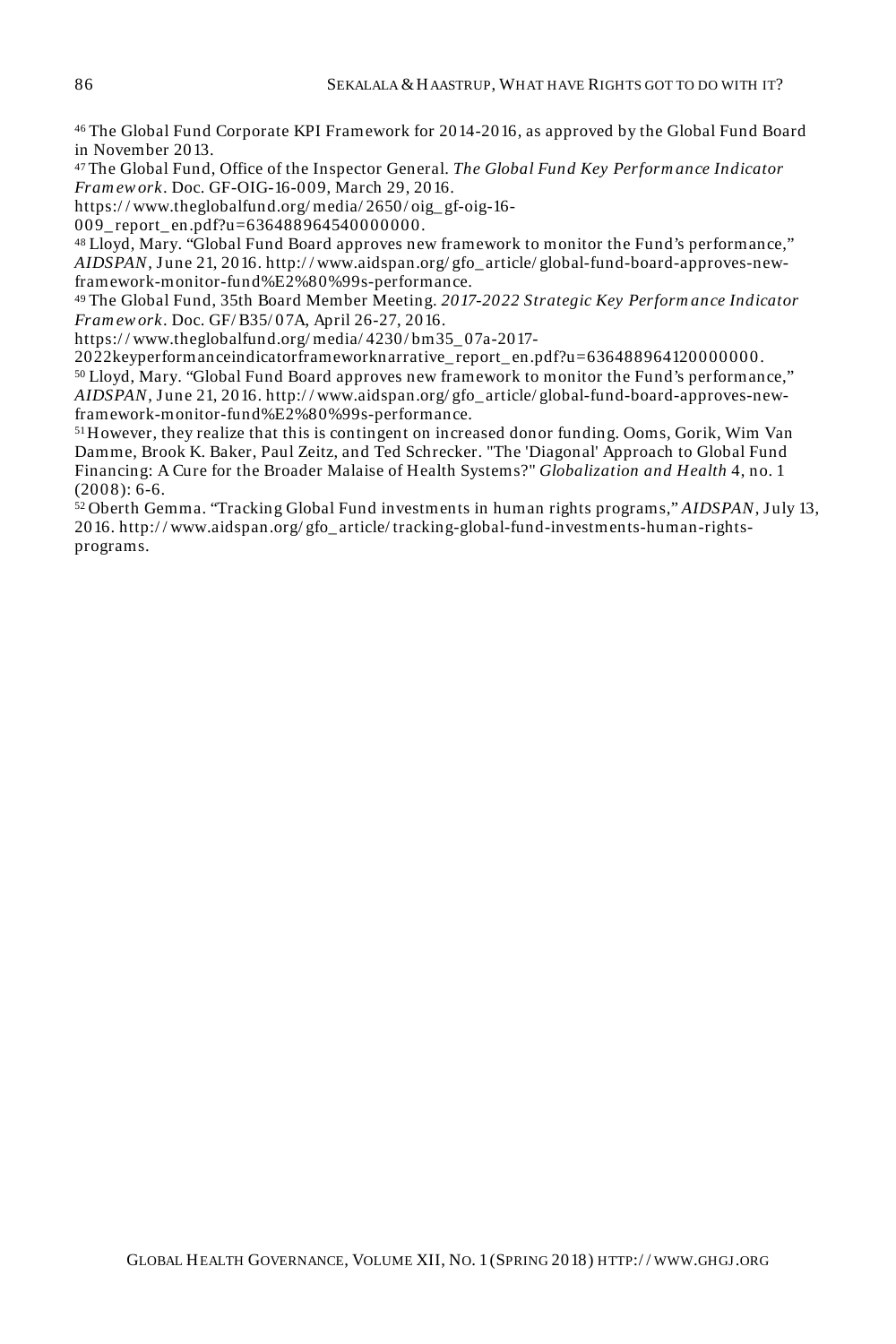<sup>46</sup>The Global Fund Corporate KPI Framework for 2014-2016, as approved by the Global Fund Board in November 2013.

<sup>47</sup>The Global Fund, Office of the Inspector General. *The Global Fund Key Perform ance Indicator Fram ew ork*. Doc. GF-OIG-16-009, March 29, 2016.

https:/ / www.theglobalfund.org/ media/ 2650/ oig\_ gf-oig-16-

009 report en.pdf?u=636488964540000000.

48 Lloyd, Mary. "Global Fund Board approves new framework to monitor the Fund's performance," *AIDSPAN*, June 21, 2016. http:/ / www.aidspan.org/ gfo\_ article/ global-fund-board-approves-newframework-monitor-fund%E2%80%99s-performance.

<sup>49</sup>The Global Fund, 35th Board Member Meeting. *2017-2022 Strategic Key Perform ance Indicator Fram ew ork*. Doc. GF/ B35/ 07A, April 26-27, 2016.

https:/ / www.theglobalfund.org/ media/ 4230/ bm35\_ 07a-2017-

2022keyperformanceindicatorframeworknarrative\_ report\_ en.pdf?u=636488964120000000.

<sup>50</sup>Lloyd, Mary. "Global Fund Board approves new framework to monitor the Fund's performance," *AIDSPAN*, June 21, 2016. http:/ / www.aidspan.org/ gfo\_ article/ global-fund-board-approves-newframework-monitor-fund%E2%80%99s-performance.

<sup>51</sup>However, they realize that this is contingent on increased donor funding. Ooms, Gorik, Wim Van Damme, Brook K. Baker, Paul Zeitz, and Ted Schrecker. "The 'Diagonal' Approach to Global Fund Financing: A Cure for the Broader Malaise of Health Systems?" *Globalization and Health* 4, no. 1  $(2008): 6-6.$ 

<sup>52</sup>Oberth Gemma. "Tracking Global Fund investments in human rights programs," *AIDSPAN*, July 13, 2016. http:/ / www.aidspan.org/ gfo\_ article/ tracking-global-fund-investments-human-rightsprograms.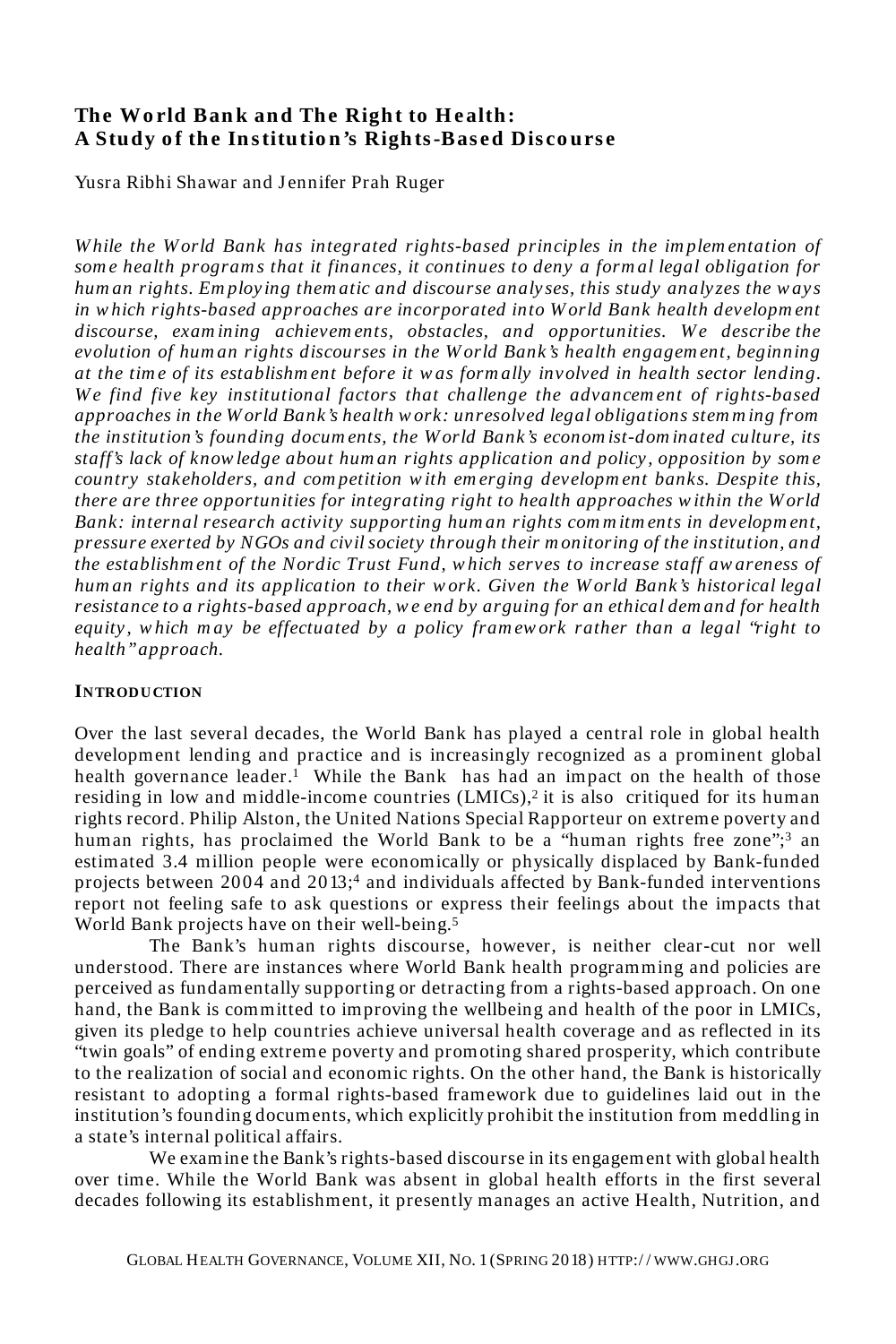## **The World Bank and The Right to Health:** A Study of the Institution's Rights-Based Discourse

Yusra Ribhi Shawar and Jennifer Prah Ruger

*W hile the W orld Bank has integrated rights-based principles in the im plem entation of som e health program s that it finances, it continues to deny a form al legal obligation for hum an rights. Em ploy ing them atic and discourse analy ses, this study analyzes the w ays in w hich rights-based approaches are incorporated into W orld Bank health developm ent discourse, examining achievements, obstacles, and opportunities. We describe the evolution of hum an rights discourses in the W orld Bank's health engagem ent, beginning at the tim e of its establishm ent before it w as form ally involved in health sector lending. W e find five key institutional factors that challenge the advancem ent of rights-based approaches in the W orld Bank's health w ork: unresolved legal obligations stem m ing from the institution's founding docum ents, the W orld Bank's econom ist-dom inated culture, its staff's lack of know ledge about hum an rights application and policy, opposition by som e country stakeholders, and com petition w ith em erging developm ent banks. Despite this, there are three opportunities for integrating right to health approaches w ithin the W orld Bank: internal research activity supporting hum an rights com m itm ents in developm ent, pressure exerted by NGOs and civil society through their m onitoring of the institution, and the establishm ent of the Nordic Trust Fund, w hich serves to increase staff aw areness of hum an rights and its application to their w ork. Given the W orld Bank's historical legal resistance to a rights-based approach, w e end by arguing for an ethical dem and for health equity, w hich m ay be effectuated by a policy fram ework rather than a legal "right to health" approach.* 

#### **INTRODUCTION**

Over the last several decades, the World Bank has played a central role in global health development lending and practice and is increasingly recognized as a prominent global health governance leader.<sup>1</sup> While the Bank has had an impact on the health of those residing in low and middle-income countries (LMICs),<sup>2</sup> it is also critiqued for its human rights record. Philip Alston, the United Nations Special Rapporteur on extreme poverty and human rights, has proclaimed the World Bank to be a "human rights free zone";<sup>3</sup> an estimated 3.4 million people were economically or physically displaced by Bank-funded projects between 2004 and 2013;<sup>4</sup> and individuals affected by Bank-funded interventions report not feeling safe to ask questions or express their feelings about the impacts that World Bank projects have on their well-being.<sup>5</sup>

The Bank's human rights discourse, however, is neither clear-cut nor well understood. There are instances where World Bank health programming and policies are perceived as fundamentally supporting or detracting from a rights-based approach. On one hand, the Bank is committed to improving the wellbeing and health of the poor in LMICs, given its pledge to help countries achieve universal health coverage and as reflected in its "twin goals" of ending extreme poverty and promoting shared prosperity, which contribute to the realization of social and economic rights. On the other hand, the Bank is historically resistant to adopting a formal rights-based framework due to guidelines laid out in the institution's founding documents, which explicitly prohibit the institution from meddling in a state's internal political affairs.

We examine the Bank's rights-based discourse in its engagement with global health over time. While the World Bank was absent in global health efforts in the first several decades following its establishment, it presently manages an active Health, Nutrition, and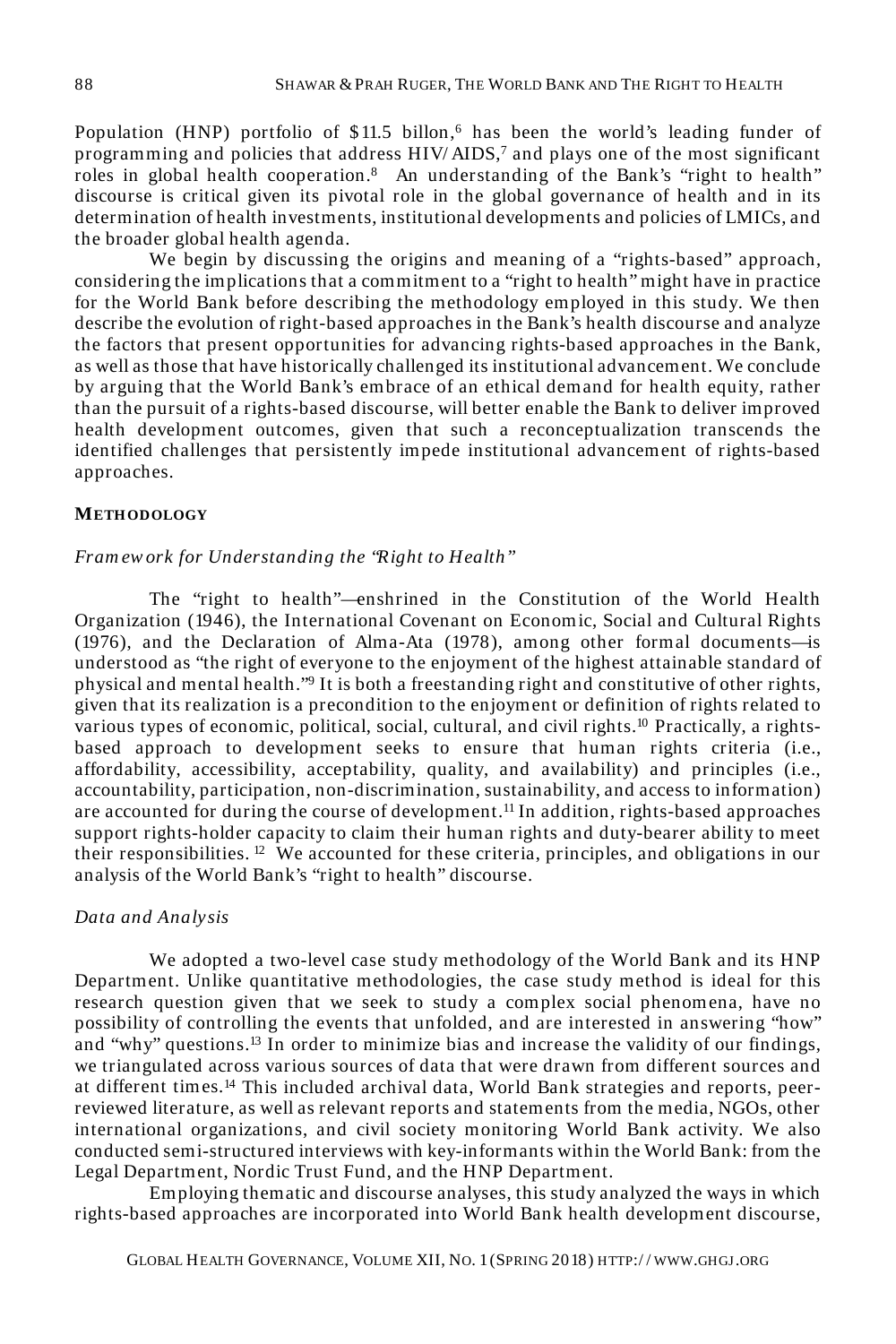Population (HNP) portfolio of  $$11.5$  billon, has been the world's leading funder of programming and policies that address HIV/AIDS,<sup>7</sup> and plays one of the most significant roles in global health cooperation.<sup>8</sup> An understanding of the Bank's "right to health" discourse is critical given its pivotal role in the global governance of health and in its determination of health investments, institutional developments and policies of LMICs, and the broader global health agenda.

We begin by discussing the origins and meaning of a "rights-based" approach, considering the implications that a commitment to a "right to health" might have in practice for the World Bank before describing the methodology employed in this study. We then describe the evolution of right-based approaches in the Bank's health discourse and analyze the factors that present opportunities for advancing rights-based approaches in the Bank, as well as those that have historically challenged its institutional advancement. We conclude by arguing that the World Bank's embrace of an ethical demand for health equity, rather than the pursuit of a rights-based discourse, will better enable the Bank to deliver improved health development outcomes, given that such a reconceptualization transcends the identified challenges that persistently impede institutional advancement of rights-based approaches.

#### **METH ODOLOGY**

#### *Fram ew ork for Understanding the "Right to Health"*

The "right to health"—enshrined in the Constitution of the World Health Organization (1946), the International Covenant on Economic, Social and Cultural Rights (1976), and the Declaration of Alma-Ata (1978), among other formal documents—is understood as "the right of everyone to the enjoyment of the highest attainable standard of physical and mental health."<sup>9</sup> It is both a freestanding right and constitutive of other rights, given that its realization is a precondition to the enjoyment or definition of rights related to various types of economic, political, social, cultural, and civil rights.<sup>10</sup> Practically, a rightsbased approach to development seeks to ensure that human rights criteria (i.e., affordability, accessibility, acceptability, quality, and availability) and principles (i.e., accountability, participation, non-discrimination, sustainability, and access to information) are accounted for during the course of development.<sup>11</sup> In addition, rights-based approaches support rights-holder capacity to claim their human rights and duty-bearer ability to meet their responsibilities. <sup>12</sup> We accounted for these criteria, principles, and obligations in our analysis of the World Bank's "right to health" discourse.

#### *Data and Analysis*

We adopted a two-level case study methodology of the World Bank and its HNP Department. Unlike quantitative methodologies, the case study method is ideal for this research question given that we seek to study a complex social phenomena, have no possibility of controlling the events that unfolded, and are interested in answering "how" and "why" questions.<sup>13</sup> In order to minimize bias and increase the validity of our findings, we triangulated across various sources of data that were drawn from different sources and at different times.<sup>14</sup> This included archival data, World Bank strategies and reports, peerreviewed literature, as well as relevant reports and statements from the media, NGOs, other international organizations, and civil society monitoring World Bank activity. We also conducted semi-structured interviews with key-informants within the World Bank: from the Legal Department, Nordic Trust Fund, and the HNP Department.

Employing thematic and discourse analyses, this study analyzed the ways in which rights-based approaches are incorporated into World Bank health development discourse,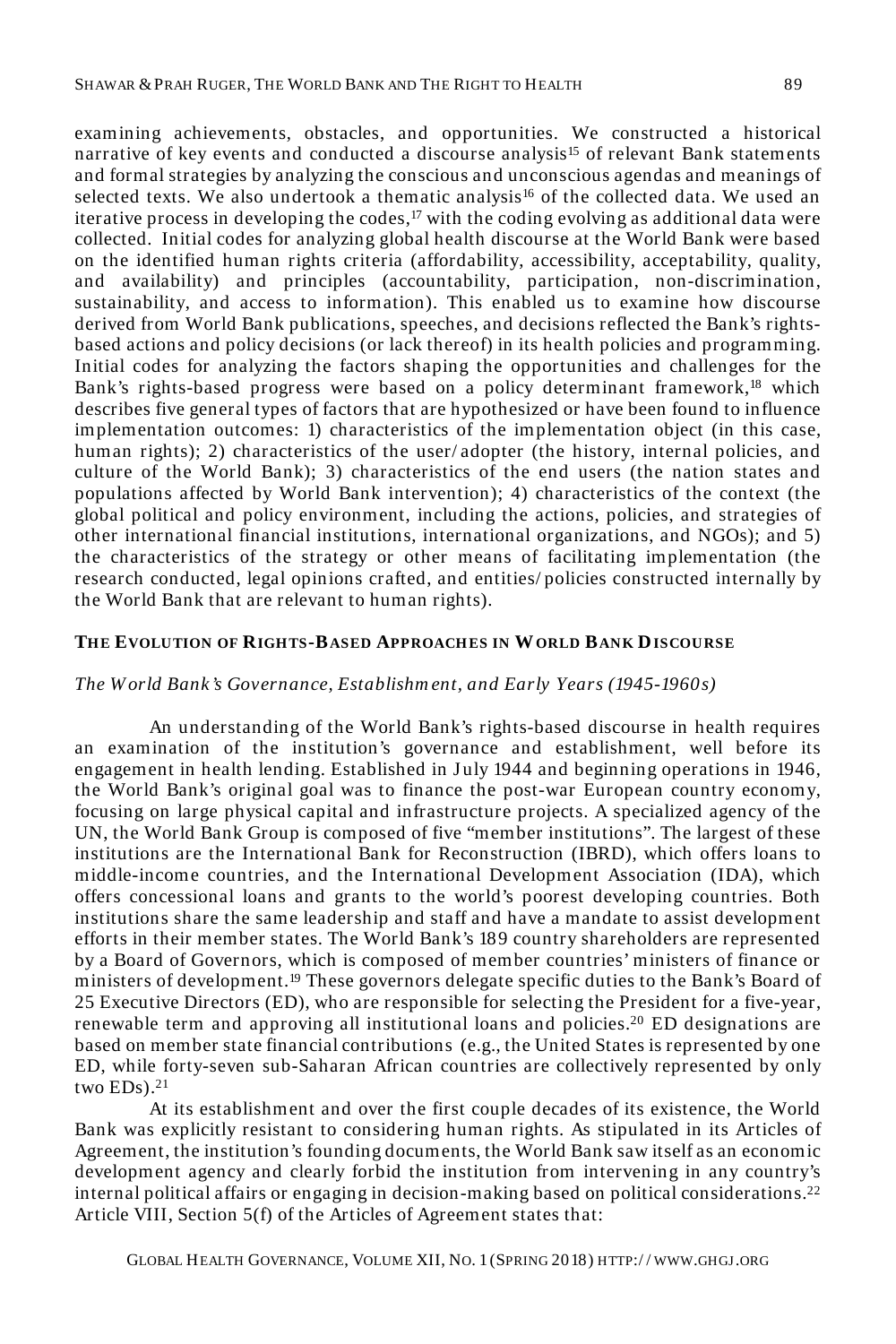examining achievements, obstacles, and opportunities. We constructed a historical narrative of key events and conducted a discourse analysis<sup>15</sup> of relevant Bank statements and formal strategies by analyzing the conscious and unconscious agendas and meanings of selected texts. We also undertook a thematic analysis<sup>16</sup> of the collected data. We used an iterative process in developing the codes,<sup>17</sup> with the coding evolving as additional data were collected. Initial codes for analyzing global health discourse at the World Bank were based on the identified human rights criteria (affordability, accessibility, acceptability, quality, and availability) and principles (accountability, participation, non-discrimination, sustainability, and access to information). This enabled us to examine how discourse derived from World Bank publications, speeches, and decisions reflected the Bank's rightsbased actions and policy decisions (or lack thereof) in its health policies and programming. Initial codes for analyzing the factors shaping the opportunities and challenges for the Bank's rights-based progress were based on a policy determinant framework,<sup>18</sup> which describes five general types of factors that are hypothesized or have been found to influence implementation outcomes: 1) characteristics of the implementation object (in this case, human rights); 2) characteristics of the user/adopter (the history, internal policies, and culture of the World Bank); 3) characteristics of the end users (the nation states and populations affected by World Bank intervention); 4) characteristics of the context (the global political and policy environment, including the actions, policies, and strategies of other international financial institutions, international organizations, and NGOs); and 5) the characteristics of the strategy or other means of facilitating implementation (the research conducted, legal opinions crafted, and entities/ policies constructed internally by the World Bank that are relevant to human rights).

#### **TH E EVOLUTION OF RIGH TS-BASED APPROACH ES IN WORLD BANK DISCOURSE**

#### *The W orld Bank's Governance, Establishm ent, and Early Years (1945-1960s)*

An understanding of the World Bank's rights-based discourse in health requires an examination of the institution's governance and establishment, well before its engagement in health lending. Established in J uly 1944 and beginning operations in 1946, the World Bank's original goal was to finance the post-war European country economy, focusing on large physical capital and infrastructure projects. A specialized agency of the UN, the World Bank Group is composed of five "member institutions". The largest of these institutions are the International Bank for Reconstruction (IBRD), which offers loans to middle-income countries, and the International Development Association (IDA), which offers concessional loans and grants to the world's poorest developing countries. Both institutions share the same leadership and staff and have a mandate to assist development efforts in their member states. The World Bank's 189 country shareholders are represented by a Board of Governors, which is composed of member countries' ministers of finance or ministers of development.<sup>19</sup> These governors delegate specific duties to the Bank's Board of 25 Executive Directors (ED), who are responsible for selecting the President for a five-year, renewable term and approving all institutional loans and policies.<sup>20</sup> ED designations are based on member state financial contributions (e.g., the United States is represented by one ED, while forty-seven sub-Saharan African countries are collectively represented by only two EDs).<sup>21</sup>

At its establishment and over the first couple decades of its existence, the World Bank was explicitly resistant to considering human rights. As stipulated in its Articles of Agreement, the institution's founding documents, the World Bank saw itself as an economic development agency and clearly forbid the institution from intervening in any country's internal political affairs or engaging in decision-making based on political considerations.<sup>22</sup> Article VIII, Section 5(f) of the Articles of Agreement states that: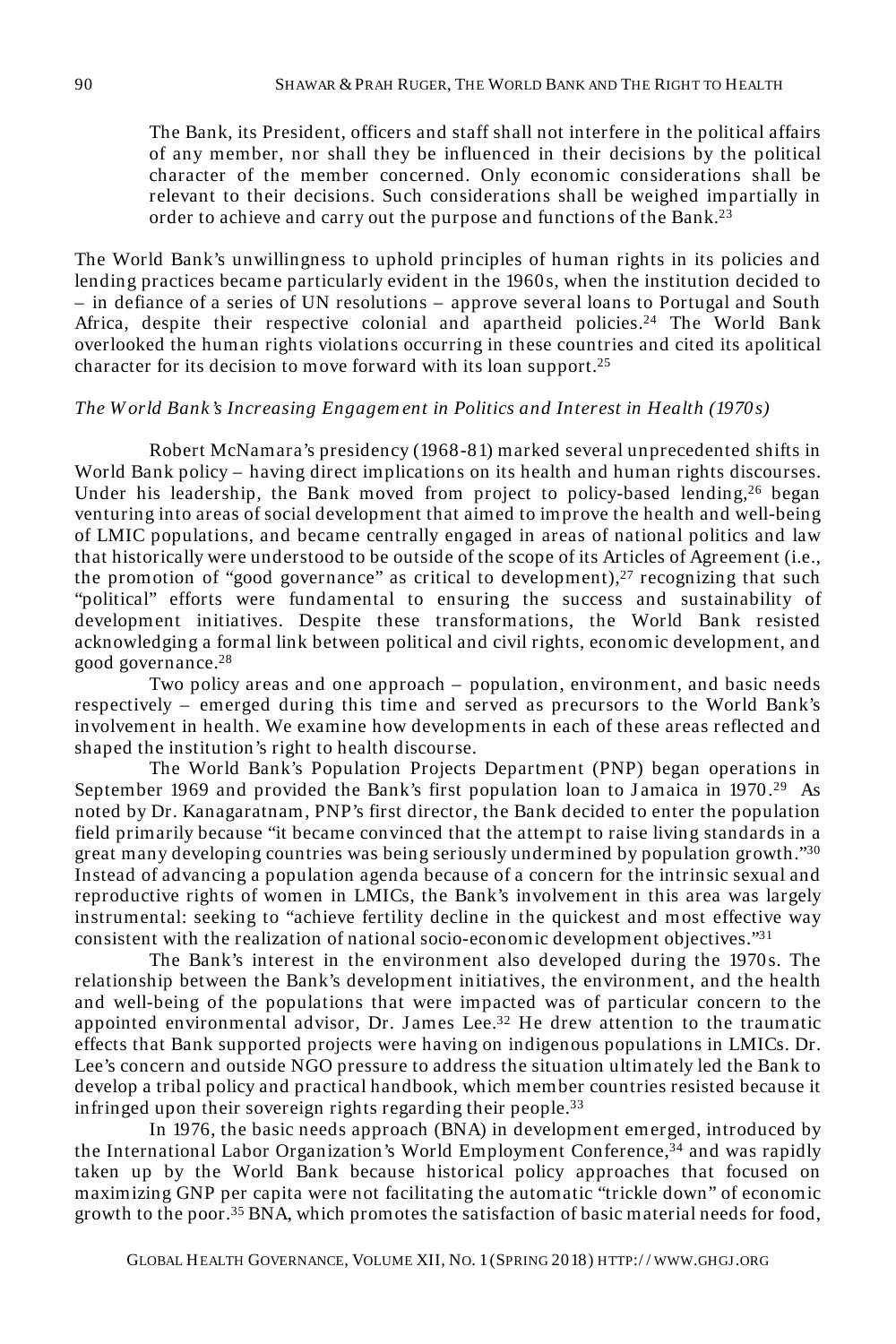The Bank, its President, officers and staff shall not interfere in the political affairs of any member, nor shall they be influenced in their decisions by the political character of the member concerned. Only economic considerations shall be relevant to their decisions. Such considerations shall be weighed impartially in order to achieve and carry out the purpose and functions of the Bank.<sup>23</sup>

The World Bank's unwillingness to uphold principles of human rights in its policies and lending practices became particularly evident in the 1960 s, when the institution decided to – in defiance of a series of UN resolutions – approve several loans to Portugal and South Africa, despite their respective colonial and apartheid policies.<sup>24</sup> The World Bank overlooked the human rights violations occurring in these countries and cited its apolitical character for its decision to move forward with its loan support.<sup>25</sup>

#### *The W orld Bank's Increasing Engagem ent in Politics and Interest in Health (1970s)*

Robert McNamara's presidency (1968-81) marked several unprecedented shifts in World Bank policy – having direct implications on its health and human rights discourses. Under his leadership, the Bank moved from project to policy-based lending,<sup>26</sup> began venturing into areas of social development that aimed to improve the health and well-being of LMIC populations, and became centrally engaged in areas of national politics and law that historically were understood to be outside of the scope of its Articles of Agreement (i.e., the promotion of "good governance" as critical to development), $27$  recognizing that such "political" efforts were fundamental to ensuring the success and sustainability of development initiatives. Despite these transformations, the World Bank resisted acknowledging a formal link between political and civil rights, economic development, and good governance.<sup>28</sup>

Two policy areas and one approach – population, environment, and basic needs respectively – emerged during this time and served as precursors to the World Bank's involvement in health. We examine how developments in each of these areas reflected and shaped the institution's right to health discourse.

The World Bank's Population Projects Department (PNP) began operations in September 1969 and provided the Bank's first population loan to Jamaica in 1970.<sup>29</sup> As noted by Dr. Kanagaratnam, PNP's first director, the Bank decided to enter the population field primarily because "it became convinced that the attempt to raise living standards in a great many developing countries was being seriously undermined by population growth."<sup>30</sup> Instead of advancing a population agenda because of a concern for the intrinsic sexual and reproductive rights of women in LMICs, the Bank's involvement in this area was largely instrumental: seeking to "achieve fertility decline in the quickest and most effective way consistent with the realization of national socio-economic development objectives."<sup>31</sup>

The Bank's interest in the environment also developed during the 1970s. The relationship between the Bank's development initiatives, the environment, and the health and well-being of the populations that were impacted was of particular concern to the appointed environmental advisor, Dr. James Lee. $32$  He drew attention to the traumatic effects that Bank supported projects were having on indigenous populations in LMICs. Dr. Lee's concern and outside NGO pressure to address the situation ultimately led the Bank to develop a tribal policy and practical handbook, which member countries resisted because it infringed upon their sovereign rights regarding their people.<sup>33</sup>

In 1976, the basic needs approach (BNA) in development emerged, introduced by the International Labor Organization's World Employment Conference,<sup>34</sup> and was rapidly taken up by the World Bank because historical policy approaches that focused on maximizing GNP per capita were not facilitating the automatic "trickle down" of economic growth to the poor.<sup>35</sup> BNA, which promotes the satisfaction of basic material needs for food,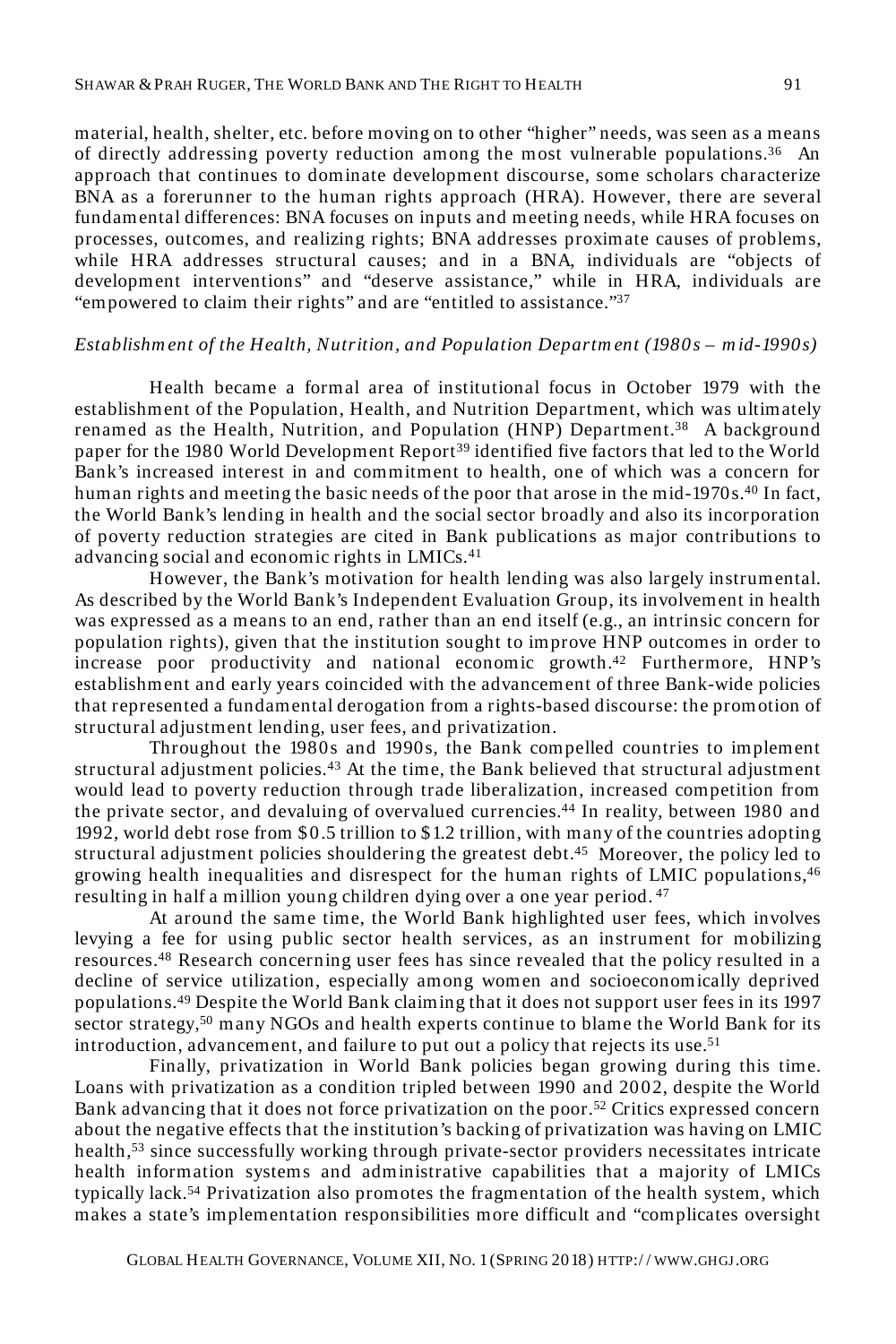material, health, shelter, etc. before moving on to other "higher" needs, was seen as a means of directly addressing poverty reduction among the most vulnerable populations.<sup>36</sup> An approach that continues to dominate development discourse, some scholars characterize BNA as a forerunner to the human rights approach (HRA). However, there are several fundamental differences: BNA focuses on inputs and meeting needs, while HRA focuses on processes, outcomes, and realizing rights; BNA addresses proximate causes of problems, while HRA addresses structural causes; and in a BNA, individuals are "objects of development interventions" and "deserve assistance," while in HRA, individuals are "empowered to claim their rights" and are "entitled to assistance."<sup>37</sup>

#### *Establishm ent of the Health, Nutrition, and Population Departm ent (1980 s – m id-1990s)*

Health became a formal area of institutional focus in October 1979 with the establishment of the Population, Health, and Nutrition Department, which was ultimately renamed as the Health, Nutrition, and Population (HNP) Department.<sup>38</sup> A background paper for the 1980 World Development Report<sup>39</sup> identified five factors that led to the World Bank's increased interest in and commitment to health, one of which was a concern for human rights and meeting the basic needs of the poor that arose in the mid-1970s.<sup>40</sup> In fact, the World Bank's lending in health and the social sector broadly and also its incorporation of poverty reduction strategies are cited in Bank publications as major contributions to advancing social and economic rights in LMICs.<sup>41</sup>

However, the Bank's motivation for health lending was also largely instrumental. As described by the World Bank's Independent Evaluation Group, its involvement in health was expressed as a means to an end, rather than an end itself (e.g., an intrinsic concern for population rights), given that the institution sought to improve HNP outcomes in order to increase poor productivity and national economic growth.<sup>42</sup> Furthermore, HNP's establishment and early years coincided with the advancement of three Bank-wide policies that represented a fundamental derogation from a rights-based discourse: the promotion of structural adjustment lending, user fees, and privatization.

Throughout the 1980s and 1990s, the Bank compelled countries to implement structural adjustment policies. $43$  At the time, the Bank believed that structural adjustment would lead to poverty reduction through trade liberalization, increased competition from the private sector, and devaluing of overvalued currencies.<sup>44</sup> In reality, between 1980 and 1992, world debt rose from \$0.5 trillion to \$1.2 trillion, with many of the countries adopting structural adjustment policies shouldering the greatest debt.<sup>45</sup> Moreover, the policy led to growing health inequalities and disrespect for the human rights of LMIC populations,<sup>46</sup> resulting in half a million young children dying over a one year period.<sup>47</sup>

At around the same time, the World Bank highlighted user fees, which involves levying a fee for using public sector health services, as an instrument for mobilizing resources.<sup>48</sup> Research concerning user fees has since revealed that the policy resulted in a decline of service utilization, especially among women and socioeconomically deprived populations.<sup>49</sup> Despite the World Bank claiming that it does not support user fees in its 1997 sector strategy,<sup>50</sup> many NGOs and health experts continue to blame the World Bank for its introduction, advancement, and failure to put out a policy that rejects its use.<sup>51</sup>

Finally, privatization in World Bank policies began growing during this time. Loans with privatization as a condition tripled between 1990 and 2002, despite the World Bank advancing that it does not force privatization on the poor.<sup>52</sup> Critics expressed concern about the negative effects that the institution's backing of privatization was having on LMIC health,<sup>53</sup> since successfully working through private-sector providers necessitates intricate health information systems and administrative capabilities that a majority of LMICs typically lack.<sup>54</sup> Privatization also promotes the fragmentation of the health system, which makes a state's implementation responsibilities more difficult and "complicates oversight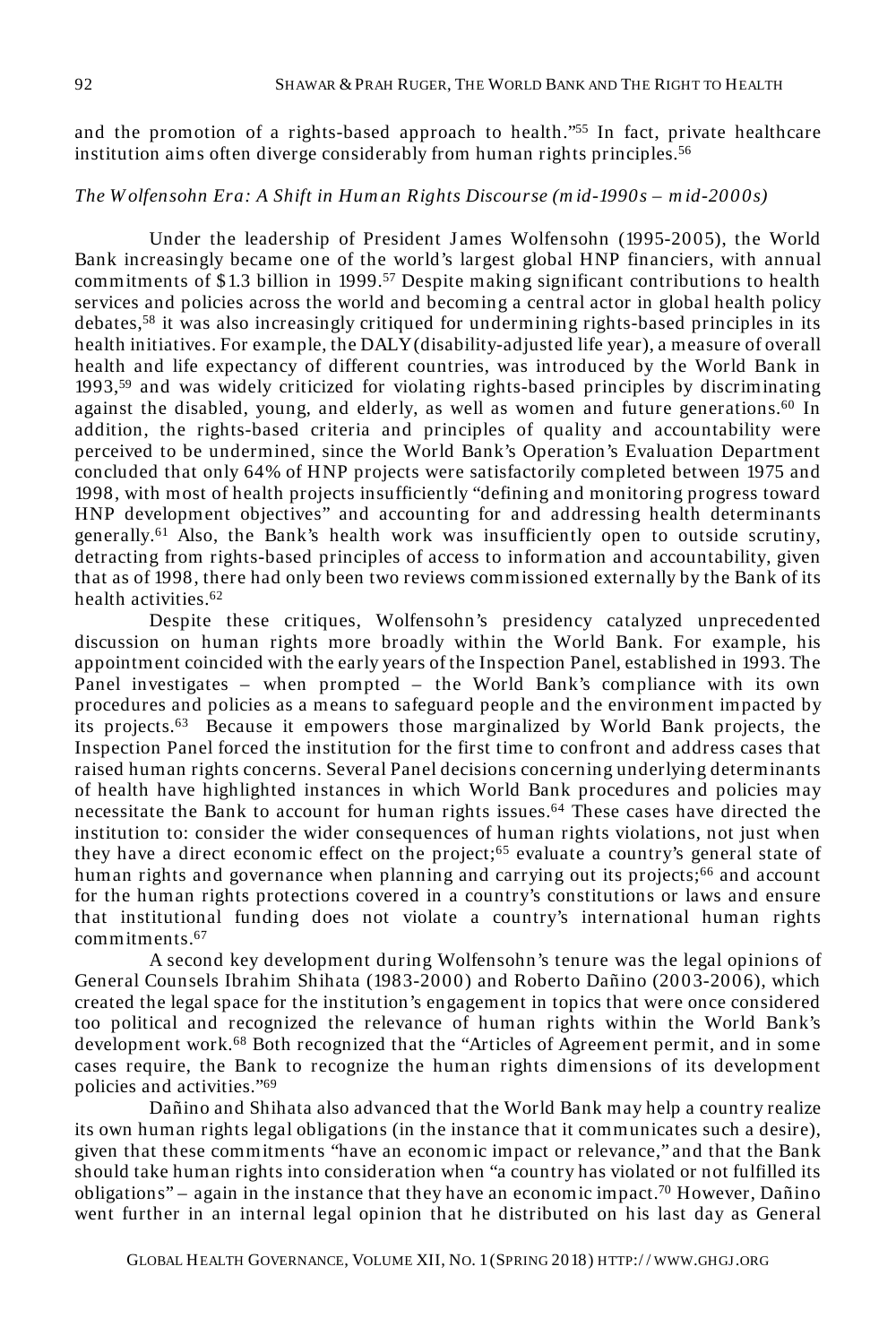and the promotion of a rights-based approach to health.<sup>755</sup> In fact, private healthcare institution aims often diverge considerably from human rights principles.<sup>56</sup>

#### *The W olfensohn Era: A Shift in Hum an Rights Discourse (m id-1990s – m id-2000s)*

Under the leadership of President James Wolfensohn (1995-2005), the World Bank increasingly became one of the world's largest global HNP financiers, with annual commitments of \$1.3 billion in 1999.<sup>57</sup> Despite making significant contributions to health services and policies across the world and becoming a central actor in global health policy debates,<sup>58</sup> it was also increasingly critiqued for undermining rights-based principles in its health initiatives. For example, the DALY (disability-adjusted life year), a measure of overall health and life expectancy of different countries, was introduced by the World Bank in 1993,<sup>59</sup> and was widely criticized for violating rights-based principles by discriminating against the disabled, young, and elderly, as well as women and future generations.<sup>60</sup> In addition, the rights-based criteria and principles of quality and accountability were perceived to be undermined, since the World Bank's Operation's Evaluation Department concluded that only 64% of HNP projects were satisfactorily completed between 1975 and 1998, with most of health projects insufficiently "defining and monitoring progress toward HNP development objectives" and accounting for and addressing health determinants generally.<sup>61</sup> Also, the Bank's health work was insufficiently open to outside scrutiny, detracting from rights-based principles of access to information and accountability, given that as of 1998, there had only been two reviews commissioned externally by the Bank of its health activities.<sup>62</sup>

Despite these critiques, Wolfensohn's presidency catalyzed unprecedented discussion on human rights more broadly within the World Bank. For example, his appointment coincided with the early years of the Inspection Panel, established in 1993. The Panel investigates – when prompted – the World Bank's compliance with its own procedures and policies as a means to safeguard people and the environment impacted by its projects.<sup>63</sup> Because it empowers those marginalized by World Bank projects, the Inspection Panel forced the institution for the first time to confront and address cases that raised human rights concerns. Several Panel decisions concerning underlying determinants of health have highlighted instances in which World Bank procedures and policies may necessitate the Bank to account for human rights issues.<sup>64</sup> These cases have directed the institution to: consider the wider consequences of human rights violations, not just when they have a direct economic effect on the project;<sup>65</sup> evaluate a country's general state of human rights and governance when planning and carrying out its projects;<sup>66</sup> and account for the human rights protections covered in a country's constitutions or laws and ensure that institutional funding does not violate a country's international human rights commitments.<sup>67</sup>

A second key development during Wolfensohn's tenure was the legal opinions of General Counsels Ibrahim Shihata (1983-2000) and Roberto Dañino (2003-2006), which created the legal space for the institution's engagement in topics that were once considered too political and recognized the relevance of human rights within the World Bank's development work.<sup>68</sup> Both recognized that the "Articles of Agreement permit, and in some cases require, the Bank to recognize the human rights dimensions of its development policies and activities."<sup>69</sup>

Dañino and Shihata also advanced that the World Bank may help a country realize its own human rights legal obligations (in the instance that it communicates such a desire), given that these commitments "have an economic impact or relevance," and that the Bank should take human rights into consideration when "a country has violated or not fulfilled its obligations" – again in the instance that they have an economic impact.<sup>70</sup> However, Dañino went further in an internal legal opinion that he distributed on his last day as General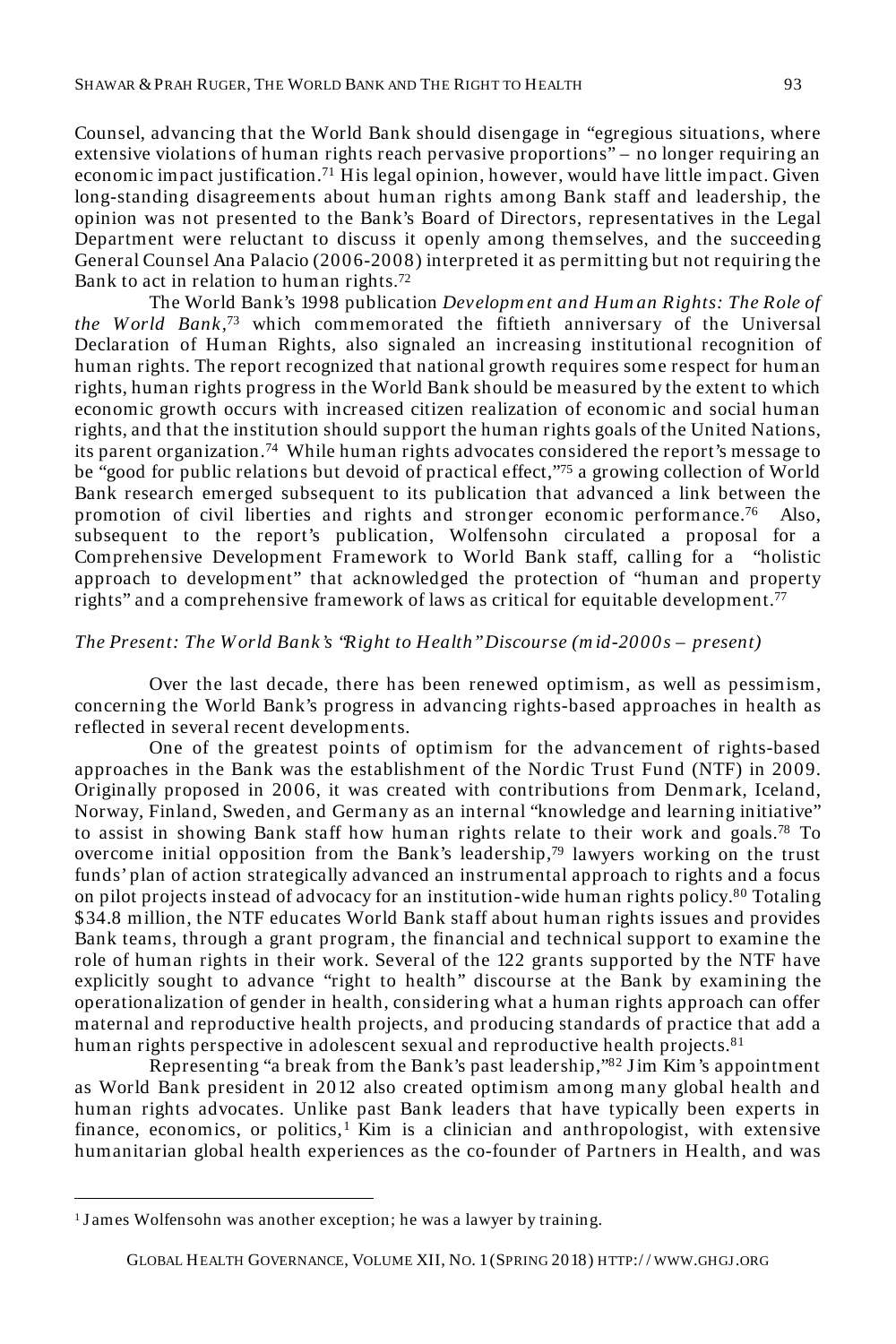Counsel, advancing that the World Bank should disengage in "egregious situations, where extensive violations of human rights reach pervasive proportions" – no longer requiring an economic impact justification.<sup>71</sup> His legal opinion, however, would have little impact. Given long-standing disagreements about human rights among Bank staff and leadership, the opinion was not presented to the Bank's Board of Directors, representatives in the Legal Department were reluctant to discuss it openly among themselves, and the succeeding General Counsel Ana Palacio (2006-2008) interpreted it as permitting but not requiring the Bank to act in relation to human rights.<sup>72</sup>

The World Bank's 1998 publication *Developm ent and Hum an Rights: The Role of the W orld Bank,*<sup>73</sup> which commemorated the fiftieth anniversary of the Universal Declaration of Human Rights, also signaled an increasing institutional recognition of human rights. The report recognized that national growth requires some respect for human rights, human rights progress in the World Bank should be measured by the extent to which economic growth occurs with increased citizen realization of economic and social human rights, and that the institution should support the human rights goals of the United Nations, its parent organization.<sup>74</sup> While human rights advocates considered the report's message to be "good for public relations but devoid of practical effect,"<sup>75</sup> a growing collection of World Bank research emerged subsequent to its publication that advanced a link between the promotion of civil liberties and rights and stronger economic performance.<sup>76</sup> Also, subsequent to the report's publication, Wolfensohn circulated a proposal for a Comprehensive Development Framework to World Bank staff, calling for a "holistic approach to development" that acknowledged the protection of "human and property rights" and a comprehensive framework of laws as critical for equitable development.<sup>77</sup>

#### *The Present: The W orld Bank's "Right to Health" Discourse (m id-2000s – present)*

Over the last decade, there has been renewed optimism, as well as pessimism, concerning the World Bank's progress in advancing rights-based approaches in health as reflected in several recent developments.

One of the greatest points of optimism for the advancement of rights-based approaches in the Bank was the establishment of the Nordic Trust Fund (NTF) in 2009. Originally proposed in 2006, it was created with contributions from Denmark, Iceland, Norway, Finland, Sweden, and Germany as an internal "knowledge and learning initiative" to assist in showing Bank staff how human rights relate to their work and goals.<sup>78</sup> To overcome initial opposition from the Bank's leadership, <sup>79</sup> lawyers working on the trust funds' plan of action strategically advanced an instrumental approach to rights and a focus on pilot projects instead of advocacy for an institution-wide human rights policy.<sup>80</sup> Totaling \$34.8 million, the NTF educates World Bank staff about human rights issues and provides Bank teams, through a grant program, the financial and technical support to examine the role of human rights in their work. Several of the 122 grants supported by the NTF have explicitly sought to advance "right to health" discourse at the Bank by examining the operationalization of gender in health, considering what a human rights approach can offer maternal and reproductive health projects, and producing standards of practice that add a human rights perspective in adolescent sexual and reproductive health projects.<sup>81</sup>

Representing "a break from the Bank's past leadership,"82 J im Kim's appointment as World Bank president in 2012 also created optimism among many global health and human rights advocates. Unlike past Bank leaders that have typically been experts in finance, economics, or politics, $1$  Kim is a clinician and anthropologist, with extensive humanitarian global health experiences as the co-founder of Partners in Health, and was

<u>.</u>

<sup>&</sup>lt;sup>1</sup> James Wolfensohn was another exception; he was a lawyer by training.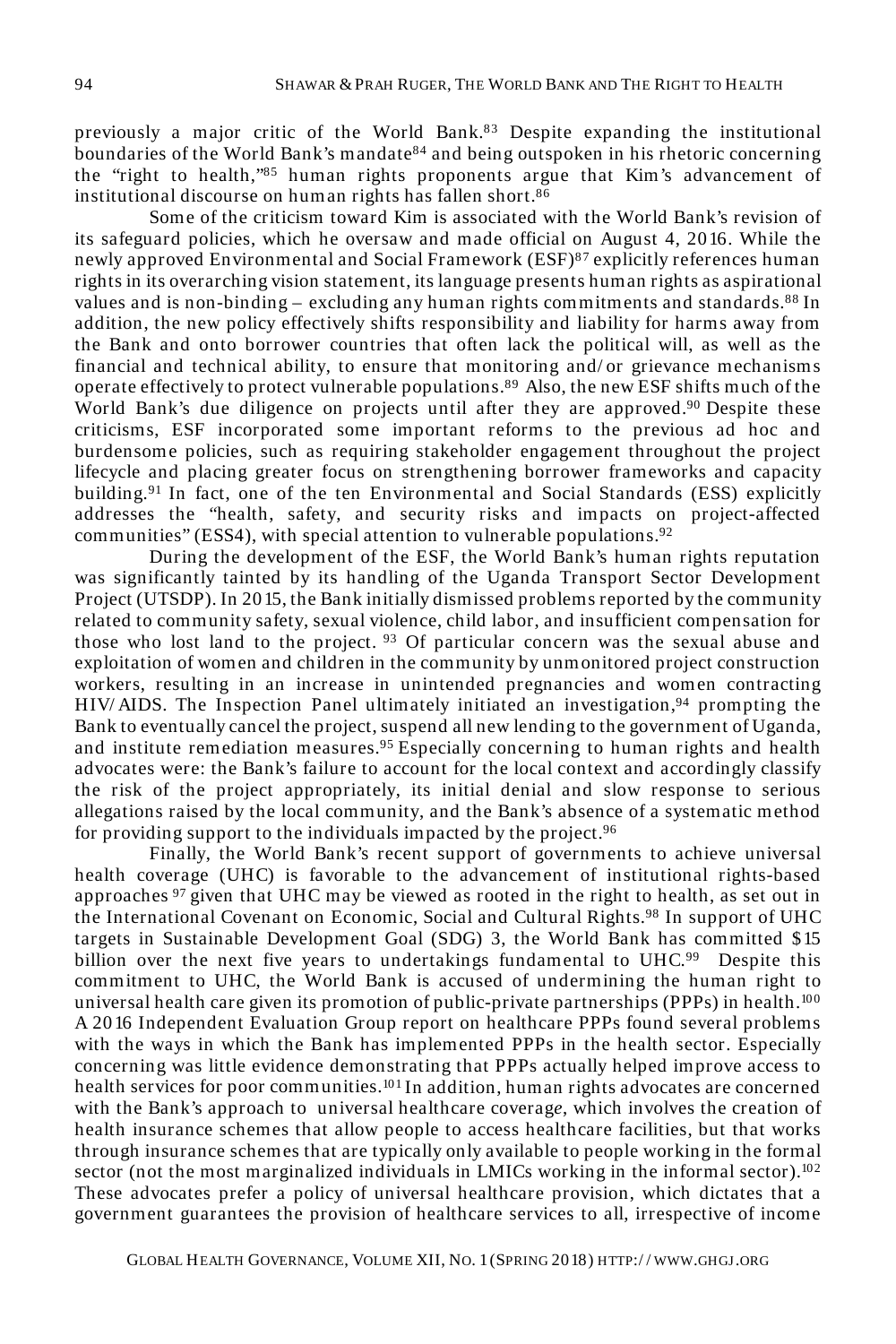previously a major critic of the World Bank.<sup>83</sup> Despite expanding the institutional boundaries of the World Bank's mandate<sup>84</sup> and being outspoken in his rhetoric concerning the "right to health,"<sup>85</sup> human rights proponents argue that Kim's advancement of institutional discourse on human rights has fallen short.<sup>86</sup>

Some of the criticism toward Kim is associated with the World Bank's revision of its safeguard policies, which he oversaw and made official on August 4, 2016. While the newly approved Environmental and Social Framework (ESF)<sup>87</sup> explicitly references human rights in its overarching vision statement, its language presents human rights as aspirational values and is non-binding – excluding any human rights commitments and standards.<sup>88</sup> In addition, the new policy effectively shifts responsibility and liability for harms away from the Bank and onto borrower countries that often lack the political will, as well as the financial and technical ability, to ensure that monitoring and/ or grievance mechanisms operate effectively to protect vulnerable populations.<sup>89</sup> Also, the new ESF shifts much of the World Bank's due diligence on projects until after they are approved.<sup>90</sup> Despite these criticisms, ESF incorporated some important reforms to the previous ad hoc and burdensome policies, such as requiring stakeholder engagement throughout the project lifecycle and placing greater focus on strengthening borrower frameworks and capacity building.<sup>91</sup> In fact, one of the ten Environmental and Social Standards (ESS) explicitly addresses the "health, safety, and security risks and impacts on project-affected communities" (ESS4), with special attention to vulnerable populations.  $92$ 

During the development of the ESF, the World Bank's human rights reputation was significantly tainted by its handling of the Uganda Transport Sector Development Project (UTSDP). In 2015, the Bank initially dismissed problems reported by the community related to community safety, sexual violence, child labor, and insufficient compensation for those who lost land to the project.  $93$  Of particular concern was the sexual abuse and exploitation of women and children in the community by unmonitored project construction workers, resulting in an increase in unintended pregnancies and women contracting HIV/ AIDS. The Inspection Panel ultimately initiated an investigation,<sup>94</sup> prompting the Bank to eventually cancel the project, suspend all new lending to the government of Uganda, and institute remediation measures.<sup>95</sup> Especially concerning to human rights and health advocates were: the Bank's failure to account for the local context and accordingly classify the risk of the project appropriately, its initial denial and slow response to serious allegations raised by the local community, and the Bank's absence of a systematic method for providing support to the individuals impacted by the project.<sup>96</sup>

Finally, the World Bank's recent support of governments to achieve universal health coverage (UHC) is favorable to the advancement of institutional rights-based approaches  $97$  given that UHC may be viewed as rooted in the right to health, as set out in the International Covenant on Economic, Social and Cultural Rights. <sup>98</sup> In support of UHC targets in Sustainable Development Goal (SDG) 3, the World Bank has committed \$15 billion over the next five years to undertakings fundamental to UHC.<sup>99</sup> Despite this commitment to UHC, the World Bank is accused of undermining the human right to universal health care given its promotion of public-private partnerships (PPPs) in health.<sup>100</sup> A 2016 Independent Evaluation Group report on healthcare PPPs found several problems with the ways in which the Bank has implemented PPPs in the health sector. Especially concerning was little evidence demonstrating that PPPs actually helped improve access to health services for poor communities.<sup>101</sup> In addition, human rights advocates are concerned with the Bank's approach to universal healthcare coverag*e*, which involves the creation of health insurance schemes that allow people to access healthcare facilities, but that works through insurance schemes that are typically only available to people working in the formal sector (not the most marginalized individuals in LMICs working in the informal sector).<sup>102</sup> These advocates prefer a policy of universal healthcare provision, which dictates that a government guarantees the provision of healthcare services to all, irrespective of income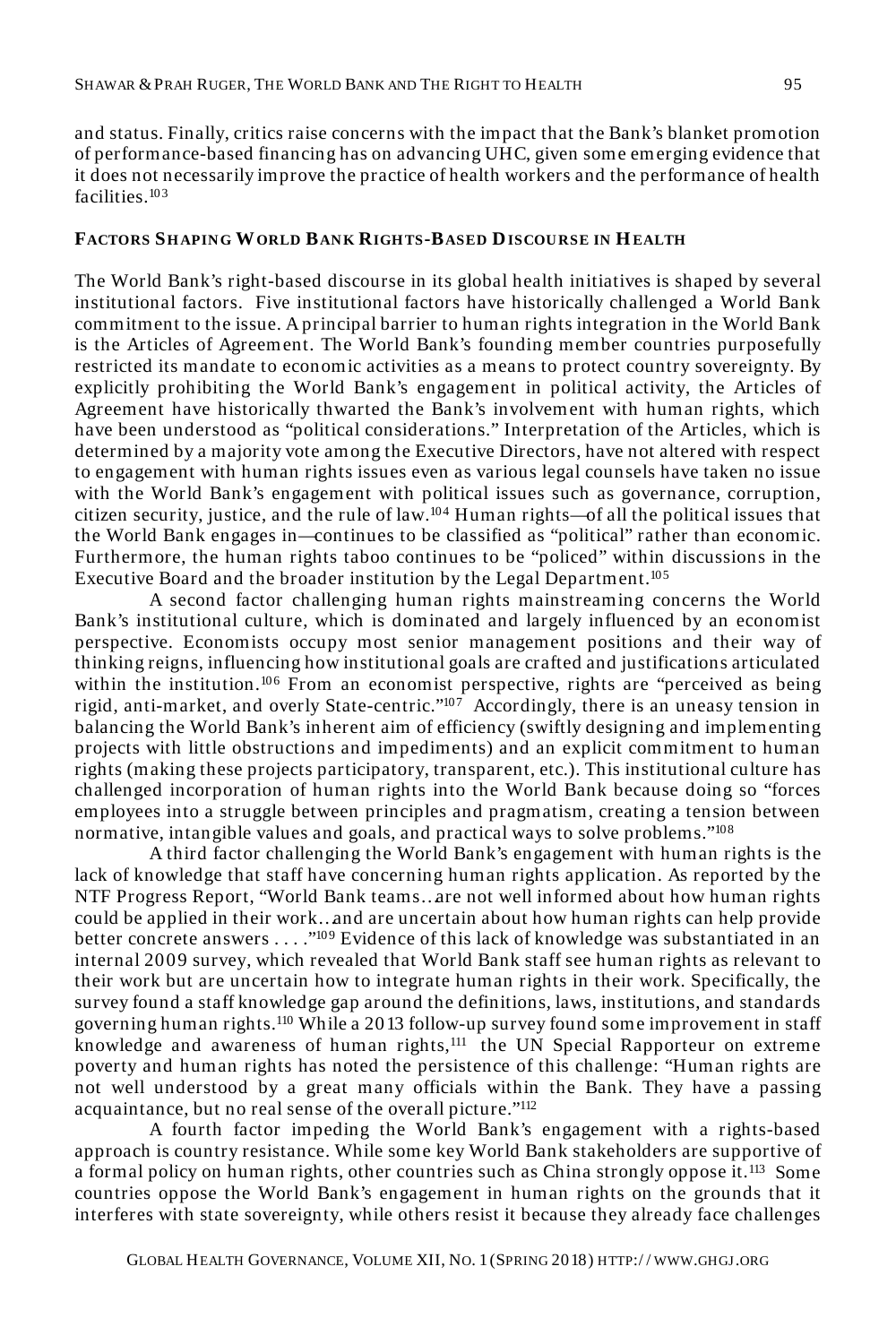and status. Finally, critics raise concerns with the impact that the Bank's blanket promotion of performance-based financing has on advancing UHC, given some emerging evidence that it does not necessarily improve the practice of health workers and the performance of health facilities.<sup>103</sup>

#### **FACTORS SH APING WORLD BANK RIGH TS-BASED DISCOURSE IN HEALTH**

The World Bank's right-based discourse in its global health initiatives is shaped by several institutional factors. Five institutional factors have historically challenged a World Bank commitment to the issue. A principal barrier to human rights integration in the World Bank is the Articles of Agreement. The World Bank's founding member countries purposefully restricted its mandate to economic activities as a means to protect country sovereignty. By explicitly prohibiting the World Bank's engagement in political activity, the Articles of Agreement have historically thwarted the Bank's involvement with human rights, which have been understood as "political considerations." Interpretation of the Articles, which is determined by a majority vote among the Executive Directors, have not altered with respect to engagement with human rights issues even as various legal counsels have taken no issue with the World Bank's engagement with political issues such as governance, corruption, citizen security, justice, and the rule of law.<sup>104</sup> Human rights—of all the political issues that the World Bank engages in—continues to be classified as "political" rather than economic. Furthermore, the human rights taboo continues to be "policed" within discussions in the Executive Board and the broader institution by the Legal Department.<sup>105</sup>

A second factor challenging human rights mainstreaming concerns the World Bank's institutional culture, which is dominated and largely influenced by an economist perspective. Economists occupy most senior management positions and their way of thinking reigns, influencing how institutional goals are crafted and justifications articulated within the institution.<sup>106</sup> From an economist perspective, rights are "perceived as being rigid, anti-market, and overly State-centric."<sup>107</sup> Accordingly, there is an uneasy tension in balancing the World Bank's inherent aim of efficiency (swiftly designing and implementing projects with little obstructions and impediments) and an explicit commitment to human rights (making these projects participatory, transparent, etc.). This institutional culture has challenged incorporation of human rights into the World Bank because doing so "forces employees into a struggle between principles and pragmatism, creating a tension between normative, intangible values and goals, and practical ways to solve problems."<sup>108</sup>

A third factor challenging the World Bank's engagement with human rights is the lack of knowledge that staff have concerning human rights application. As reported by the NTF Progress Report, "World Bank teams…are not well informed about how human rights could be applied in their work…and are uncertain about how human rights can help provide better concrete answers . . . . "<sup>109</sup> Evidence of this lack of knowledge was substantiated in an internal 2009 survey, which revealed that World Bank staff see human rights as relevant to their work but are uncertain how to integrate human rights in their work. Specifically, the survey found a staff knowledge gap around the definitions, laws, institutions, and standards governing human rights.<sup>110</sup> While a 2013 follow-up survey found some improvement in staff knowledge and awareness of human rights,<sup>111</sup> the UN Special Rapporteur on extreme poverty and human rights has noted the persistence of this challenge: "Human rights are not well understood by a great many officials within the Bank. They have a passing acquaintance, but no real sense of the overall picture."<sup>112</sup>

A fourth factor impeding the World Bank's engagement with a rights-based approach is country resistance. While some key World Bank stakeholders are supportive of a formal policy on human rights, other countries such as China strongly oppose it.<sup>113</sup> Some countries oppose the World Bank's engagement in human rights on the grounds that it interferes with state sovereignty, while others resist it because they already face challenges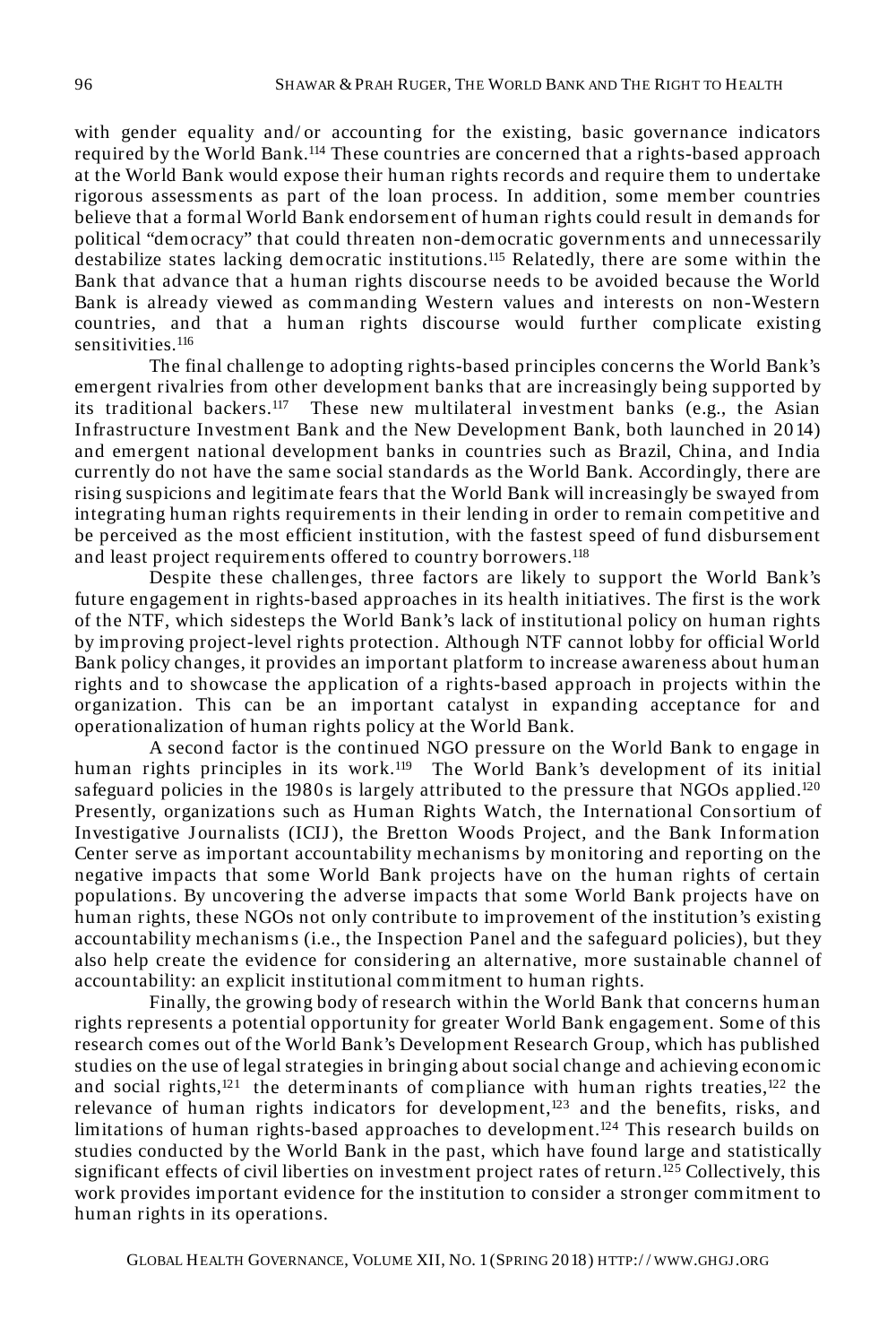with gender equality and/ or accounting for the existing, basic governance indicators required by the World Bank.<sup>114</sup> These countries are concerned that a rights-based approach at the World Bank would expose their human rights records and require them to undertake rigorous assessments as part of the loan process. In addition, some member countries believe that a formal World Bank endorsement of human rights could result in demands for political "democracy" that could threaten non-democratic governments and unnecessarily destabilize states lacking democratic institutions.<sup>115</sup> Relatedly, there are some within the Bank that advance that a human rights discourse needs to be avoided because the World Bank is already viewed as commanding Western values and interests on non-Western countries, and that a human rights discourse would further complicate existing sensitivities.<sup>116</sup>

The final challenge to adopting rights-based principles concerns the World Bank's emergent rivalries from other development banks that are increasingly being supported by its traditional backers.<sup>117</sup> These new multilateral investment banks (e.g., the Asian Infrastructure Investment Bank and the New Development Bank, both launched in 20 14) and emergent national development banks in countries such as Brazil, China, and India currently do not have the same social standards as the World Bank. Accordingly, there are rising suspicions and legitimate fears that the World Bank will increasingly be swayed from integrating human rights requirements in their lending in order to remain competitive and be perceived as the most efficient institution, with the fastest speed of fund disbursement and least project requirements offered to country borrowers.<sup>118</sup>

Despite these challenges, three factors are likely to support the World Bank's future engagement in rights-based approaches in its health initiatives. The first is the work of the NTF, which sidesteps the World Bank's lack of institutional policy on human rights by improving project-level rights protection. Although NTF cannot lobby for official World Bank policy changes, it provides an important platform to increase awareness about human rights and to showcase the application of a rights-based approach in projects within the organization. This can be an important catalyst in expanding acceptance for and operationalization of human rights policy at the World Bank.

A second factor is the continued NGO pressure on the World Bank to engage in human rights principles in its work.<sup>119</sup> The World Bank's development of its initial safeguard policies in the 1980s is largely attributed to the pressure that NGOs applied.<sup>120</sup> Presently, organizations such as Human Rights Watch, the International Consortium of Investigative J ournalists (ICIJ ), the Bretton Woods Project, and the Bank Information Center serve as important accountability mechanisms by monitoring and reporting on the negative impacts that some World Bank projects have on the human rights of certain populations. By uncovering the adverse impacts that some World Bank projects have on human rights, these NGOs not only contribute to improvement of the institution's existing accountability mechanisms (i.e., the Inspection Panel and the safeguard policies), but they also help create the evidence for considering an alternative, more sustainable channel of accountability: an explicit institutional commitment to human rights.

Finally, the growing body of research within the World Bank that concerns human rights represents a potential opportunity for greater World Bank engagement. Some of this research comes out of the World Bank's Development Research Group, which has published studies on the use of legal strategies in bringing about social change and achieving economic and social rights,<sup>121</sup> the determinants of compliance with human rights treaties,<sup>122</sup> the relevance of human rights indicators for development, $123$  and the benefits, risks, and limitations of human rights-based approaches to development.<sup>124</sup> This research builds on studies conducted by the World Bank in the past, which have found large and statistically significant effects of civil liberties on investment project rates of return.<sup>125</sup> Collectively, this work provides important evidence for the institution to consider a stronger commitment to human rights in its operations.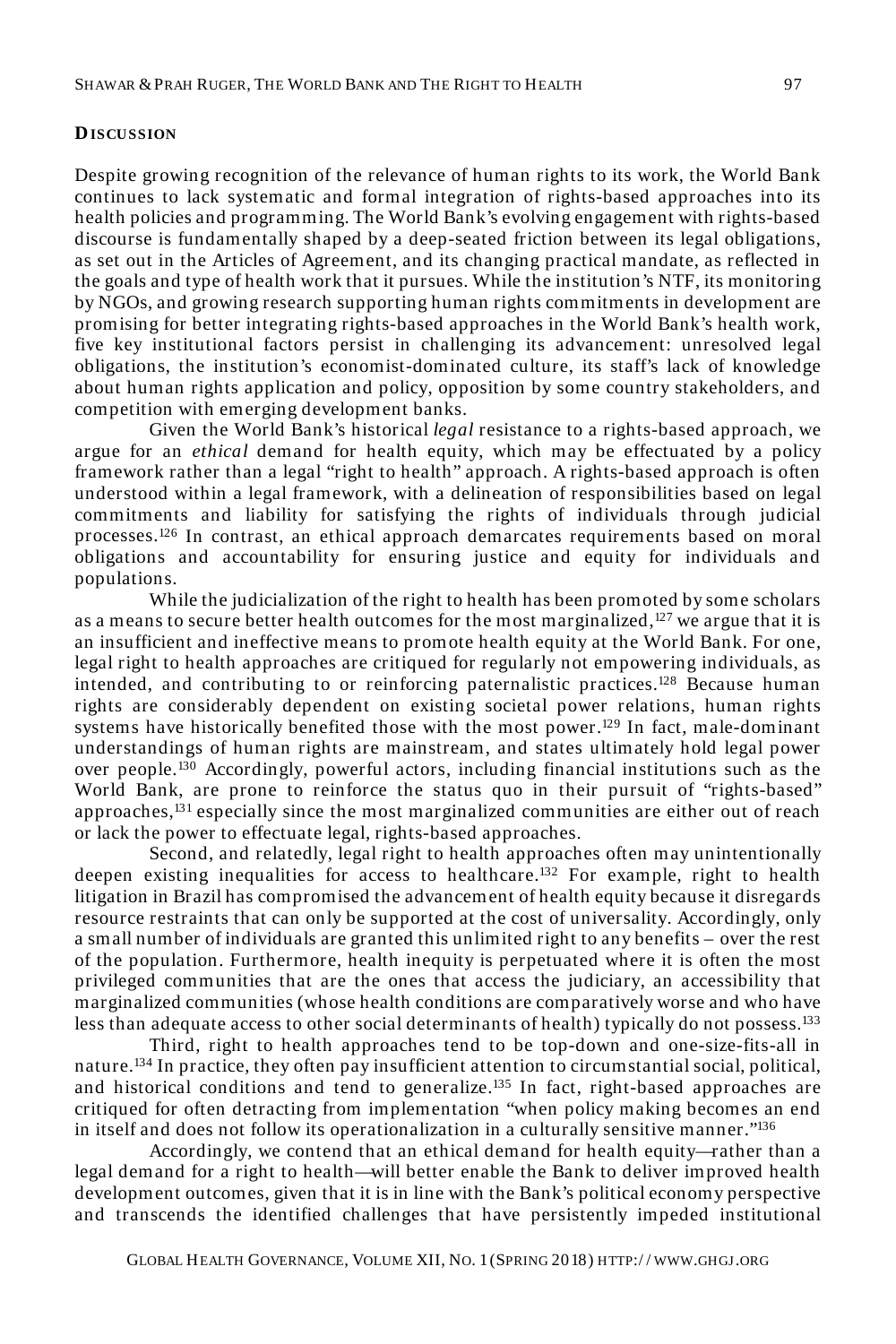#### **DISCUSSION**

Despite growing recognition of the relevance of human rights to its work, the World Bank continues to lack systematic and formal integration of rights-based approaches into its health policies and programming. The World Bank's evolving engagement with rights-based discourse is fundamentally shaped by a deep-seated friction between its legal obligations, as set out in the Articles of Agreement, and its changing practical mandate, as reflected in the goals and type of health work that it pursues. While the institution's NTF, its monitoring by NGOs, and growing research supporting human rights commitments in development are promising for better integrating rights-based approaches in the World Bank's health work, five key institutional factors persist in challenging its advancement: unresolved legal obligations, the institution's economist-dominated culture, its staff's lack of knowledge about human rights application and policy, opposition by some country stakeholders, and competition with emerging development banks.

Given the World Bank's historical *legal* resistance to a rights-based approach, we argue for an *ethical* demand for health equity, which may be effectuated by a policy framework rather than a legal "right to health" approach. A rights-based approach is often understood within a legal framework, with a delineation of responsibilities based on legal commitments and liability for satisfying the rights of individuals through judicial processes.<sup>126</sup> In contrast, an ethical approach demarcates requirements based on moral obligations and accountability for ensuring justice and equity for individuals and populations.

While the judicialization of the right to health has been promoted by some scholars as a means to secure better health outcomes for the most marginalized, $127$  we argue that it is an insufficient and ineffective means to promote health equity at the World Bank. For one, legal right to health approaches are critiqued for regularly not empowering individuals, as intended, and contributing to or reinforcing paternalistic practices.<sup>128</sup> Because human rights are considerably dependent on existing societal power relations, human rights systems have historically benefited those with the most power.<sup>129</sup> In fact, male-dominant understandings of human rights are mainstream, and states ultimately hold legal power over people.<sup>130</sup> Accordingly, powerful actors, including financial institutions such as the World Bank, are prone to reinforce the status quo in their pursuit of "rights-based" approaches,  $^{131}$  especially since the most marginalized communities are either out of reach or lack the power to effectuate legal, rights-based approaches.

Second, and relatedly, legal right to health approaches often may unintentionally deepen existing inequalities for access to healthcare.<sup>132</sup> For example, right to health litigation in Brazil has compromised the advancement of health equity because it disregards resource restraints that can only be supported at the cost of universality. Accordingly, only a small number of individuals are granted this unlimited right to any benefits – over the rest of the population. Furthermore, health inequity is perpetuated where it is often the most privileged communities that are the ones that access the judiciary, an accessibility that marginalized communities (whose health conditions are comparatively worse and who have less than adequate access to other social determinants of health) typically do not possess.<sup>133</sup>

Third, right to health approaches tend to be top-down and one-size-fits-all in nature.<sup>134</sup> In practice, they often pay insufficient attention to circumstantial social, political, and historical conditions and tend to generalize.<sup>135</sup> In fact, right-based approaches are critiqued for often detracting from implementation "when policy making becomes an end in itself and does not follow its operationalization in a culturally sensitive manner."<sup>136</sup>

Accordingly, we contend that an ethical demand for health equity—rather than a legal demand for a right to health—will better enable the Bank to deliver improved health development outcomes, given that it is in line with the Bank's political economy perspective and transcends the identified challenges that have persistently impeded institutional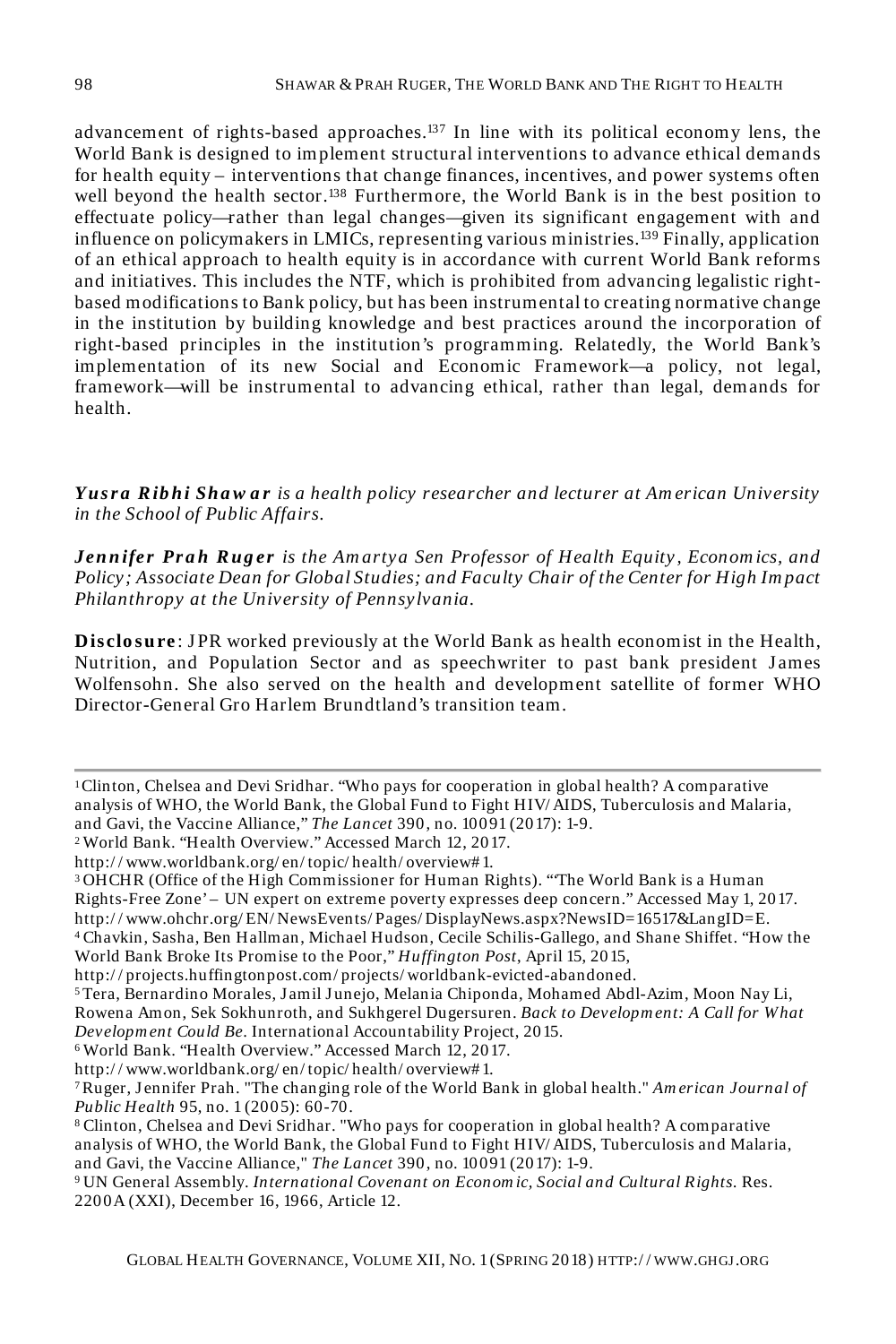advancement of rights-based approaches.<sup>137</sup> In line with its political economy lens, the World Bank is designed to implement structural interventions to advance ethical demands for health equity – interventions that change finances, incentives, and power systems often well beyond the health sector.<sup>138</sup> Furthermore, the World Bank is in the best position to effectuate policy—rather than legal changes—given its significant engagement with and influence on policymakers in LMICs, representing various ministries.<sup>139</sup> Finally, application of an ethical approach to health equity is in accordance with current World Bank reforms and initiatives. This includes the NTF, which is prohibited from advancing legalistic rightbased modifications to Bank policy, but has been instrumental to creating normative change in the institution by building knowledge and best practices around the incorporation of right-based principles in the institution's programming. Relatedly, the World Bank's implementation of its new Social and Economic Framework—a policy, not legal, framework—will be instrumental to advancing ethical, rather than legal, demands for health.

Yusra Ribhi Shaw ar is a health policy researcher and lecturer at American University *in the School of Public Affairs.*

*Jen n ifer Pr a h R ug er is the Am artya Sen Professor of Health Equity , Econom ics, and Policy; Associate Dean for Global Studies; and Faculty Chair of the Center for High Im pact Philanthropy at the University of Pennsylvania.*

**Disclosure**: JPR worked previously at the World Bank as health economist in the Health, Nutrition, and Population Sector and as speechwriter to past bank president James Wolfensohn. She also served on the health and development satellite of former WHO Director-General Gro Harlem Brundtland's transition team.

<sup>2</sup>World Bank. "Health Overview." Accessed March 12, 2017.

http:/ / www.worldbank.org/ en/ topic/ health/ overview# 1.

<sup>3</sup>OHCHR (Office of the High Commissioner for Human Rights). "'The World Bank is a Human Rights-Free Zone' – UN expert on extreme poverty expresses deep concern." Accessed May 1, 2017. http:/ / www.ohchr.org/ EN/ NewsEvents/ Pages/ DisplayNews.aspx?NewsID=16517&LangID=E.

<sup>4</sup>Chavkin, Sasha, Ben Hallman, Michael Hudson, Cecile Schilis-Gallego, and Shane Shiffet. "How the World Bank Broke Its Promise to the Poor," *Huffington Post*, April 15, 2015,

http:/ / projects.huffingtonpost.com/ projects/ worldbank-evicted-abandoned.

<sup>5</sup>Tera, Bernardino Morales, Jamil J unejo, Melania Chiponda, Mohamed Abdl-Azim, Moon Nay Li, Rowena Amon, Sek Sokhunroth, and Sukhgerel Dugersuren. *Back to Developm ent: A Call for What Developm ent Could Be*. International Accountability Project, 2015.

<sup>6</sup>World Bank. "Health Overview." Accessed March 12, 2017.

http:/ / www.worldbank.org/ en/ topic/ health/ overview# 1.

<sup>1</sup>Clinton, Chelsea and Devi Sridhar. "Who pays for cooperation in global health? A comparative analysis of WHO, the World Bank, the Global Fund to Fight HIV/ AIDS, Tuberculosis and Malaria, and Gavi, the Vaccine Alliance," *The Lancet* 390, no. 10091 (2017): 1-9.

<sup>7</sup>Ruger, J ennifer Prah. "The changing role of the World Bank in global health." *Am erican Journal of Public Health* 95, no. 1 (2005): 60-70.

<sup>8</sup>Clinton, Chelsea and Devi Sridhar. "Who pays for cooperation in global health? A comparative analysis of WHO, the World Bank, the Global Fund to Fight HIV/ AIDS, Tuberculosis and Malaria, and Gavi, the Vaccine Alliance," *The Lancet* 390, no. 10091 (2017): 1-9.

<sup>9</sup>UN General Assembly. *International Covenant on Econom ic, Social and Cultural Rights.* Res. 2200A (XXI), December 16, 1966, Article 12.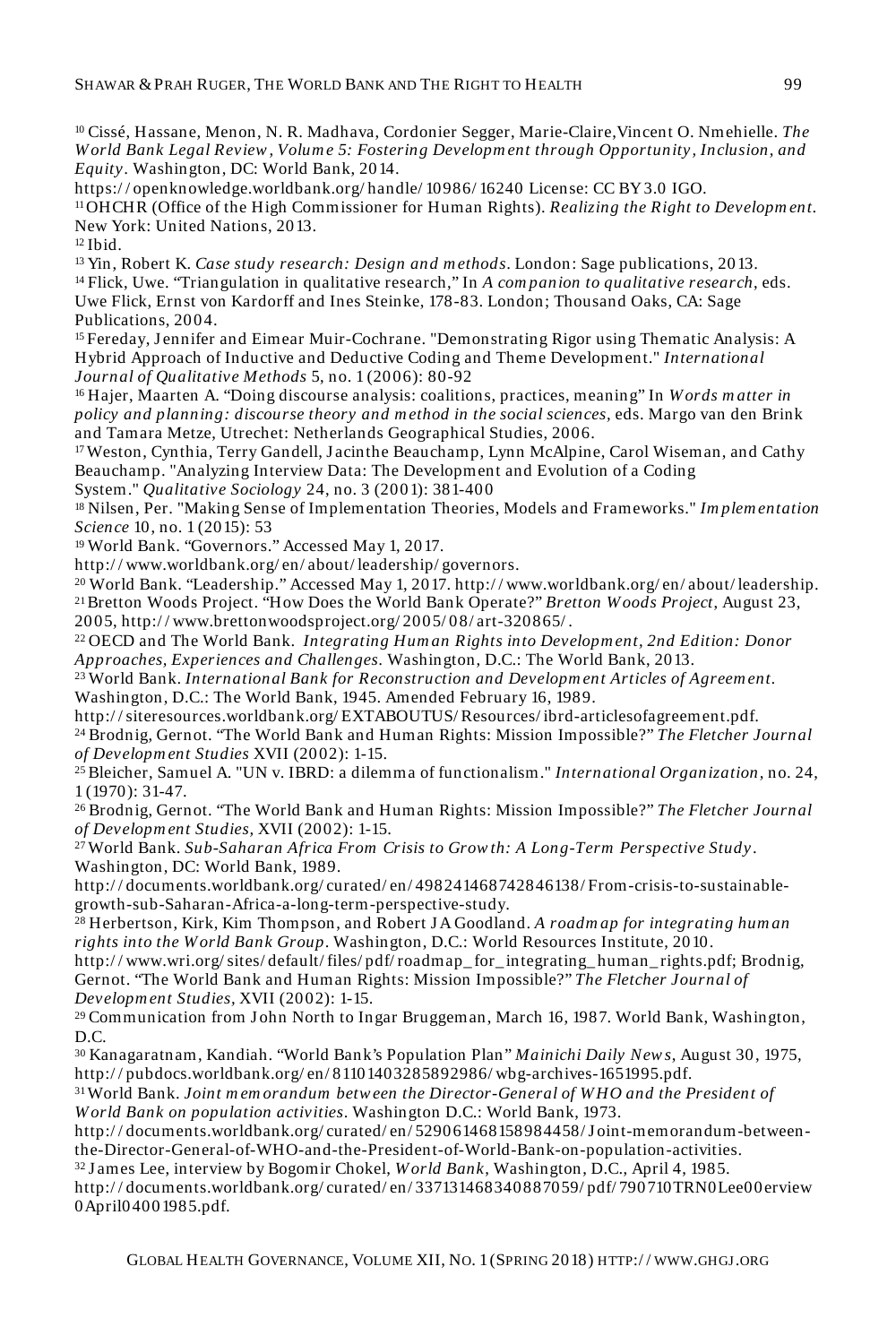<sup>10</sup>Cissé, Hassane, Menon, N. R. Madhava, Cordonier Segger, Marie-Claire,Vincent O. Nmehielle. *The W orld Bank Legal Review , Volum e 5: Fostering Developm ent through Opportunity, Inclusion, and Equity.* Washington, DC: World Bank, 2014.

https:/ / openknowledge.worldbank.org/ handle/ 10986/ 16240 License: CC BY 3.0 IGO.

<sup>11</sup>OHCHR (Office of the High Commissioner for Human Rights). *Realizing the Right to Developm ent.* New York: United Nations, 2013.

 $12$  Ibid.

<sup>13</sup>Yin, Robert K. *Case study research: Design and m ethods*. London: Sage publications, 2013. <sup>14</sup>Flick, Uwe. "Triangulation in qualitative research," In *A com panion to qualitative research*, eds. Uwe Flick, Ernst von Kardorff and Ines Steinke, 178-83. London; Thousand Oaks, CA: Sage Publications, 2004.

<sup>15</sup> Fereday, Jennifer and Eimear Muir-Cochrane. "Demonstrating Rigor using Thematic Analysis: A Hybrid Approach of Inductive and Deductive Coding and Theme Development." *International Journal of Qualitative Methods* 5, no. 1 (2006): 80-92

<sup>16</sup>Hajer, Maarten A. "Doing discourse analysis: coalitions, practices, meaning" In *W ords m atter in policy and planning: discourse theory and m ethod in the social sciences,* eds. Margo van den Brink and Tamara Metze, Utrechet: Netherlands Geographical Studies, 2006.

<sup>17</sup>Weston, Cynthia, Terry Gandell, J acinthe Beauchamp, Lynn McAlpine, Carol Wiseman, and Cathy Beauchamp. "Analyzing Interview Data: The Development and Evolution of a Coding

System." *Qualitative Sociology* 24, no. 3 (2001): 381-400

<sup>18</sup>Nilsen, Per. "Making Sense of Implementation Theories, Models and Frameworks." *Im plem entation Science* 10, no. 1 (2015): 53

<sup>19</sup>World Bank. "Governors." Accessed May 1, 2017.

http:/ / www.worldbank.org/ en/ about/ leadership/ governors.

<sup>20</sup>World Bank. "Leadership." Accessed May 1, 2017. http:/ / www.worldbank.org/ en/ about/ leadership. <sup>21</sup>Bretton Woods Project. "How Does the World Bank Operate?" *Bretton W oods Project*, August 23, 2005, http:/ / www.brettonwoodsproject.org/ 2005/ 08/ art-320865/ .

<sup>22</sup>OECD and The World Bank. *Integrating Hum an Rights into Developm ent, 2nd Edition: Donor Approaches, Experiences and Challenges.* Washington, D.C.: The World Bank, 2013.

<sup>23</sup>World Bank. *International Bank for Reconstruction and Developm ent Articles of Agreem ent.* Washington, D.C.: The World Bank, 1945. Amended February 16, 1989.

http:/ / siteresources.worldbank.org/ EXTABOUTUS/ Resources/ ibrd-articlesofagreement.pdf. <sup>24</sup>Brodnig, Gernot. "The World Bank and Human Rights: Mission Impossible?" *The Fletcher Journal of Developm ent Studies* XVII (2002): 1-15.

<sup>25</sup>Bleicher, Samuel A. "UN v. IBRD: a dilemma of functionalism." *International Organization,* no. 24, 1 (1970): 31-47.

<sup>26</sup>Brodnig, Gernot. "The World Bank and Human Rights: Mission Impossible?" *The Fletcher Journal of Developm ent Studies,* XVII (2002): 1-15.

<sup>27</sup>World Bank. *Sub-Saharan Africa From Crisis to Grow th: A Long-Term Perspective Study*. Washington, DC: World Bank, 1989.

http:/ / documents.worldbank.org/ curated/ en/ 498241468742846138/ From-crisis-to-sustainablegrowth-sub-Saharan-Africa-a-long-term-perspective-study.

<sup>28</sup>Herbertson, Kirk, Kim Thompson, and Robert J A Goodland. *A roadm ap for integrating hum an rights into the World Bank Group*. Washington, D.C.: World Resources Institute, 2010.

http:/ / www.wri.org/ sites/ default/ files/ pdf/ roadmap\_ for\_ integrating\_ human\_ rights.pdf; Brodnig, Gernot. "The World Bank and Human Rights: Mission Impossible?" *The Fletcher Journal of Developm ent Studies,* XVII (2002): 1-15.

<sup>29</sup> Communication from John North to Ingar Bruggeman, March 16, 1987. World Bank, Washington, D.C.

<sup>30</sup>Kanagaratnam, Kandiah. "World Bank's Population Plan" *Mainichi Daily New s*, August 30, 1975, http:/ / pubdocs.worldbank.org/ en/ 81101403285892986/ wbg-archives-1651995.pdf.

<sup>31</sup>World Bank. *Joint m em orandum betw een the Director-General of W HO and the President of W orld Bank on population activities*. Washington D.C.: World Bank, 1973.

http:/ / documents.worldbank.org/ curated/ en/ 529061468158984458/ J oint-memorandum-betweenthe-Director-General-of-WHO-and-the-President-of-World-Bank-on-population-activities.

<sup>32</sup>J ames Lee, interview by Bogomir Chokel, *W orld Bank*, Washington, D.C., April 4, 1985.

http:/ / documents.worldbank.org/ curated/ en/ 337131468340887059/ pdf/ 790710TRN0Lee00erview 0April04001985.pdf.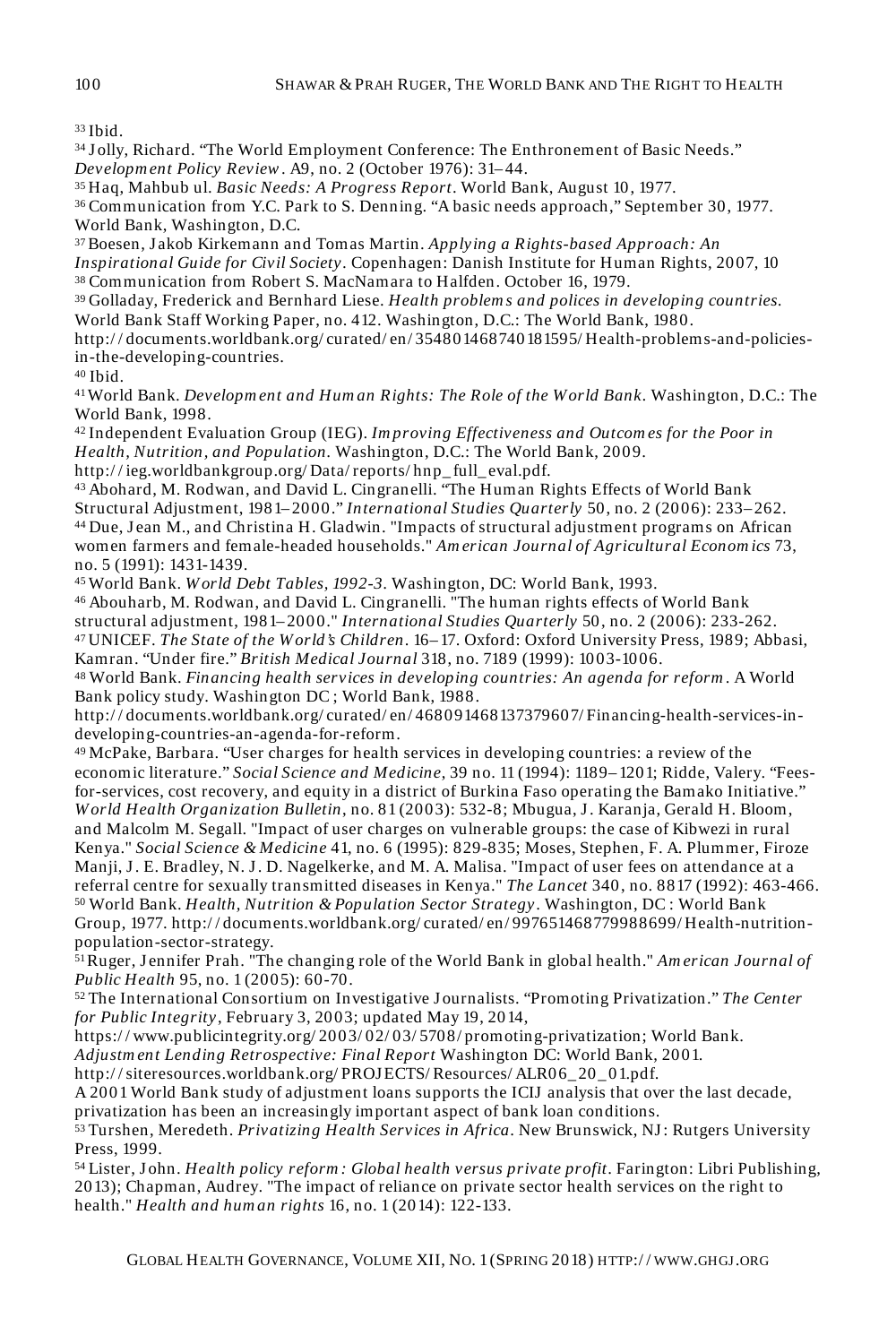<sup>33</sup>Ibid.

<sup>34</sup>J olly, Richard. "The World Employment Conference: The Enthronement of Basic Needs." *Developm ent Policy Review*. A9, no. 2 (October 1976): 31– 44.

<sup>35</sup>Haq, Mahbub ul. *Basic Needs: A Progress Report*. World Bank, August 10, 1977.

<sup>36</sup>Communication from Y.C. Park to S. Denning. "A basic needs approach," September 30, 1977. World Bank, Washington, D.C.

<sup>37</sup>Boesen, Jakob Kirkemann and Tomas Martin. *Applying a Rights-based Approach: An Inspirational Guide for Civil Society.* Copenhagen: Danish Institute for Human Rights, 2007, 10 <sup>38</sup>Communication from Robert S. MacNamara to Halfden. October 16, 1979.

<sup>39</sup>Golladay, Frederick and Bernhard Liese. *Health problem s and polices in developing countries.*

World Bank Staff Working Paper, no. 412. Washington, D.C.: The World Bank, 1980. http:/ / documents.worldbank.org/ curated/ en/ 354801468740181595/ Health-problems-and-policies-

in-the-developing-countries.

 $40$  Ibid.

<sup>41</sup>World Bank. *Developm ent and Hum an Rights: The Role of the World Bank.* Washington, D.C.: The World Bank, 1998.

<sup>42</sup>Independent Evaluation Group (IEG). *Im proving Effectiveness and Outcom es for the Poor in Health, Nutrition, and Population.* Washington, D.C.: The World Bank, 2009.

http:/ / ieg.worldbankgroup.org/ Data/ reports/ hnp\_ full\_ eval.pdf.

<sup>43</sup>Abohard, M. Rodwan, and David L. Cingranelli. "The Human Rights Effects of World Bank Structural Adjustment, 1981– 2000." *International Studies Quarterly* 50, no. 2 (2006): 233– 262. 44 Due, Jean M., and Christina H. Gladwin. "Impacts of structural adjustment programs on African women farmers and female-headed households." *Am erican Journal of Agricultural Econom ics* 73, no. 5 (1991): 1431-1439.

<sup>45</sup>World Bank. *W orld Debt Tables, 1992-3.* Washington, DC: World Bank, 1993.

46 Abouharb, M. Rodwan, and David L. Cingranelli. "The human rights effects of World Bank structural adjustment, 1981– 2000." *International Studies Quarterly* 50, no. 2 (2006): 233-262. <sup>47</sup>UNICEF. *The State of the W orld's Children*. 16– 17. Oxford: Oxford University Press, 1989; Abbasi, Kamran. "Under fire." *British Medical Journal* 318, no. 7189 (1999): 1003-1006.

<sup>48</sup>World Bank. *Financing health services in developing countries: An agenda for reform* . A World Bank policy study. Washington DC ; World Bank, 1988.

http:/ / documents.worldbank.org/ curated/ en/ 468091468137379607/ Financing-health-services-indeveloping-countries-an-agenda-for-reform.

<sup>49</sup>McPake, Barbara. "User charges for health services in developing countries: a review of the economic literature." *Social Science and Medicine*, 39 no. 11 (1994): 1189– 1201; Ridde, Valery. "Feesfor-services, cost recovery, and equity in a district of Burkina Faso operating the Bamako Initiative." *W orld Health Organization Bulletin*, no. 81 (2003): 532-8; Mbugua, J . Karanja, Gerald H. Bloom, and Malcolm M. Segall. "Impact of user charges on vulnerable groups: the case of Kibwezi in rural Kenya." *Social Science & Medicine* 41, no. 6 (1995): 829-835; Moses, Stephen, F. A. Plummer, Firoze Manji, J . E. Bradley, N. J . D. Nagelkerke, and M. A. Malisa. "Impact of user fees on attendance at a referral centre for sexually transmitted diseases in Kenya." *The Lancet* 340, no. 8817 (1992): 463-466. <sup>50</sup>World Bank. *Health, Nutrition & Population Sector Strategy*. Washington, DC : World Bank Group, 1977. http:/ / documents.worldbank.org/ curated/ en/ 997651468779988699/ Health-nutritionpopulation-sector-strategy.

<sup>51</sup>Ruger, J ennifer Prah. "The changing role of the World Bank in global health." *Am erican Journal of Public Health* 95, no. 1 (2005): 60-70.

<sup>52</sup>The International Consortium on Investigative J ournalists. "Promoting Privatization." *The Center for Public Integrity*, February 3, 2003; updated May 19, 2014,

https:/ / www.publicintegrity.org/ 2003/ 02/ 03/ 5708/ promoting-privatization; World Bank.

*Adjustm ent Lending Retrospective: Final Report* Washington DC: World Bank, 2001.

http:/ / siteresources.worldbank.org/ PROJECTS/ Resources/ ALR06\_ 20\_ 01.pdf.

A 2001 World Bank study of adjustment loans supports the ICIJ analysis that over the last decade, privatization has been an increasingly important aspect of bank loan conditions.

<sup>53</sup>Turshen, Meredeth. *Privatizing Health Services in Africa*. New Brunswick, NJ : Rutgers University Press, 1999.

<sup>54</sup>Lister, J ohn. *Health policy reform : Global health versus private profit*. Farington: Libri Publishing, 2013); Chapman, Audrey. "The impact of reliance on private sector health services on the right to health." *Health and hum an rights* 16, no. 1 (2014): 122-133.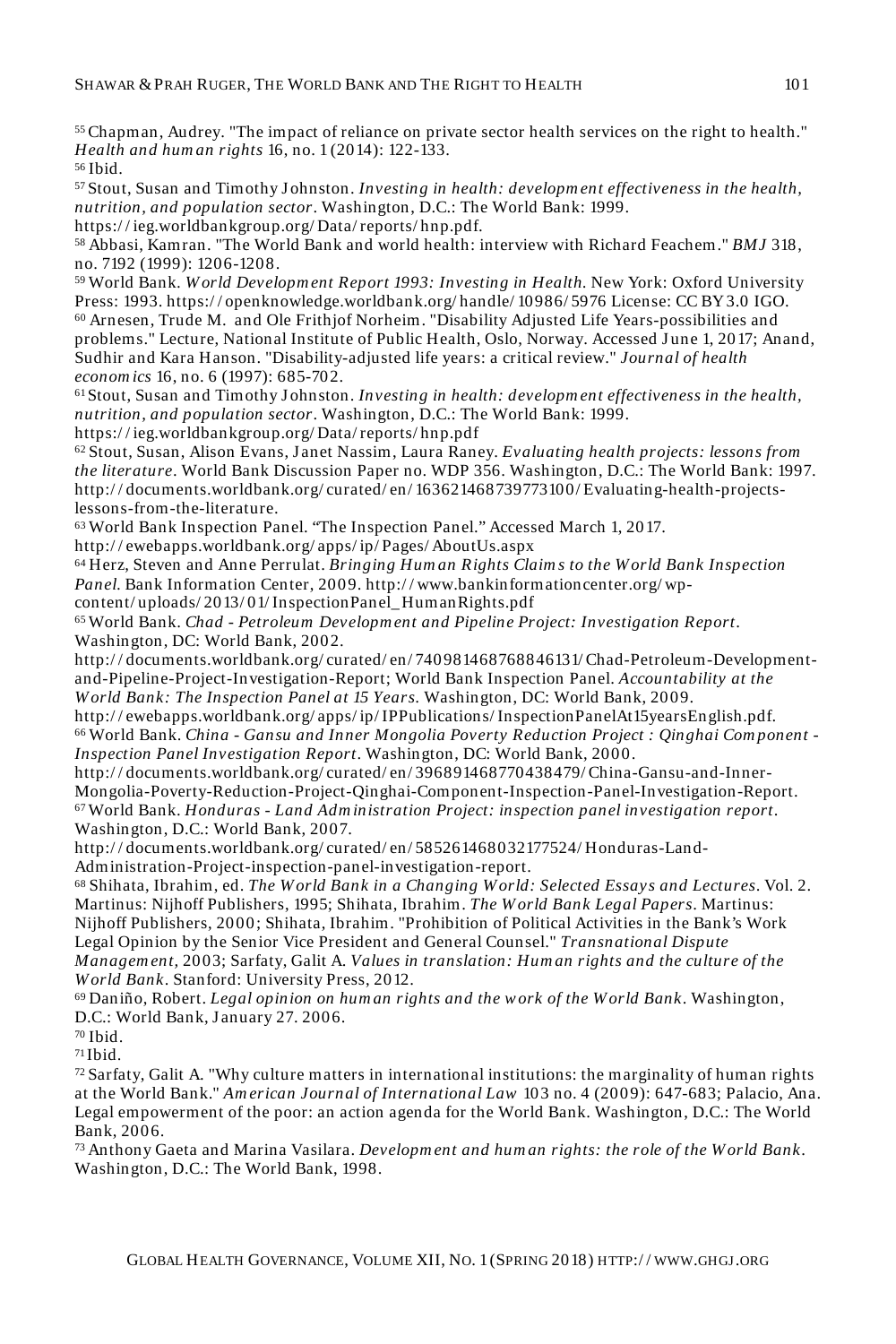<sup>55</sup>Chapman, Audrey. "The impact of reliance on private sector health services on the right to health." *Health and hum an rights* 16, no. 1 (2014): 122-133. <sup>56</sup>Ibid.

<sup>57</sup>Stout, Susan and Timothy J ohnston. *Investing in health: developm ent effectiveness in the health, nutrition, and population sector*. Washington, D.C.: The World Bank: 1999.

https:/ / ieg.worldbankgroup.org/ Data/ reports/ hnp.pdf.

<sup>58</sup>Abbasi, Kamran. "The World Bank and world health: interview with Richard Feachem." *BMJ* 318, no. 7192 (1999): 1206-1208.

<sup>59</sup>World Bank*. W orld Developm ent Report 1993: Investing in Health.* New York: Oxford University Press: 1993. https:/ / openknowledge.worldbank.org/ handle/ 10986/ 5976 License: CC BY 3.0 IGO. <sup>60</sup>Arnesen, Trude M. and Ole Frithjof Norheim. "Disability Adjusted Life Years-possibilities and problems." Lecture, National Institute of Public Health, Oslo, Norway. Accessed J une 1, 2017; Anand, Sudhir and Kara Hanson. "Disability-adjusted life years: a critical review." *Journal of health econom ics* 16, no. 6 (1997): 685-702.

<sup>61</sup>Stout, Susan and Timothy J ohnston. *Investing in health: developm ent effectiveness in the health, nutrition, and population sector*. Washington, D.C.: The World Bank: 1999. https:/ / ieg.worldbankgroup.org/ Data/ reports/ hnp.pdf

<sup>62</sup>Stout, Susan, Alison Evans, Janet Nassim, Laura Raney. *Evaluating health projects: lessons from the literature*. World Bank Discussion Paper no. WDP 356. Washington, D.C.: The World Bank: 1997. http:/ / documents.worldbank.org/ curated/ en/ 163621468739773100/ Evaluating-health-projectslessons-from-the-literature.

<sup>63</sup>World Bank Inspection Panel. "The Inspection Panel." Accessed March 1, 2017. http:/ / ewebapps.worldbank.org/ apps/ ip/ Pages/ AboutUs.aspx

<sup>64</sup>Herz, Steven and Anne Perrulat. *Bringing Hum an Rights Claim s to the W orld Bank Inspection Panel.* Bank Information Center, 2009. http:/ / www.bankinformationcenter.org/ wpcontent/ uploads/ 2013/ 01/ InspectionPanel\_ HumanRights.pdf

<sup>65</sup>World Bank. *Chad - Petroleum Developm ent and Pipeline Project: Investigation Report*. Washington, DC: World Bank, 2002.

http:/ / documents.worldbank.org/ curated/ en/ 740981468768846131/ Chad-Petroleum-Developmentand-Pipeline-Project-Investigation-Report; World Bank Inspection Panel. *Accountability at the W orld Bank: The Inspection Panel at 15 Years.* Washington, DC: World Bank, 2009.

http:/ / ewebapps.worldbank.org/ apps/ ip/ IPPublications/ InspectionPanelAt15yearsEnglish.pdf. <sup>66</sup>World Bank. *China - Gansu and Inner Mongolia Poverty Reduction Project : Qinghai Com ponent - Inspection Panel Investigation Report*. Washington, DC: World Bank, 2000.

http:/ / documents.worldbank.org/ curated/ en/ 396891468770438479/ China-Gansu-and-Inner-Mongolia-Poverty-Reduction-Project-Qinghai-Component-Inspection-Panel-Investigation-Report. <sup>67</sup>World Bank. *Honduras - Land Adm inistration Project: inspection panel investigation report*. Washington, D.C.: World Bank, 2007.

http:/ / documents.worldbank.org/ curated/ en/ 585261468032177524/ Honduras-Land-Administration-Project-inspection-panel-investigation-report.

<sup>68</sup>Shihata, Ibrahim, ed. *The W orld Bank in a Changing W orld: Selected Essays and Lectures*. Vol. 2. Martinus: Nijhoff Publishers, 1995; Shihata, Ibrahim. *The W orld Bank Legal Papers*. Martinus: Nijhoff Publishers, 2000; Shihata, Ibrahim. "Prohibition of Political Activities in the Bank's Work Legal Opinion by the Senior Vice President and General Counsel." *Transnational Dispute Managem ent,* 2003; Sarfaty, Galit A. *Values in translation: Hum an rights and the culture of the W orld Bank*. Stanford: University Press, 2012.

<sup>69</sup>Daniño, Robert. *Legal opinion on hum an rights and the w ork of the World Bank*. Washington, D.C.: World Bank, J anuary 27. 2006.

 $70$  Ibid.

 $71$ Ibid.

 $72$  Sarfaty, Galit A. "Why culture matters in international institutions: the marginality of human rights at the World Bank." *Am erican Journal of International Law* 103 no. 4 (2009): 647-683; Palacio, Ana. Legal empowerment of the poor: an action agenda for the World Bank. Washington, D.C.: The World Bank, 2006.

<sup>73</sup>Anthony Gaeta and Marina Vasilara. *Developm ent and hum an rights: the role of the W orld Bank*. Washington, D.C.: The World Bank, 1998.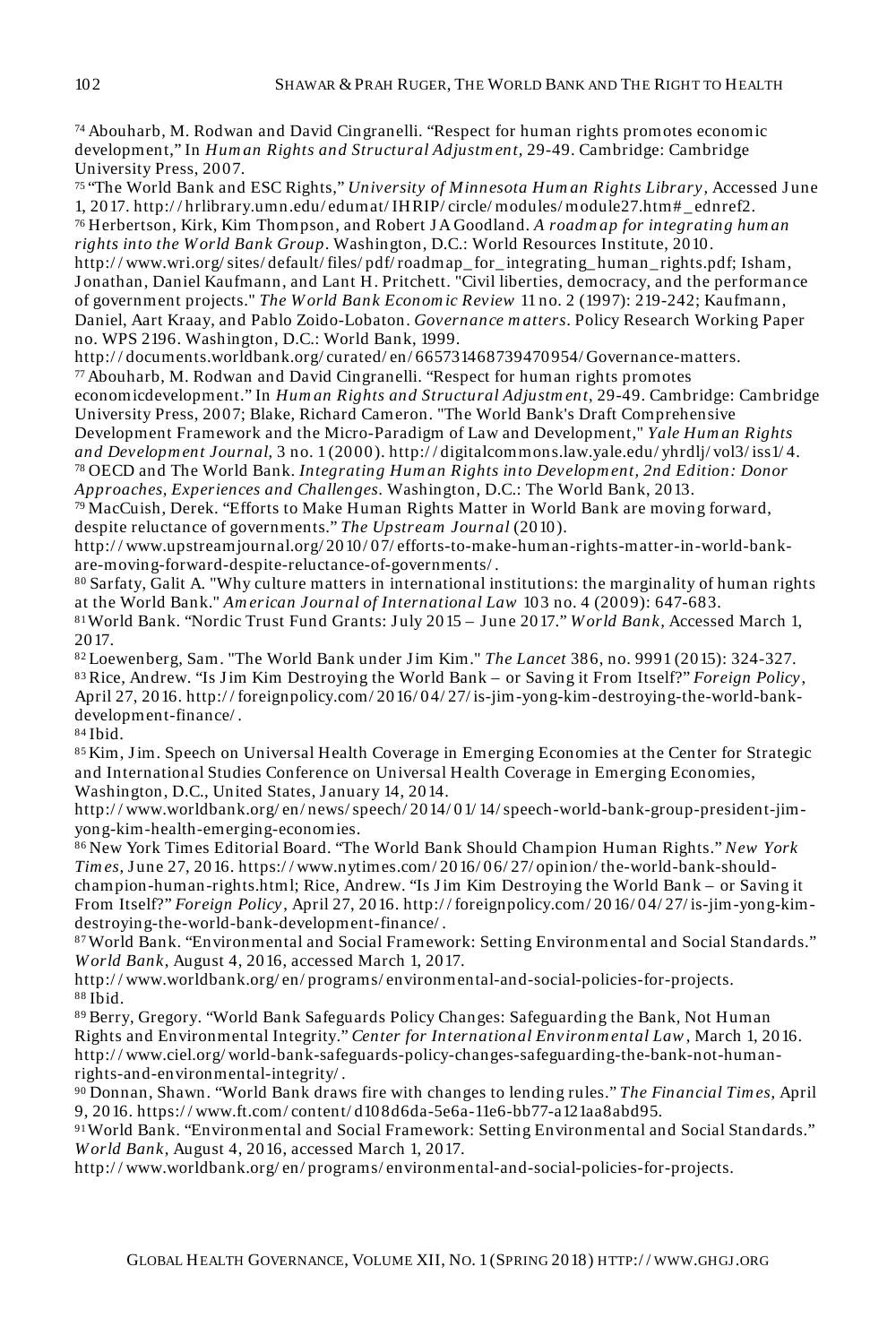<sup>74</sup>Abouharb, M. Rodwan and David Cingranelli. "Respect for human rights promotes economic development," In *Hum an Rights and Structural Adjustm ent,* 29-49. Cambridge: Cambridge University Press, 2007.

<sup>75</sup>"The World Bank and ESC Rights," *University of Minnesota Hum an Rights Library,* Accessed J une 1, 2017. http:/ / hrlibrary.umn.edu/ edumat/ IHRIP/ circle/ modules/ module27.htm# \_ ednref2. <sup>76</sup>Herbertson, Kirk, Kim Thompson, and Robert J A Goodland. *A roadm ap for integrating hum an rights into the World Bank Group*. Washington, D.C.: World Resources Institute, 2010. http:/ / www.wri.org/ sites/ default/ files/ pdf/ roadmap\_ for\_ integrating\_ human\_ rights.pdf; Isham, J onathan, Daniel Kaufmann, and Lant H. Pritchett. "Civil liberties, democracy, and the performance

of government projects." *The W orld Bank Econom ic Review* 11 no. 2 (1997): 219-242; Kaufmann, Daniel, Aart Kraay, and Pablo Zoido-Lobaton. *Governance m atters*. Policy Research Working Paper no. WPS 2196. Washington, D.C.: World Bank, 1999.

http:/ / documents.worldbank.org/ curated/ en/ 665731468739470954/ Governance-matters.  $77$ Abouharb, M. Rodwan and David Cingranelli. "Respect for human rights promotes

economicdevelopment." In *Hum an Rights and Structural Adjustm ent*, 29-49. Cambridge: Cambridge University Press, 2007; Blake, Richard Cameron. "The World Bank's Draft Comprehensive Development Framework and the Micro-Paradigm of Law and Development," *Yale Hum an Rights and Developm ent Journal*, 3 no. 1 (2000). http:/ / digitalcommons.law.yale.edu/ yhrdlj/ vol3/ iss1/ 4. <sup>78</sup>OECD and The World Bank. *Integrating Hum an Rights into Developm ent, 2nd Edition: Donor* 

*Approaches, Experiences and Challenges.* Washington, D.C.: The World Bank, 2013.

<sup>79</sup>MacCuish, Derek. "Efforts to Make Human Rights Matter in World Bank are moving forward, despite reluctance of governments." *The Upstream Journal* (2010).

http:/ / www.upstreamjournal.org/ 2010/ 07/ efforts-to-make-human-rights-matter-in-world-bankare-moving-forward-despite-reluctance-of-governments/ .

<sup>80</sup>Sarfaty, Galit A. "Why culture matters in international institutions: the marginality of human rights at the World Bank." *Am erican Journal of International Law* 103 no. 4 (2009): 647-683. <sup>81</sup>World Bank. "Nordic Trust Fund Grants: July 2015 – June 2017." *W orld Bank,* Accessed March 1, 2017.

<sup>82</sup>Loewenberg, Sam. "The World Bank under Jim Kim." *The Lancet* 386, no. 9991 (2015): 324-327. <sup>83</sup>Rice, Andrew. "Is J im Kim Destroying the World Bank – or Saving it From Itself?" *Foreign Policy*, April 27, 2016. http:/ / foreignpolicy.com/ 2016/ 04/ 27/ is-jim-yong-kim-destroying-the-world-bankdevelopment-finance/ .

<sup>84</sup>Ibid.

85 Kim, Jim. Speech on Universal Health Coverage in Emerging Economies at the Center for Strategic and International Studies Conference on Universal Health Coverage in Emerging Economies, Washington, D.C., United States, January 14, 2014.

http:/ / www.worldbank.org/ en/ news/ speech/ 2014/ 01/ 14/speech-world-bank-group-president-jimyong-kim-health-emerging-economies.

<sup>86</sup>New York Times Editorial Board. "The World Bank Should Champion Human Rights." *New York Tim es*, J une 27, 2016. https:/ / www.nytimes.com/ 2016/ 06/ 27/ opinion/ the-world-bank-shouldchampion-human-rights.html; Rice, Andrew. "Is Jim Kim Destroying the World Bank – or Saving it From Itself?" *Foreign Policy*, April 27, 2016. http:/ / foreignpolicy.com/ 2016/ 04/ 27/ is-jim-yong-kimdestroying-the-world-bank-development-finance/ .

<sup>87</sup>World Bank. "Environmental and Social Framework: Setting Environmental and Social Standards." *W orld Bank*, August 4, 2016, accessed March 1, 2017.

http:/ / www.worldbank.org/ en/ programs/ environmental-and-social-policies-for-projects. <sup>88</sup>Ibid.

89 Berry, Gregory. "World Bank Safeguards Policy Changes: Safeguarding the Bank, Not Human Rights and Environmental Integrity." *Center for International Environm ental Law*, March 1, 2016. http:/ / www.ciel.org/ world-bank-safeguards-policy-changes-safeguarding-the-bank-not-humanrights-and-environmental-integrity/ .

<sup>90</sup>Donnan, Shawn. "World Bank draws fire with changes to lending rules." *The Financial Tim es*, April 9, 2016. https:/ / www.ft.com/ content/ d108d6da-5e6a-11e6-bb77-a121aa8abd95.

<sup>91</sup>World Bank. "Environmental and Social Framework: Setting Environmental and Social Standards." *W orld Bank*, August 4, 2016, accessed March 1, 2017.

http:/ / www.worldbank.org/ en/ programs/ environmental-and-social-policies-for-projects.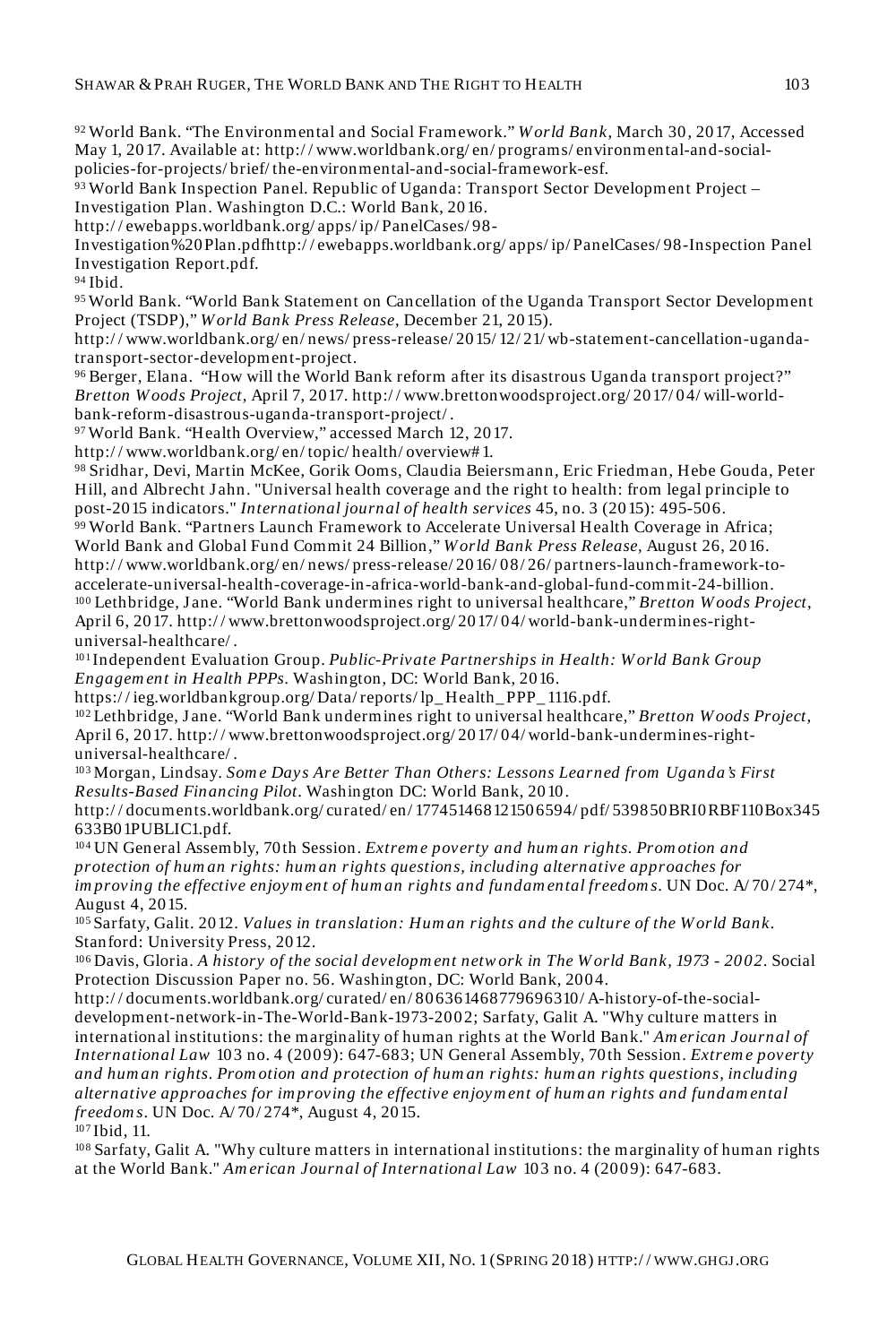<sup>92</sup>World Bank. "The Environmental and Social Framework." *W orld Bank*, March 30, 2017, Accessed May 1, 2017. Available at: http:/ / www.worldbank.org/ en/ programs/ environmental-and-socialpolicies-for-projects/ brief/ the-environmental-and-social-framework-esf.

<sup>93</sup>World Bank Inspection Panel. Republic of Uganda: Transport Sector Development Project – Investigation Plan. Washington D.C.: World Bank, 2016.

http:/ / ewebapps.worldbank.org/ apps/ ip/ PanelCases/ 98-

Investigation%20Plan.pdfhttp:/ / ewebapps.worldbank.org/ apps/ ip/ PanelCases/ 98-Inspection Panel Investigation Report.pdf.

<sup>94</sup>Ibid.

<sup>95</sup>World Bank. "World Bank Statement on Cancellation of the Uganda Transport Sector Development Project (TSDP)," *W orld Bank Press Release*, December 21, 2015).

http:/ / www.worldbank.org/ en/ news/ press-release/ 2015/ 12/ 21/ wb-statement-cancellation-ugandatransport-sector-development-project.

<sup>96</sup>Berger, Elana. "How will the World Bank reform after its disastrous Uganda transport project?" *Bretton W oods Project,* April 7, 2017. http:/ / www.brettonwoodsproject.org/ 2017/ 04/ will-worldbank-reform-disastrous-uganda-transport-project/ .

<sup>97</sup>World Bank. "Health Overview," accessed March 12, 2017.

http:/ / www.worldbank.org/ en/ topic/ health/ overview# 1.

<sup>98</sup>Sridhar, Devi, Martin McKee, Gorik Ooms, Claudia Beiersmann, Eric Friedman, Hebe Gouda, Peter Hill, and Albrecht Jahn. "Universal health coverage and the right to health: from legal principle to post-2015 indicators." *International journal of health services* 45, no. 3 (2015): 495-506.

<sup>99</sup>World Bank. "Partners Launch Framework to Accelerate Universal Health Coverage in Africa; World Bank and Global Fund Commit 24 Billion," *W orld Bank Press Release*, August 26, 2016. http:/ / www.worldbank.org/ en/ news/ press-release/ 2016/ 08/ 26/ partners-launch-framework-toaccelerate-universal-health-coverage-in-africa-world-bank-and-global-fund-commit-24-billion. <sup>100</sup>Lethbridge, Jane. "World Bank undermines right to universal healthcare," *Bretton W oods Project*, April 6, 2017. http:/ / www.brettonwoodsproject.org/ 2017/ 04/ world-bank-undermines-rightuniversal-healthcare/ .

<sup>101</sup>Independent Evaluation Group. *Public-Private Partnerships in Health: W orld Bank Group Engagem ent in Health PPPs.* Washington, DC: World Bank, 2016.

https:/ / ieg.worldbankgroup.org/ Data/ reports/ lp\_ Health\_ PPP\_ 1116.pdf.

<sup>102</sup>Lethbridge, J ane. "World Bank undermines right to universal healthcare," *Bretton W oods Project,* April 6, 2017. http:/ / www.brettonwoodsproject.org/ 2017/ 04/ world-bank-undermines-rightuniversal-healthcare/ .

<sup>103</sup>Morgan, Lindsay. *Som e Days Are Better Than Others: Lessons Learned from Uganda's First Results-Based Financing Pilot*. Washington DC: World Bank, 2010.

http:/ / documents.worldbank.org/ curated/ en/ 177451468121506594/ pdf/ 539850BRI0RBF110Box345 633B01PUBLIC1.pdf.

<sup>104</sup>UN General Assembly, 70th Session. *Extrem e poverty and hum an rights. Prom otion and protection of hum an rights: hum an rights questions, including alternative approaches for im proving the effective enjoym ent of hum an rights and fundam ental freedom s*. UN Doc. A/ 70/ 274\*, August 4, 2015.

<sup>105</sup>Sarfaty, Galit. 2012. *Values in translation: Hum an rights and the culture of the W orld Bank*. Stanford: University Press, 2012.

<sup>106</sup>Davis, Gloria. *A history of the social developm ent netw ork in The W orld Bank, 1973 - 2002*. Social Protection Discussion Paper no. 56. Washington, DC: World Bank, 2004.

http:/ / documents.worldbank.org/ curated/ en/ 806361468779696310/ A-history-of-the-socialdevelopment-network-in-The-World-Bank-1973-2002; Sarfaty, Galit A. "Why culture matters in international institutions: the marginality of human rights at the World Bank." *Am erican Journal of International Law* 103 no. 4 (2009): 647-683; UN General Assembly, 70th Session. *Extrem e poverty and hum an rights. Prom otion and protection of hum an rights: hum an rights questions, including alternative approaches for im proving the effective enjoym ent of hum an rights and fundam ental freedom s*. UN Doc. A/ 70/ 274\*, August 4, 2015.

<sup>107</sup>Ibid, 11.

<sup>108</sup>Sarfaty, Galit A. "Why culture matters in international institutions: the marginality of human rights at the World Bank." *Am erican Journal of International Law* 103 no. 4 (2009): 647-683.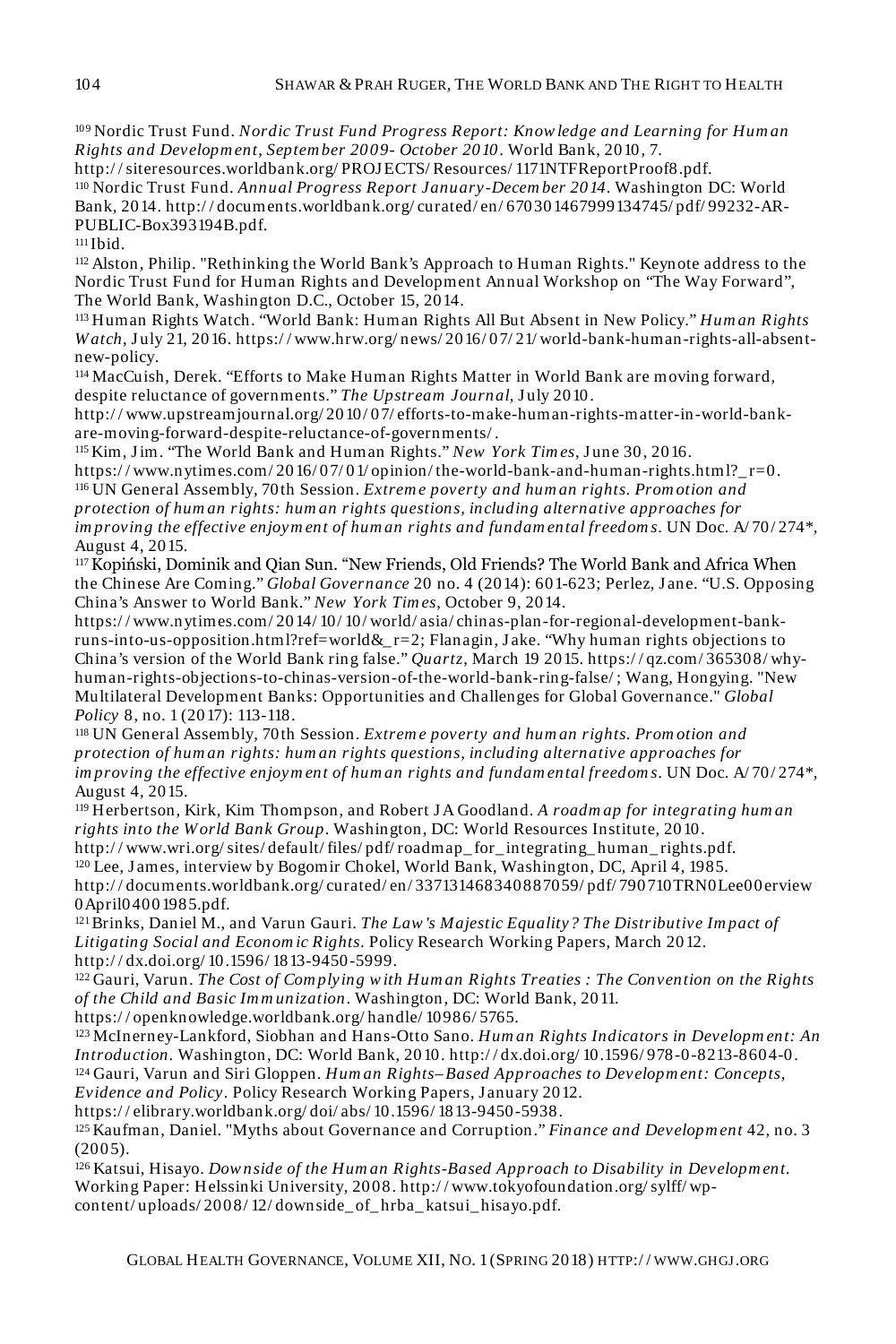<sup>109</sup>Nordic Trust Fund. *Nordic Trust Fund Progress Report: Know ledge and Learning for Hum an Rights and Developm ent, Septem ber 2009- October 2010*. World Bank, 2010, 7.

http:/ / siteresources.worldbank.org/ PROJECTS/ Resources/ 1171NTFReportProof8.pdf. <sup>110</sup>Nordic Trust Fund. *Annual Progress Report January-Decem ber 2014*. Washington DC: World Bank, 2014. http:/ / documents.worldbank.org/ curated/ en/ 670301467999134745/ pdf/ 99232-AR-PUBLIC-Box393194B.pdf.

<sup>111</sup>Ibid.

<sup>112</sup>Alston, Philip. "Rethinking the World Bank's Approach to Human Rights." Keynote address to the Nordic Trust Fund for Human Rights and Development Annual Workshop on "The Way Forward", The World Bank, Washington D.C., October 15, 2014.

<sup>113</sup>Human Rights Watch. "World Bank: Human Rights All But Absent in New Policy." *Hum an Rights W atch*, J uly 21, 2016. https:/ / www.hrw.org/ news/ 2016/ 07/ 21/ world-bank-human-rights-all-absentnew-policy.

<sup>114</sup>MacCuish, Derek. "Efforts to Make Human Rights Matter in World Bank are moving forward, despite reluctance of governments." The Upstream Journal, July 2010.

http:/ / www.upstreamjournal.org/ 2010/ 07/ efforts-to-make-human-rights-matter-in-world-bankare-moving-forward-despite-reluctance-of-governments/ .

<sup>115</sup>Kim, J im. "The World Bank and Human Rights." *New York Tim es*, J une 30, 2016. https://www.nytimes.com/2016/07/01/opinion/the-world-bank-and-human-rights.html?\_r=0. <sup>116</sup>UN General Assembly, 70th Session. *Extrem e poverty and hum an rights. Prom otion and protection of hum an rights: hum an rights questions, including alternative approaches for im proving the effective enjoym ent of hum an rights and fundam ental freedom s*. UN Doc. A/ 70/ 274\*, August 4, 2015.

117 Kopiński, Dominik and Qian Sun. "New Friends, Old Friends? The World Bank and Africa When the Chinese Are Coming." *Global Governance* 20 no. 4 (2014): 601-623; Perlez, J ane. "U.S. Opposing China's Answer to World Bank." *New York Tim es*, October 9, 2014.

https:/ / www.nytimes.com/ 2014/ 10/ 10/ world/ asia/ chinas-plan-for-regional-development-bankruns-into-us-opposition.html?ref=world&\_r=2; Flanagin, Jake. "Why human rights objections to China's version of the World Bank ring false." *Quartz*, March 19 2015. https:/ / qz.com/ 365308/ whyhuman-rights-objections-to-chinas-version-of-the-world-bank-ring-false/ ; Wang, Hongying. "New Multilateral Development Banks: Opportunities and Challenges for Global Governance." *Global Policy* 8, no. 1 (2017): 113-118.

<sup>118</sup>UN General Assembly, 70th Session. *Extrem e poverty and hum an rights. Prom otion and protection of hum an rights: hum an rights questions, including alternative approaches for im proving the effective enjoym ent of hum an rights and fundam ental freedom s*. UN Doc. A/ 70/ 274\*, August 4, 2015.

<sup>119</sup>Herbertson, Kirk, Kim Thompson, and Robert J A Goodland. *A roadm ap for integrating hum an rights into the World Bank Group*. Washington, DC: World Resources Institute, 2010.

http:/ / www.wri.org/ sites/ default/ files/ pdf/ roadmap\_ for\_ integrating\_ human\_ rights.pdf. <sup>120</sup>Lee, J ames, interview by Bogomir Chokel, World Bank, Washington, DC, April 4, 1985.

http:/ / documents.worldbank.org/ curated/ en/ 337131468340887059/ pdf/ 790710TRN0Lee00erview 0April04001985.pdf.

<sup>121</sup>Brinks, Daniel M., and Varun Gauri. *The Law 's Majestic Equality? The Distributive Im pact of Litigating Social and Econom ic Rights.* Policy Research Working Papers, March 2012. http:/ / dx.doi.org/ 10.1596/ 1813-9450-5999.

<sup>122</sup>Gauri, Varun. *The Cost of Com plying w ith Hum an Rights Treaties : The Convention on the Rights of the Child and Basic Im m unization*. Washington, DC: World Bank, 2011.

https:/ / openknowledge.worldbank.org/ handle/ 10986/ 5765.

<sup>123</sup>McInerney-Lankford, Siobhan and Hans-Otto Sano. *Hum an Rights Indicators in Developm ent: An Introduction.* Washington, DC: World Bank, 2010. http:/ / dx.doi.org/ 10.1596/ 978-0-8213-8604-0. <sup>124</sup>Gauri, Varun and Siri Gloppen. *Hum an Rights–Based Approaches to Developm ent: Concepts,* 

*Evidence and Policy.* Policy Research Working Papers, January 2012.

https:/ / elibrary.worldbank.org/ doi/ abs/ 10.1596/ 1813-9450-5938.

<sup>125</sup>Kaufman, Daniel. "Myths about Governance and Corruption." *Finance and Developm ent* 42, no. 3 (2005).

<sup>126</sup>Katsui, Hisayo. *Dow nside of the Hum an Rights-Based Approach to Disability in Developm ent.* Working Paper: Helssinki University, 2008. http:/ / www.tokyofoundation.org/ sylff/ wpcontent/ uploads/ 2008/ 12/ downside\_ of\_ hrba\_ katsui\_ hisayo.pdf.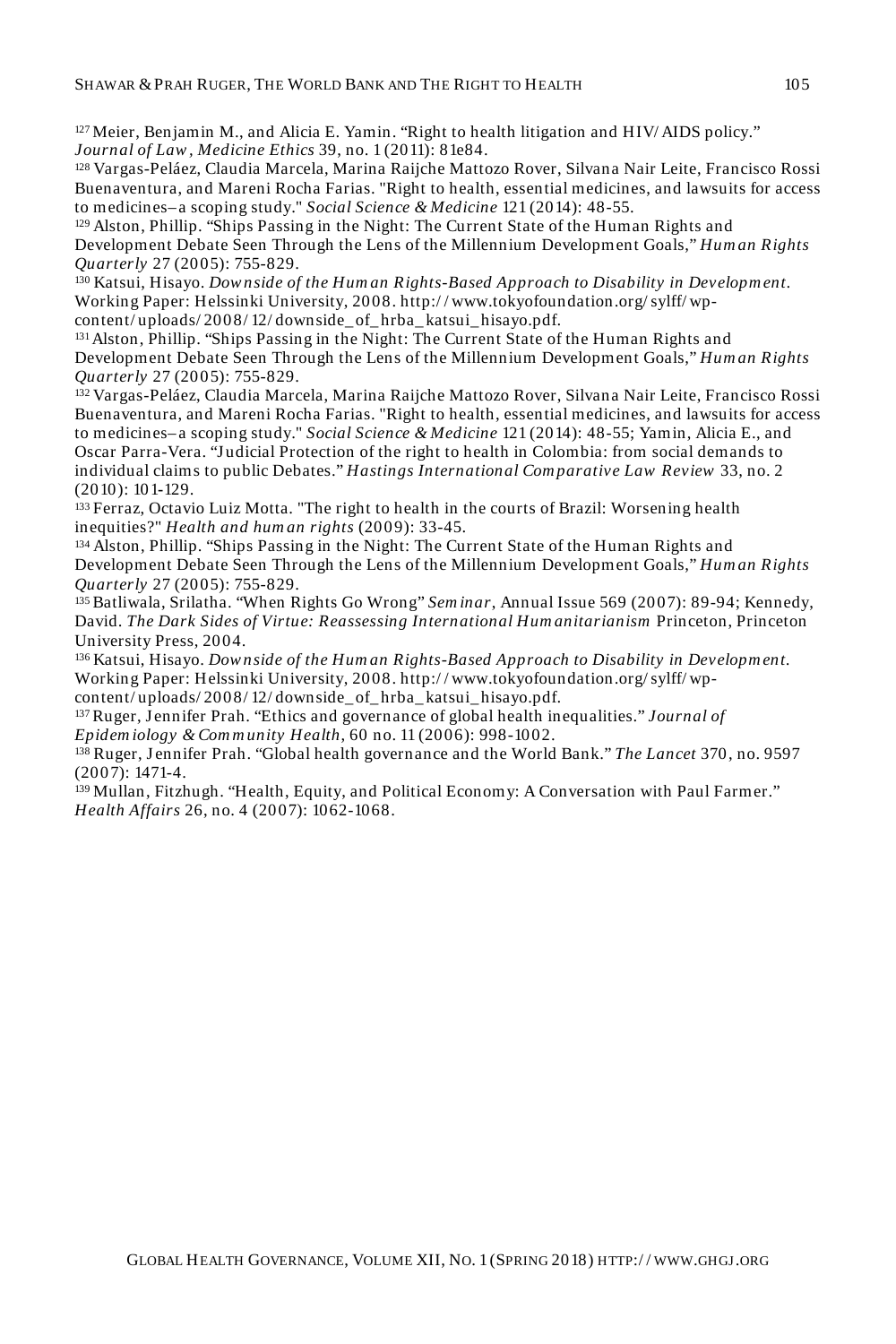<sup>127</sup>Meier, Benjamin M., and Alicia E. Yamin. "Right to health litigation and HIV/ AIDS policy." *Journal of Law , Medicine Ethics* 39, no. 1 (2011): 81e84.

<sup>128</sup>Vargas-Peláez, Claudia Marcela, Marina Raijche Mattozo Rover, Silvana Nair Leite, Francisco Rossi Buenaventura, and Mareni Rocha Farias. "Right to health, essential medicines, and lawsuits for access to medicines– a scoping study." *Social Science & Medicine* 121 (2014): 48-55.

<sup>129</sup>Alston, Phillip. "Ships Passing in the Night: The Current State of the Human Rights and Development Debate Seen Through the Lens of the Millennium Development Goals," *Hum an Rights Quarterly* 27 (2005): 755-829.

<sup>130</sup>Katsui, Hisayo. *Dow nside of the Hum an Rights-Based Approach to Disability in Developm ent.* Working Paper: Helssinki University, 2008. http:/ / www.tokyofoundation.org/ sylff/ wpcontent/uploads/2008/12/downside\_of\_hrba\_katsui\_hisayo.pdf.

<sup>131</sup>Alston, Phillip. "Ships Passing in the Night: The Current State of the Human Rights and Development Debate Seen Through the Lens of the Millennium Development Goals," *Hum an Rights Quarterly* 27 (2005): 755-829.

<sup>132</sup>Vargas-Peláez, Claudia Marcela, Marina Raijche Mattozo Rover, Silvana Nair Leite, Francisco Rossi Buenaventura, and Mareni Rocha Farias. "Right to health, essential medicines, and lawsuits for access to medicines– a scoping study." *Social Science & Medicine* 121 (2014): 48-55; Yamin, Alicia E., and Oscar Parra-Vera. "Judicial Protection of the right to health in Colombia: from social demands to individual claims to public Debates." *Hastings International Com parative Law Review* 33, no. 2 (2010): 101**-**129.

<sup>133</sup>Ferraz, Octavio Luiz Motta. "The right to health in the courts of Brazil: Worsening health inequities?" *Health and hum an rights* (2009): 33-45.

<sup>134</sup>Alston, Phillip. "Ships Passing in the Night: The Current State of the Human Rights and Development Debate Seen Through the Lens of the Millennium Development Goals," *Hum an Rights Quarterly* 27 (2005): 755-829.

<sup>135</sup>Batliwala, Srilatha. "When Rights Go Wrong" *Sem inar*, Annual Issue 569 (2007): 89-94; Kennedy, David. *The Dark Sides of Virtue: Reassessing International Hum anitarianism* Princeton, Princeton University Press, 2004.

<sup>136</sup>Katsui, Hisayo. *Dow nside of the Hum an Rights-Based Approach to Disability in Developm ent.* Working Paper: Helssinki University, 2008. http:/ / www.tokyofoundation.org/ sylff/ wpcontent/ uploads/ 2008/ 12/ downside\_ of\_ hrba\_ katsui\_ hisayo.pdf.

<sup>137</sup>Ruger, J ennifer Prah. "Ethics and governance of global health inequalities." *Journal of Epidem iology & Com m unity Health*, 60 no. 11 (2006): 998-1002.

<sup>138</sup>Ruger, J ennifer Prah. "Global health governance and the World Bank." *The Lancet* 370, no. 9597 (2007): 1471-4.

<sup>139</sup>Mullan, Fitzhugh. "Health, Equity, and Political Economy: A Conversation with Paul Farmer." *Health Affairs* 26, no. 4 (2007): 1062-1068.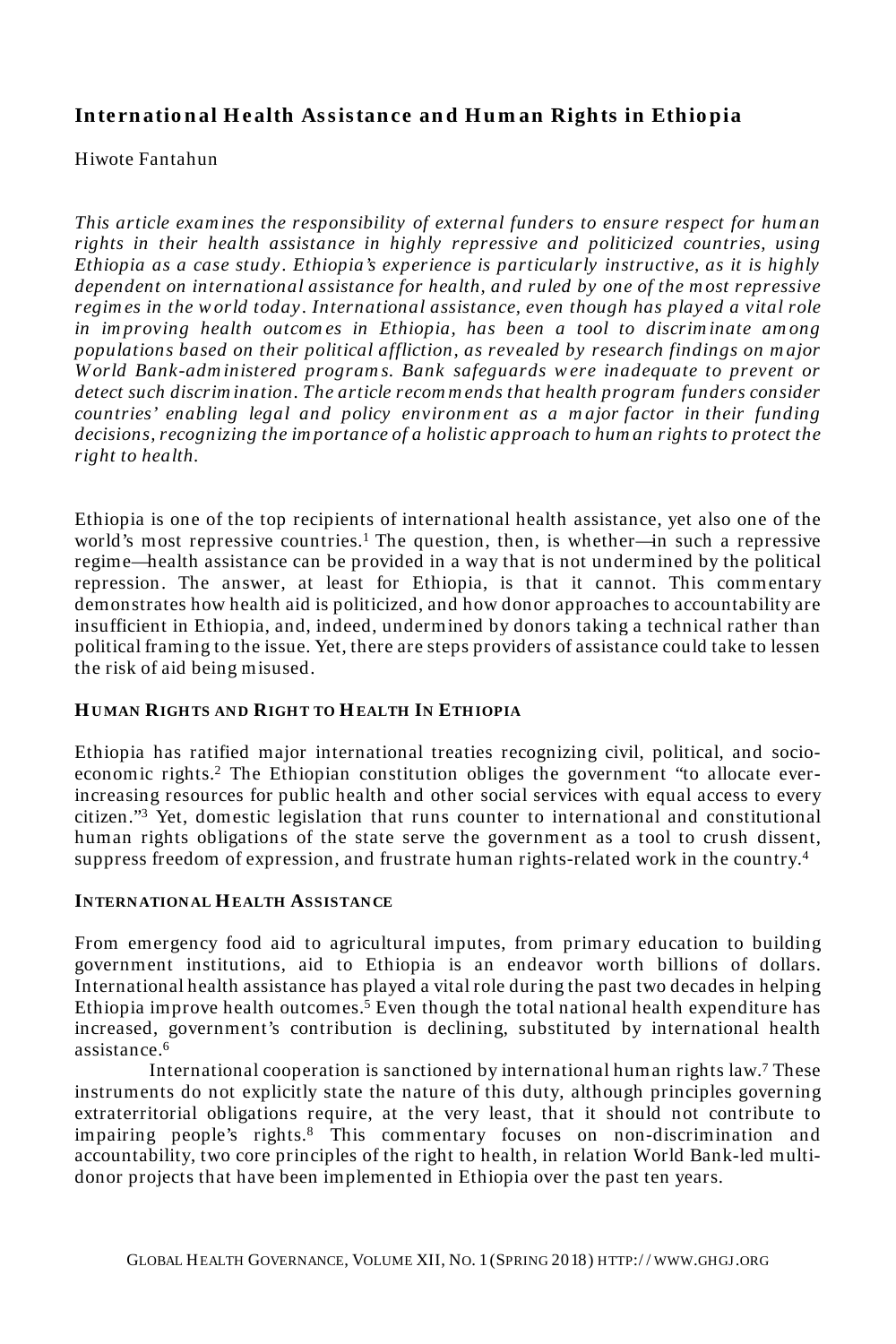### **In te rn atio n al H e alth As s is tan ce an d H u m an Rights in Ethio pia**

#### Hiwote Fantahun

*This article exam ines the responsibility of external funders to ensure respect for hum an rights in their health assistance in highly repressive and politicized countries, using Ethiopia as a case study . Ethiopia's experience is particularly instructive, as it is highly dependent on international assistance for health, and ruled by one of the m ost repressive regim es in the w orld today. International assistance, even though has played a vital role in im proving health outcom es in Ethiopia, has been a tool to discrim inate am ong populations based on their political affliction, as revealed by research findings on m ajor W orld Bank-adm inistered program s. Bank safeguards w ere inadequate to prevent or detect such discrim ination. The article recom m ends that health program funders consider countries' enabling legal and policy environm ent as a m ajor factor in their funding decisions, recognizing the im portance of a holistic approach to hum an rights to protect the right to health.*

Ethiopia is one of the top recipients of international health assistance, yet also one of the world's most repressive countries.<sup>1</sup> The question, then, is whether—in such a repressive regime—health assistance can be provided in a way that is not undermined by the political repression. The answer, at least for Ethiopia, is that it cannot. This commentary demonstrates how health aid is politicized, and how donor approaches to accountability are insufficient in Ethiopia, and, indeed, undermined by donors taking a technical rather than political framing to the issue. Yet, there are steps providers of assistance could take to lessen the risk of aid being misused.

#### **HUMAN RIGH TS AND RIGH T TO HEALTH IN ETH IOPIA**

Ethiopia has ratified major international treaties recognizing civil, political, and socioeconomic rights.<sup>2</sup> The Ethiopian constitution obliges the government "to allocate everincreasing resources for public health and other social services with equal access to every citizen."<sup>3</sup> Yet, domestic legislation that runs counter to international and constitutional human rights obligations of the state serve the government as a tool to crush dissent, suppress freedom of expression, and frustrate human rights-related work in the country.<sup>4</sup>

#### **INTERNATIONAL HEALTH ASSISTANCE**

From emergency food aid to agricultural imputes, from primary education to building government institutions, aid to Ethiopia is an endeavor worth billions of dollars. International health assistance has played a vital role during the past two decades in helping Ethiopia improve health outcomes.<sup>5</sup> Even though the total national health expenditure has increased, government's contribution is declining, substituted by international health assistance.<sup>6</sup>

International cooperation is sanctioned by international human rights law.<sup>7</sup> These instruments do not explicitly state the nature of this duty, although principles governing extraterritorial obligations require, at the very least, that it should not contribute to impairing people's rights.<sup>8</sup> This commentary focuses on non-discrimination and accountability, two core principles of the right to health, in relation World Bank-led multidonor projects that have been implemented in Ethiopia over the past ten years.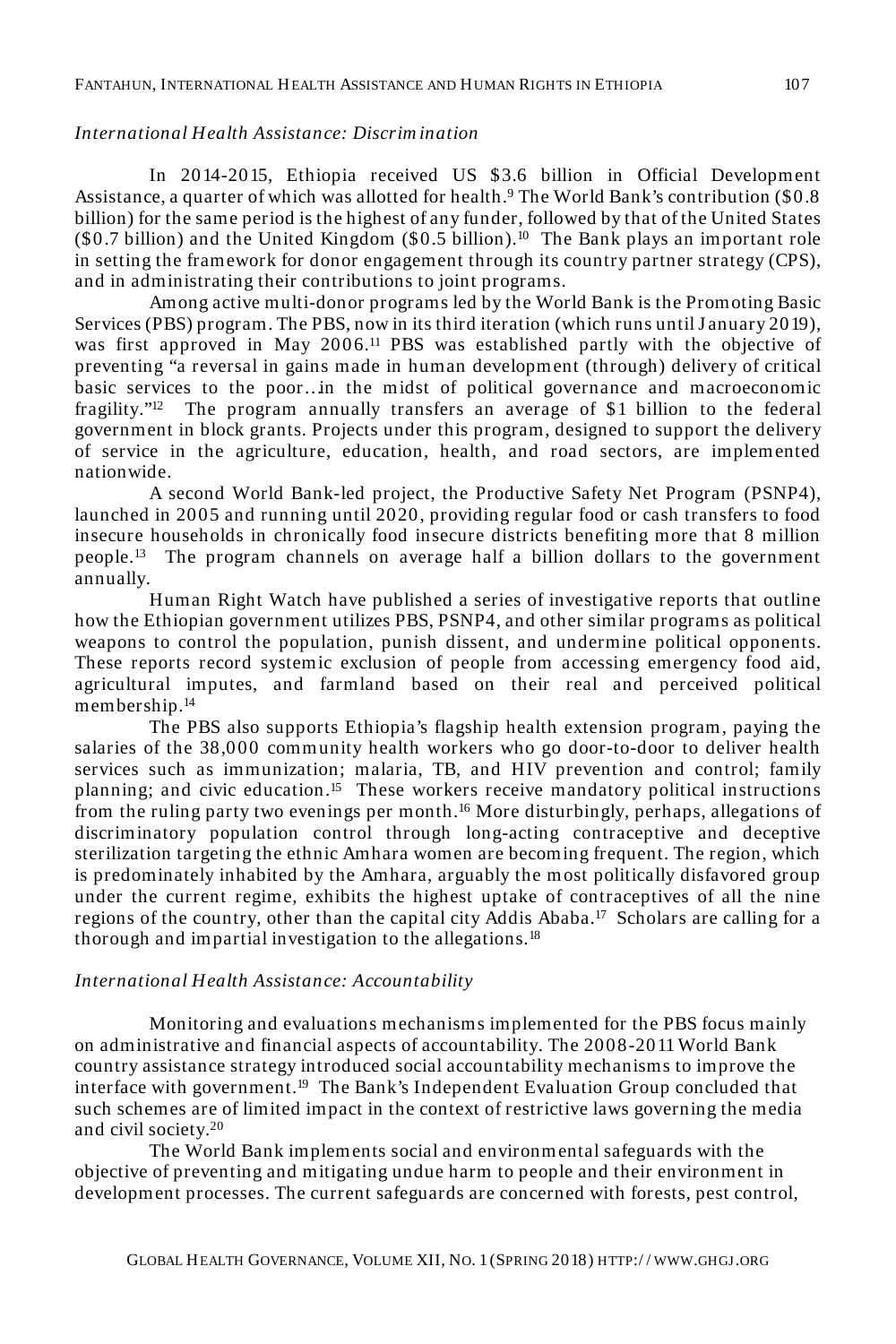#### *International Health Assistance: Discrim ination*

In 2014-2015, Ethiopia received US \$3.6 billion in Official Development Assistance, a quarter of which was allotted for health.<sup>9</sup> The World Bank's contribution (\$0.8 billion) for the same period is the highest of any funder, followed by that of the United States  $(\$0.7$  billion) and the United Kingdom  $(\$0.5$  billion).<sup>10</sup> The Bank plays an important role in setting the framework for donor engagement through its country partner strategy (CPS), and in administrating their contributions to joint programs.

Among active multi-donor programs led by the World Bank is the Promoting Basic Services (PBS) program. The PBS, now in its third iteration (which runs until J anuary 2019), was first approved in May 2006.<sup>11</sup> PBS was established partly with the objective of preventing "a reversal in gains made in human development (through) delivery of critical basic services to the poor…in the midst of political governance and macroeconomic fragility."<sup>12</sup> The program annually transfers an average of \$1 billion to the federal government in block grants. Projects under this program, designed to support the delivery of service in the agriculture, education, health, and road sectors, are implemented nationwide.

 A second World Bank-led project, the Productive Safety Net Program (PSNP4), launched in 2005 and running until 2020, providing regular food or cash transfers to food insecure households in chronically food insecure districts benefiting more that 8 million people.<sup>13</sup> The program channels on average half a billion dollars to the government annually.

Human Right Watch have published a series of investigative reports that outline how the Ethiopian government utilizes PBS, PSNP4, and other similar programs as political weapons to control the population, punish dissent, and undermine political opponents. These reports record systemic exclusion of people from accessing emergency food aid, agricultural imputes, and farmland based on their real and perceived political membership.<sup>14</sup>

The PBS also supports Ethiopia's flagship health extension program, paying the salaries of the 38,000 community health workers who go door-to-door to deliver health services such as immunization; malaria, TB, and HIV prevention and control; family planning; and civic education.<sup>15</sup> These workers receive mandatory political instructions from the ruling party two evenings per month.<sup>16</sup> More disturbingly, perhaps, allegations of discriminatory population control through long-acting contraceptive and deceptive sterilization targeting the ethnic Amhara women are becoming frequent. The region, which is predominately inhabited by the Amhara, arguably the most politically disfavored group under the current regime, exhibits the highest uptake of contraceptives of all the nine regions of the country, other than the capital city Addis Ababa.<sup>17</sup> Scholars are calling for a thorough and impartial investigation to the allegations.<sup>18</sup>

#### *International Health Assistance: Accountability*

Monitoring and evaluations mechanisms implemented for the PBS focus mainly on administrative and financial aspects of accountability. The 2008-2011 World Bank country assistance strategy introduced social accountability mechanisms to improve the interface with government.<sup>19</sup> The Bank's Independent Evaluation Group concluded that such schemes are of limited impact in the context of restrictive laws governing the media and civil society.<sup>20</sup>

The World Bank implements social and environmental safeguards with the objective of preventing and mitigating undue harm to people and their environment in development processes. The current safeguards are concerned with forests, pest control,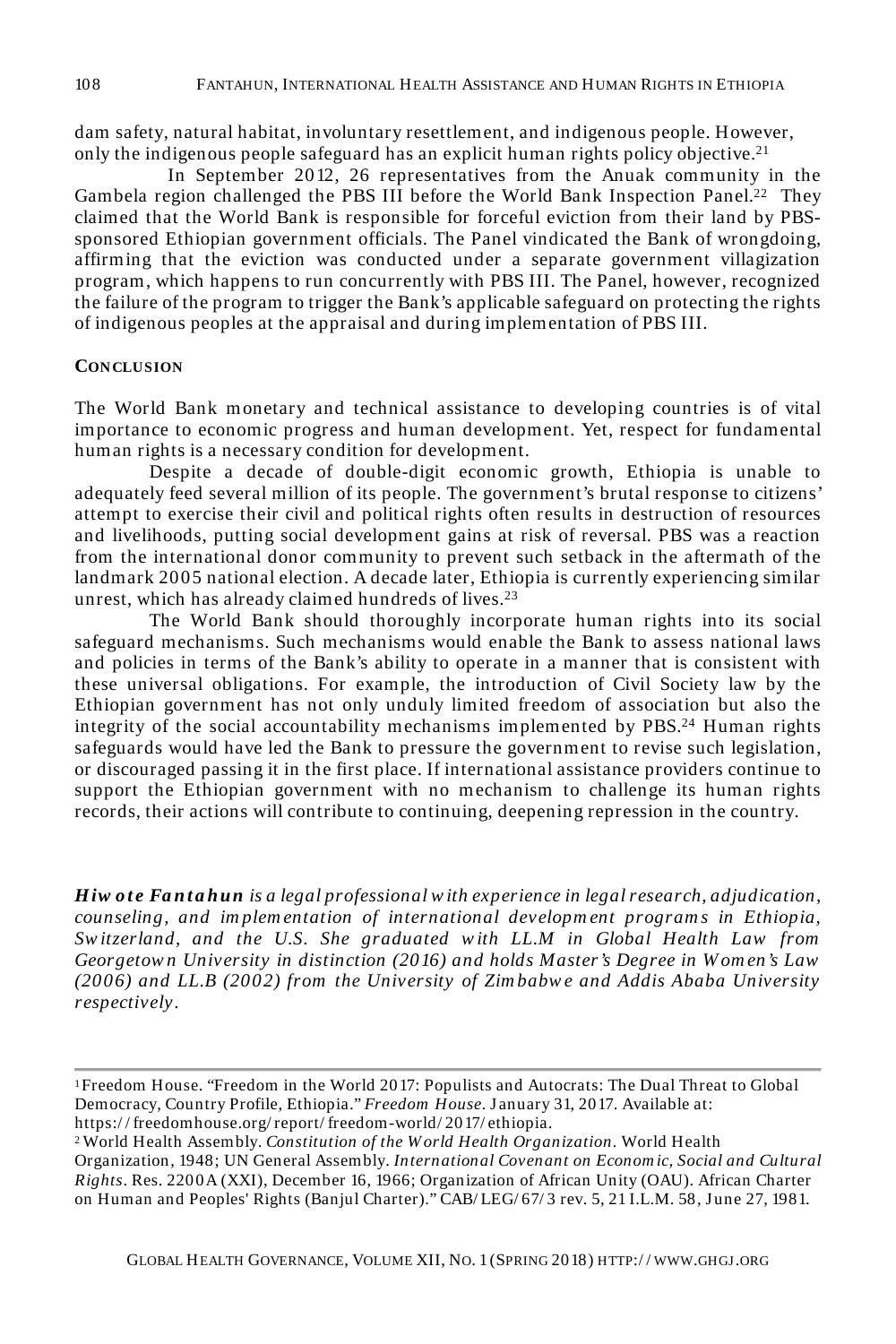dam safety, natural habitat, involuntary resettlement, and indigenous people. However, only the indigenous people safeguard has an explicit human rights policy objective.<sup>21</sup>

In September 2012, 26 representatives from the Anuak community in the Gambela region challenged the PBS III before the World Bank Inspection Panel.<sup>22</sup> They claimed that the World Bank is responsible for forceful eviction from their land by PBSsponsored Ethiopian government officials. The Panel vindicated the Bank of wrongdoing, affirming that the eviction was conducted under a separate government villagization program, which happens to run concurrently with PBS III. The Panel, however, recognized the failure of the program to trigger the Bank's applicable safeguard on protecting the rights of indigenous peoples at the appraisal and during implementation of PBS III.

#### **CONCLUSION**

The World Bank monetary and technical assistance to developing countries is of vital importance to economic progress and human development. Yet, respect for fundamental human rights is a necessary condition for development.

Despite a decade of double-digit economic growth, Ethiopia is unable to adequately feed several million of its people. The government's brutal response to citizens' attempt to exercise their civil and political rights often results in destruction of resources and livelihoods, putting social development gains at risk of reversal. PBS was a reaction from the international donor community to prevent such setback in the aftermath of the landmark 2005 national election. A decade later, Ethiopia is currently experiencing similar unrest, which has already claimed hundreds of lives.<sup>23</sup>

The World Bank should thoroughly incorporate human rights into its social safeguard mechanisms. Such mechanisms would enable the Bank to assess national laws and policies in terms of the Bank's ability to operate in a manner that is consistent with these universal obligations. For example, the introduction of Civil Society law by the Ethiopian government has not only unduly limited freedom of association but also the integrity of the social accountability mechanisms implemented by PBS.<sup>24</sup> Human rights safeguards would have led the Bank to pressure the government to revise such legislation, or discouraged passing it in the first place. If international assistance providers continue to support the Ethiopian government with no mechanism to challenge its human rights records, their actions will contribute to continuing, deepening repression in the country.

*Hiw ote Fantahun is a legal professional with experience in legal research, adjudication, counseling, and im plem entation of international developm ent program s in Ethiopia, Sw itzerland, and the U.S. She graduated w ith LL.M in Global Health Law from Georgetow n University in distinction (2016) and holds Master's Degree in W om en's Law (2006) and LL.B (2002) from the University of Zim babw e and Addis Ababa University respectively.* 

<sup>1</sup>Freedom House. "Freedom in the World 2017: Populists and Autocrats: The Dual Threat to Global Democracy, Country Profile, Ethiopia." *Freedom House.* J anuary 31, 2017. Available at: https:/ / freedomhouse.org/ report/ freedom-world/ 2017/ ethiopia.

<sup>2</sup>World Health Assembly. *Constitution of the W orld Health Organization.* World Health Organization, 1948; UN General Assembly. *International Covenant on Econom ic, Social and Cultural Rights*. Res. 2200A (XXI), December 16, 1966; Organization of African Unity (OAU). African Charter on Human and Peoples' Rights (Banjul Charter)." CAB/ LEG/ 67/ 3 rev. 5, 21 I.L.M. 58, J une 27, 1981.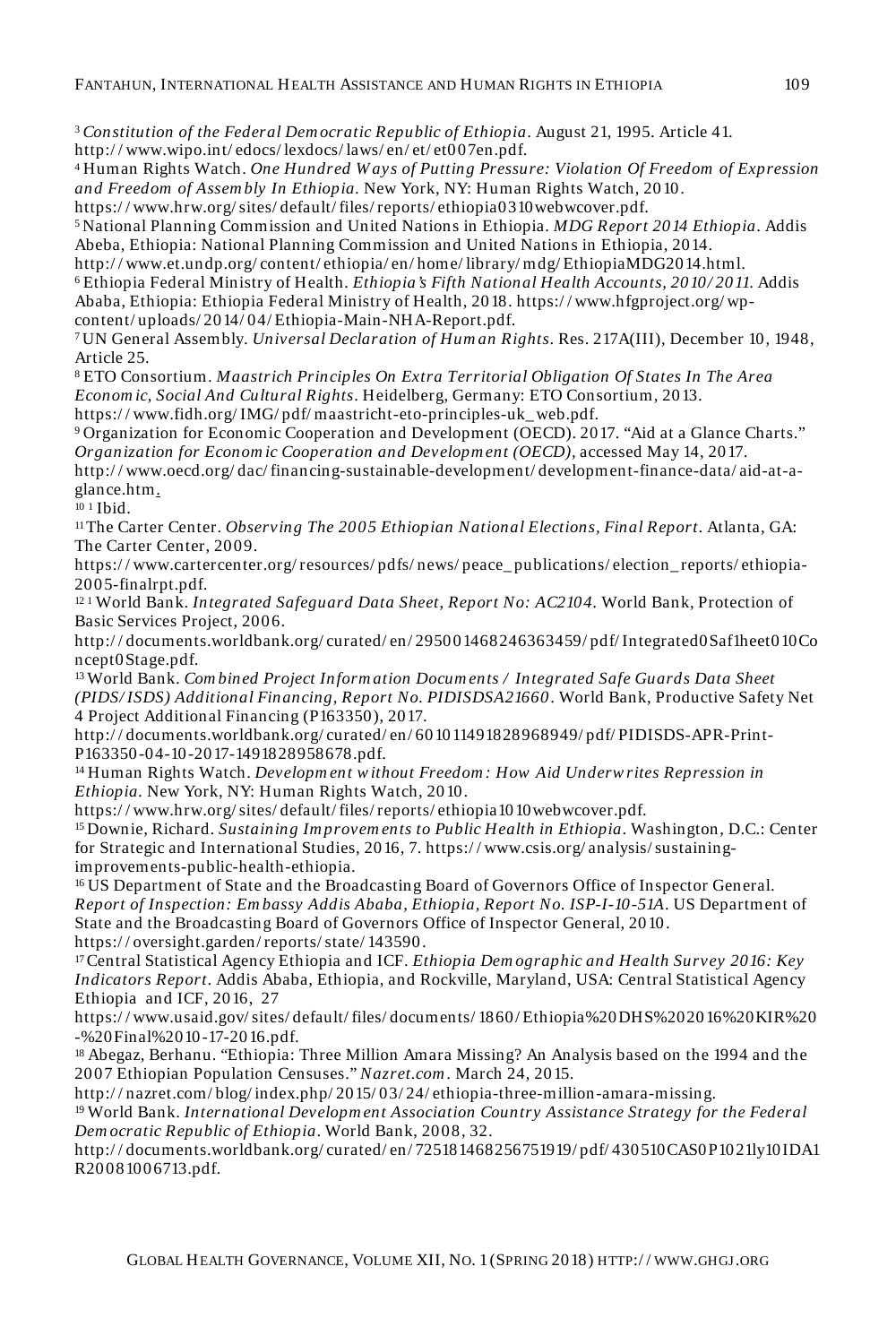<sup>3</sup>*Constitution of the Federal Dem ocratic Republic of Ethiopia*. August 21, 1995. Article 41.

http:/ / www.wipo.int/ edocs/ lexdocs/ laws/ en/ et/ et007en.pdf.

<sup>4</sup>Human Rights Watch. *One Hundred W ays of Putting Pressure: Violation Of Freedom of Expression and Freedom of Assem bly In Ethiopia.* New York, NY: Human Rights Watch, 2010.

https:/ / www.hrw.org/ sites/ default/ files/ reports/ ethiopia0310webwcover.pdf.

<sup>5</sup>National Planning Commission and United Nations in Ethiopia. *MDG Report 2014 Ethiopia*. Addis Abeba, Ethiopia: National Planning Commission and United Nations in Ethiopia, 2014.

http:/ / www.et.undp.org/ content/ ethiopia/ en/ home/ library/ mdg/ EthiopiaMDG2014.html. <sup>6</sup>Ethiopia Federal Ministry of Health. *Ethiopia's Fifth National Health Accounts, 2010/ 2011*. Addis Ababa, Ethiopia: Ethiopia Federal Ministry of Health, 2018. https:/ / www.hfgproject.org/ wpcontent/ uploads/ 2014/ 04/ Ethiopia-Main-NHA-Report.pdf.

<sup>7</sup>UN General Assembly. *Universal Declaration of Hum an Rights*. Res. 217A(III), December 10, 1948, Article 25.

<sup>8</sup>ETO Consortium. *Maastrich Principles On Extra Territorial Obligation Of States In The Area Econom ic, Social And Cultural Rights*. Heidelberg, Germany: ETO Consortium, 2013. https:/ / www.fidh.org/ IMG/ pdf/ maastricht-eto-principles-uk\_ web.pdf.

<sup>9</sup>Organization for Economic Cooperation and Development (OECD). 2017. "Aid at a Glance Charts." *Organization for Econom ic Cooperation and Developm ent (OECD),* accessed May 14, 2017.

http:/ / www.oecd.org/ dac/ financing-sustainable-development/ development-finance-data/ aid-at-aglance.htm.

10 1 Ibid.

<sup>11</sup>The Carter Center. *Observing The 2005 Ethiopian National Elections, Final Report*. Atlanta, GA: The Carter Center, 2009.

https:/ / www.cartercenter.org/ resources/ pdfs/ news/ peace\_ publications/ election\_ reports/ ethiopia-2005-finalrpt.pdf.

12 1 World Bank. *Integrated Safeguard Data Sheet, Report No: AC2104.* World Bank, Protection of Basic Services Project, 2006.

http:/ / documents.worldbank.org/ curated/ en/ 295001468246363459/ pdf/ Integrated0Saf1heet010Co ncept0Stage.pdf.

<sup>13</sup>World Bank. *Com bined Project Inform ation Docum ents / Integrated Safe Guards Data Sheet (PIDS/ ISDS) Additional Financing, Report No. PIDISDSA21660*. World Bank, Productive Safety Net 4 Project Additional Financing (P163350), 2017.

http:/ / documents.worldbank.org/ curated/ en/ 601011491828968949/ pdf/ PIDISDS-APR-Print-P163350-04-10-2017-1491828958678.pdf.

<sup>14</sup>Human Rights Watch. *Developm ent w ithout Freedom : How Aid Underw rites Repression in Ethiopia.* New York, NY: Human Rights Watch, 2010.

https:/ / www.hrw.org/ sites/ default/ files/ reports/ ethiopia1010webwcover.pdf.

<sup>15</sup>Downie, Richard. *Sustaining Im provem ents to Public Health in Ethiopia*. Washington, D.C.: Center for Strategic and International Studies, 2016, 7. https:/ / www.csis.org/ analysis/ sustainingimprovements-public-health-ethiopia.

<sup>16</sup>US Department of State and the Broadcasting Board of Governors Office of Inspector General. *Report of Inspection: Em bassy Addis Ababa, Ethiopia, Report No. ISP-I-10-51A*. US Department of State and the Broadcasting Board of Governors Office of Inspector General, 2010. https:/ / oversight.garden/ reports/ state/ 143590.

<sup>17</sup>Central Statistical Agency Ethiopia and ICF. *Ethiopia Dem ographic and Health Survey 2016: Key Indicators Report*. Addis Ababa, Ethiopia, and Rockville, Maryland, USA: Central Statistical Agency Ethiopia and ICF, 2016, 27

https:/ / www.usaid.gov/ sites/ default/ files/ documents/ 1860/ Ethiopia%20DHS%202016%20KIR%20 -%20Final%2010-17-2016.pdf.

<sup>18</sup>Abegaz, Berhanu. "Ethiopia: Three Million Amara Missing? An Analysis based on the 1994 and the 2007 Ethiopian Population Censuses." *Nazret.com .* March 24, 2015.

http:/ / nazret.com/ blog/ index.php/ 2015/ 03/ 24/ ethiopia-three-million-amara-missing. <sup>19</sup>World Bank. *International Developm ent Association Country Assistance Strategy for the Federal Dem ocratic Republic of Ethiopia*. World Bank, 2008, 32.

http:/ / documents.worldbank.org/ curated/ en/ 725181468256751919/ pdf/ 430510CAS0P1021ly10IDA1 R20081006713.pdf.